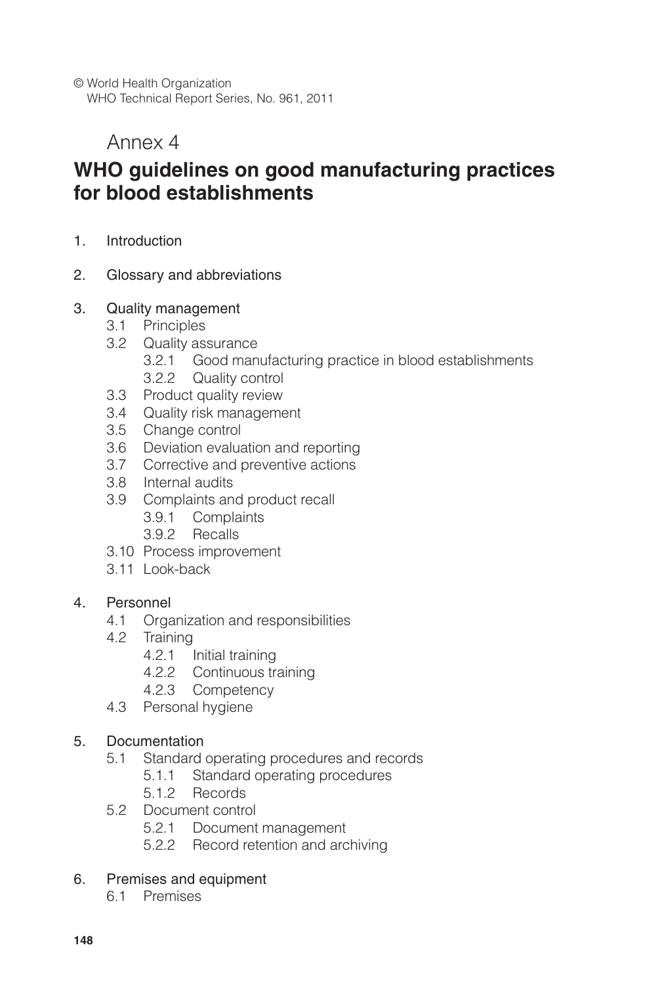© World Health Organization WHO Technical Report Series, No. 961, 2011

# Annex 4

# **WHO guidelines on good manufacturing practices for blood establishments**

- 1. Introduction
- 2. Glossary and abbreviations

#### 3. Quality management

- 3.1 Principles
- 3.2 Quality assurance
	- 3.2.1 Good manufacturing practice in blood establishments 3.2.2 Quality control
- 3.3 Product quality review
- 3.4 Quality risk management
- 3.5 Change control
- 3.6 Deviation evaluation and reporting
- 3.7 Corrective and preventive actions
- 3.8 Internal audits
- 3.9 Complaints and product recall
	- 3.9.1 Complaints
	- 3.9.2 Recalls
- 3.10 Process improvement
- 3.11 Look-back

#### 4. Personnel

- 4.1 Organization and responsibilities
- 4.2 Training
	- 4.2.1 Initial training
	- 4.2.2 Continuous training
	- 4.2.3 Competency
- 4.3 Personal hygiene

#### 5. Documentation

- 5.1 Standard operating procedures and records
	- 5.1.1 Standard operating procedures
	- 5.1.2 Records
- 5.2 Document control
	- 5.2.1 Document management
	- 5.2.2 Record retention and archiving

#### 6. Premises and equipment

6.1 Premises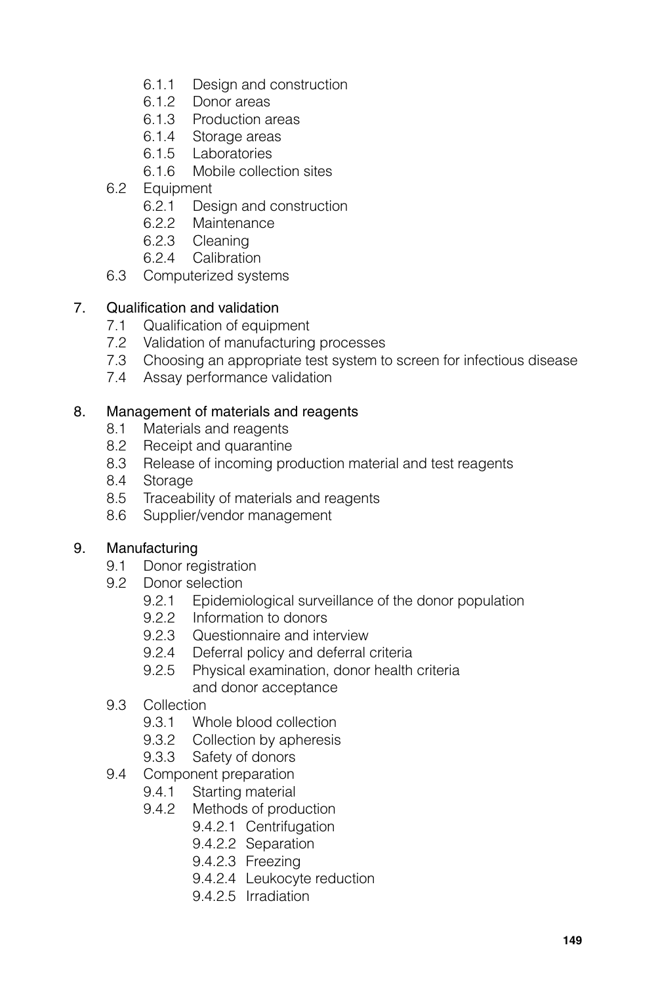- 6.1.1 Design and construction
- 6.1.2 Donor areas
- 6.1.3 Production areas
- 6.1.4 Storage areas
- 6.1.5 Laboratories
- 6.1.6 Mobile collection sites
- 6.2 Equipment
	- 6.2.1 Design and construction
	- 6.2.2 Maintenance
	- 6.2.3 Cleaning
	- 6.2.4 Calibration
- 6.3 Computerized systems

## 7. Qualification and validation

- 7.1 Qualification of equipment
- 7.2 Validation of manufacturing processes
- 7.3 Choosing an appropriate test system to screen for infectious disease
- 7.4 Assay performance validation

## 8. Management of materials and reagents

- 8.1 Materials and reagents
- 8.2 Receipt and quarantine
- 8.3 Release of incoming production material and test reagents
- 8.4 Storage
- 8.5 Traceability of materials and reagents
- 8.6 Supplier/vendor management

## 9. Manufacturing

- 9.1 Donor registration
- 9.2 Donor selection
	- 9.2.1 Epidemiological surveillance of the donor population
	- 9.2.2 Information to donors
	- 9.2.3 Questionnaire and interview
	- 9.2.4 Deferral policy and deferral criteria
	- 9.2.5 Physical examination, donor health criteria and donor acceptance
- 9.3 Collection
	- 9.3.1 Whole blood collection
	- 9.3.2 Collection by apheresis
	- 9.3.3 Safety of donors
- 9.4 Component preparation
	- 9.4.1 Starting material
	- 9.4.2 Methods of production
		- 9.4.2.1 Centrifugation
		- 9.4.2.2 Separation
		- 9.4.2.3 Freezing
		- 9.4.2.4 Leukocyte reduction
		- 9.4.2.5 Irradiation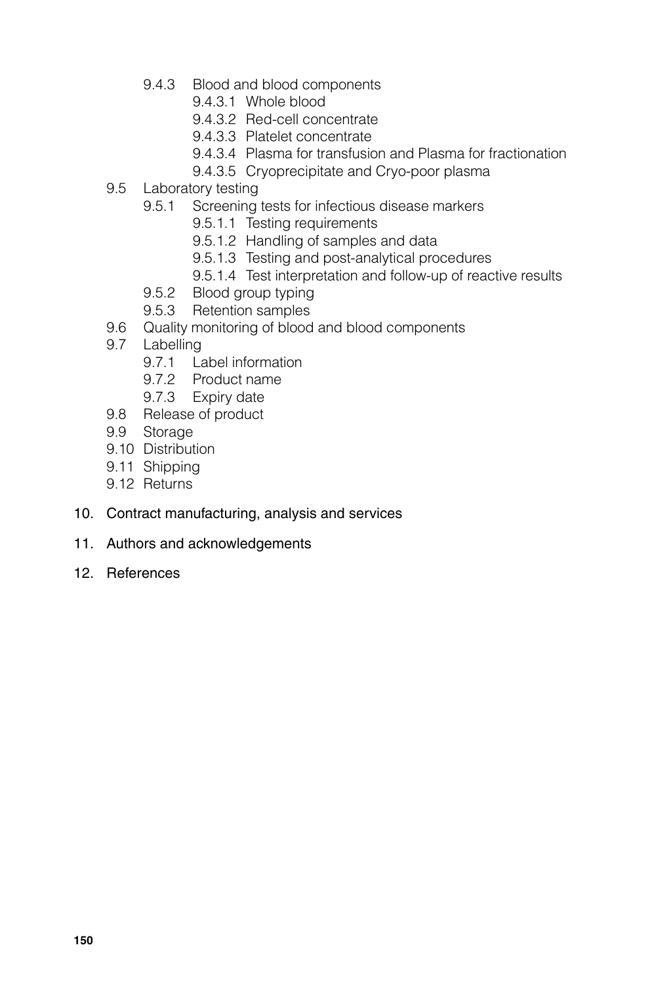- 9.4.3 Blood and blood components
	- 9.4.3.1 Whole blood
	- 9.4.3.2 Red-cell concentrate
	- 9.4.3.3 Platelet concentrate
	- 9.4.3.4 Plasma for transfusion and Plasma for fractionation
	- 9.4.3.5 Cryoprecipitate and Cryo-poor plasma
- 9.5 Laboratory testing
	- 9.5.1 Screening tests for infectious disease markers
		- 9.5.1.1 Testing requirements
		- 9.5.1.2 Handling of samples and data
		- 9.5.1.3 Testing and post-analytical procedures
		- 9.5.1.4 Test interpretation and follow-up of reactive results
	- 9.5.2 Blood group typing
	- 9.5.3 Retention samples
- 9.6 Quality monitoring of blood and blood components
- 9.7 Labelling
	- 9.7.1 Label information
	- 9.7.2 Product name
	- 9.7.3 Expiry date
- 9.8 Release of product
- 9.9 Storage
- 9.10 Distribution
- 9.11 Shipping
- 9.12 Returns
- 10. Contract manufacturing, analysis and services
- 11. Authors and acknowledgements
- 12. References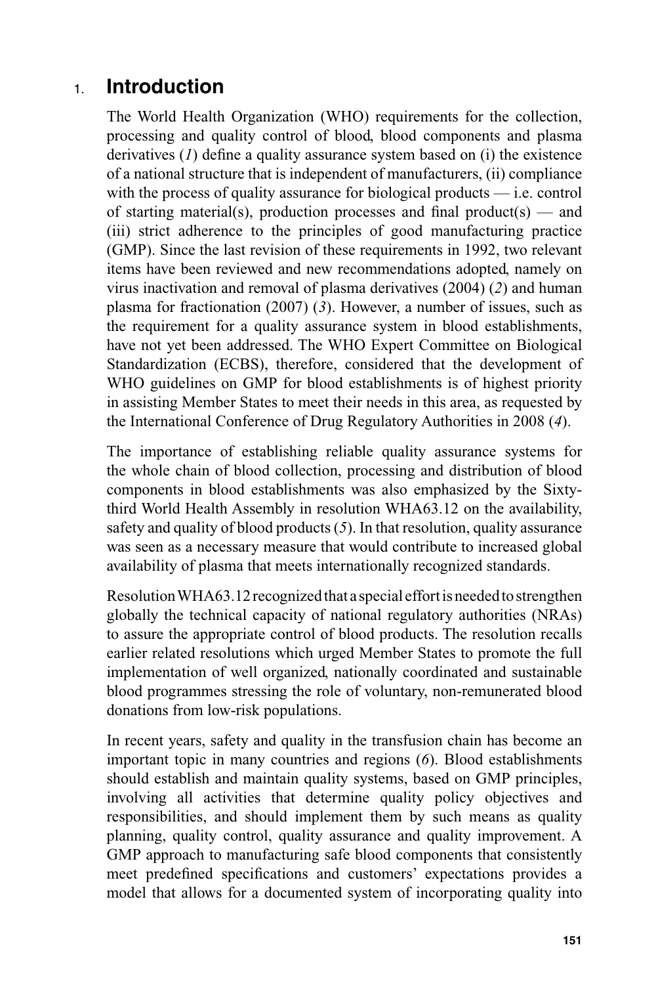# 1. **Introduction**

The World Health Organization (WHO) requirements for the collection, processing and quality control of blood, blood components and plasma derivatives  $(I)$  define a quality assurance system based on  $(i)$  the existence of a national structure that is independent of manufacturers, (ii) compliance with the process of quality assurance for biological products — i.e. control of starting material(s), production processes and final product(s) — and (iii) strict adherence to the principles of good manufacturing practice (GMP). Since the last revision of these requirements in 1992, two relevant items have been reviewed and new recommendations adopted, namely on virus inactivation and removal of plasma derivatives (2004) (*2*) and human plasma for fractionation (2007) (*3*). However, a number of issues, such as the requirement for a quality assurance system in blood establishments, have not yet been addressed. The WHO Expert Committee on Biological Standardization (ECBS), therefore, considered that the development of WHO guidelines on GMP for blood establishments is of highest priority in assisting Member States to meet their needs in this area, as requested by the International Conference of Drug Regulatory Authorities in 2008 (*4*).

The importance of establishing reliable quality assurance systems for the whole chain of blood collection, processing and distribution of blood components in blood establishments was also emphasized by the Sixtythird World Health Assembly in resolution WHA63.12 on the availability, safety and quality of blood products (*5*). In that resolution, quality assurance was seen as a necessary measure that would contribute to increased global availability of plasma that meets internationally recognized standards.

Resolution WHA63.12 recognized that a special effort is needed to strengthen globally the technical capacity of national regulatory authorities (NRAs) to assure the appropriate control of blood products. The resolution recalls earlier related resolutions which urged Member States to promote the full implementation of well organized, nationally coordinated and sustainable blood programmes stressing the role of voluntary, non-remunerated blood donations from low-risk populations.

In recent years, safety and quality in the transfusion chain has become an important topic in many countries and regions (*6*). Blood establishments should establish and maintain quality systems, based on GMP principles, involving all activities that determine quality policy objectives and responsibilities, and should implement them by such means as quality planning, quality control, quality assurance and quality improvement. A GMP approach to manufacturing safe blood components that consistently meet predefined specifications and customers' expectations provides a model that allows for a documented system of incorporating quality into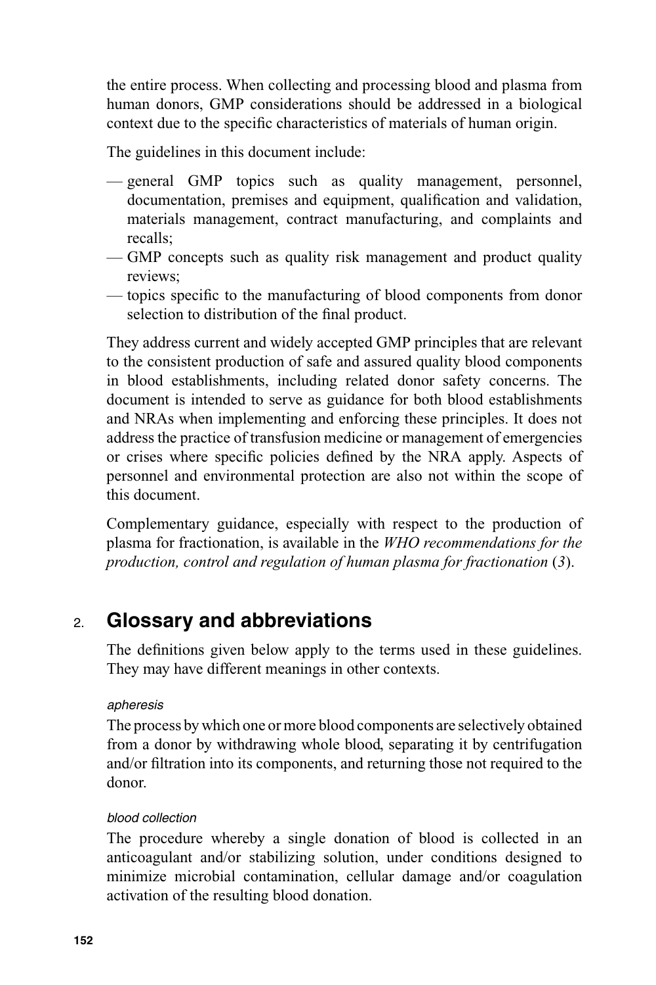the entire process. When collecting and processing blood and plasma from human donors, GMP considerations should be addressed in a biological context due to the specific characteristics of materials of human origin.

The guidelines in this document include:

- general GMP topics such as quality management, personnel, documentation, premises and equipment, qualification and validation, materials management, contract manufacturing, and complaints and recalls;
- GMP concepts such as quality risk management and product quality reviews;
- topics specific to the manufacturing of blood components from donor selection to distribution of the final product.

They address current and widely accepted GMP principles that are relevant to the consistent production of safe and assured quality blood components in blood establishments, including related donor safety concerns. The document is intended to serve as guidance for both blood establishments and NRAs when implementing and enforcing these principles. It does not address the practice of transfusion medicine or management of emergencies or crises where specific policies defined by the NRA apply. Aspects of personnel and environmental protection are also not within the scope of this document.

Complementary guidance, especially with respect to the production of plasma for fractionation, is available in the *WHO recommendations for the production, control and regulation of human plasma for fractionation* (*3*).

# 2. **Glossary and abbreviations**

The definitions given below apply to the terms used in these guidelines. They may have different meanings in other contexts.

#### *apheresis*

The process by which one or more blood components are selectively obtained from a donor by withdrawing whole blood, separating it by centrifugation and/or filtration into its components, and returning those not required to the donor.

#### *blood collection*

The procedure whereby a single donation of blood is collected in an anticoagulant and/or stabilizing solution, under conditions designed to minimize microbial contamination, cellular damage and/or coagulation activation of the resulting blood donation.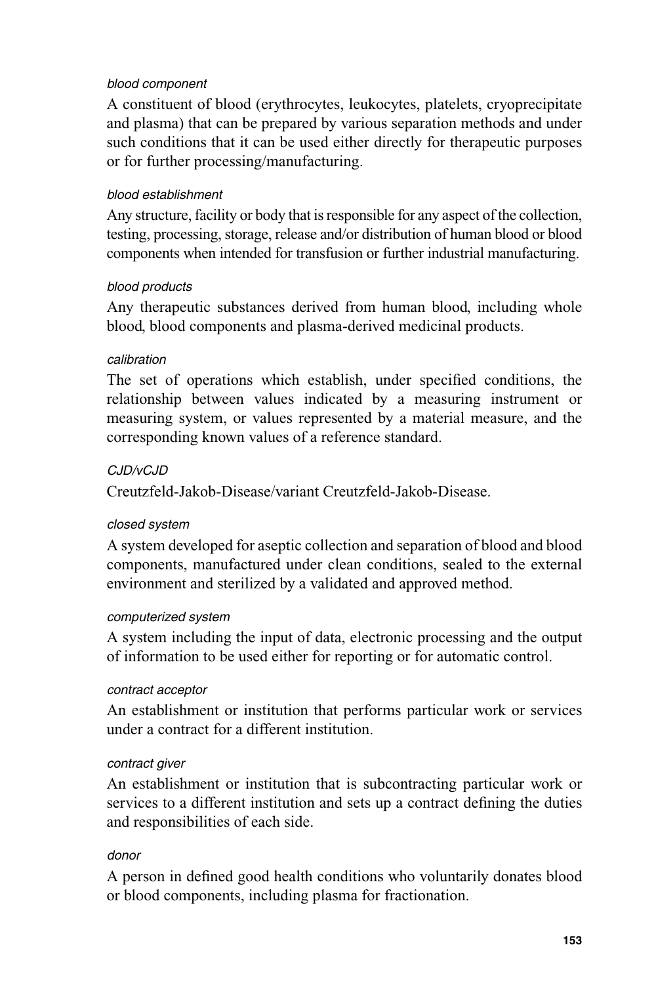#### *blood component*

A constituent of blood (erythrocytes, leukocytes, platelets, cryoprecipitate and plasma) that can be prepared by various separation methods and under such conditions that it can be used either directly for therapeutic purposes or for further processing/manufacturing.

#### *blood establishment*

Any structure, facility or body that is responsible for any aspect of the collection, testing, processing, storage, release and/or distribution of human blood or blood components when intended for transfusion or further industrial manufacturing.

#### *blood products*

Any therapeutic substances derived from human blood, including whole blood, blood components and plasma-derived medicinal products.

#### *calibration*

The set of operations which establish, under specified conditions, the relationship between values indicated by a measuring instrument or measuring system, or values represented by a material measure, and the corresponding known values of a reference standard.

#### *CJD/vCJD*

Creutzfeld-Jakob-Disease/variant Creutzfeld-Jakob-Disease.

#### *closed system*

A system developed for aseptic collection and separation of blood and blood components, manufactured under clean conditions, sealed to the external environment and sterilized by a validated and approved method.

#### *computerized system*

A system including the input of data, electronic processing and the output of information to be used either for reporting or for automatic control.

#### *contract acceptor*

An establishment or institution that performs particular work or services under a contract for a different institution.

#### *contract giver*

An establishment or institution that is subcontracting particular work or services to a different institution and sets up a contract defining the duties and responsibilities of each side.

#### *donor*

A person in defined good health conditions who voluntarily donates blood or blood components, including plasma for fractionation.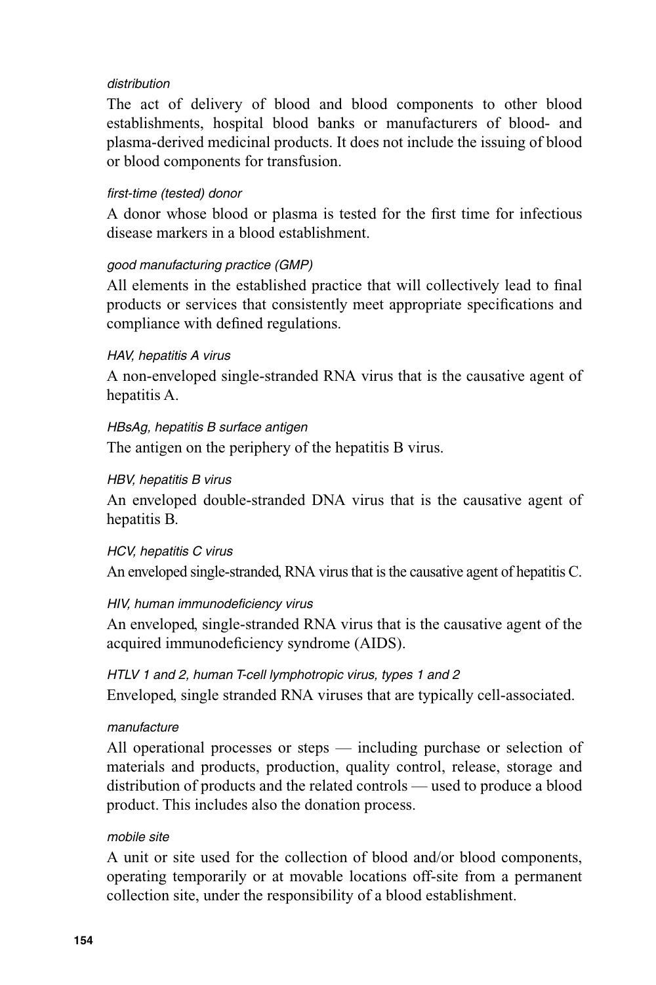#### *distribution*

The act of delivery of blood and blood components to other blood establishments, hospital blood banks or manufacturers of blood- and plasma-derived medicinal products. It does not include the issuing of blood or blood components for transfusion.

#### *fi rst-time (tested) donor*

A donor whose blood or plasma is tested for the first time for infectious disease markers in a blood establishment.

#### *good manufacturing practice (GMP)*

All elements in the established practice that will collectively lead to final products or services that consistently meet appropriate specifications and compliance with defined regulations.

#### *HAV, hepatitis A virus*

A non-enveloped single-stranded RNA virus that is the causative agent of hepatitis A.

#### *HBsAg, hepatitis B surface antigen*

The antigen on the periphery of the hepatitis B virus.

#### *HBV, hepatitis B virus*

An enveloped double-stranded DNA virus that is the causative agent of hepatitis B.

#### *HCV, hepatitis C virus*

An enveloped single-stranded, RNA virus that is the causative agent of hepatitis C.

#### *HIV, human immunodefi ciency virus*

An enveloped, single-stranded RNA virus that is the causative agent of the acquired immunodeficiency syndrome (AIDS).

#### *HTLV 1 and 2, human T-cell lymphotropic virus, types 1 and 2*

Enveloped, single stranded RNA viruses that are typically cell-associated.

#### *manufacture*

All operational processes or steps — including purchase or selection of materials and products, production, quality control, release, storage and distribution of products and the related controls — used to produce a blood product. This includes also the donation process.

#### *mobile site*

A unit or site used for the collection of blood and/or blood components, operating temporarily or at movable locations off-site from a permanent collection site, under the responsibility of a blood establishment.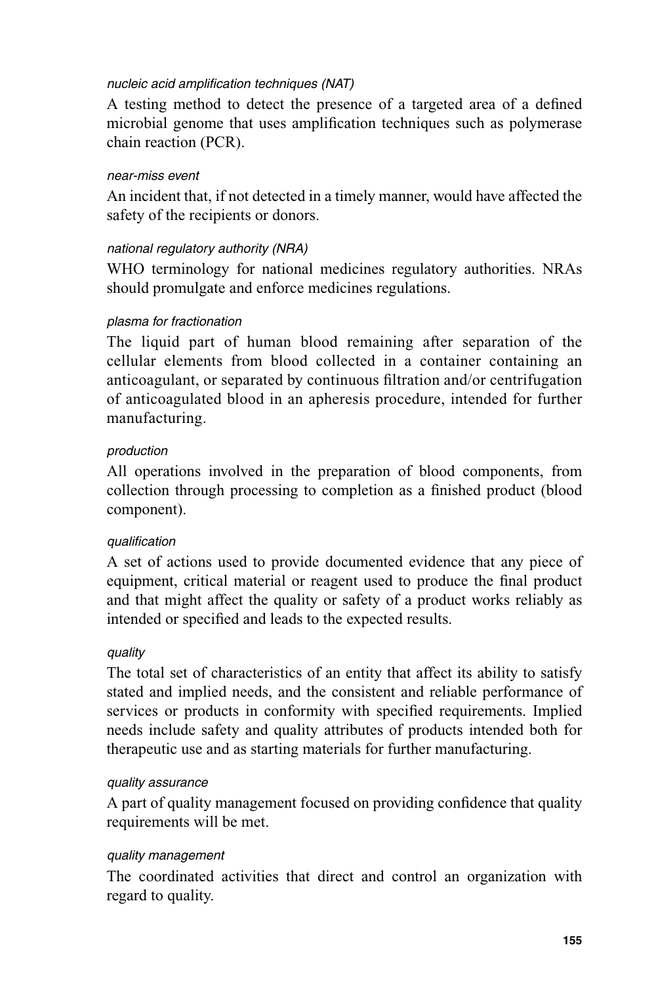#### *nucleic acid amplification techniques (NAT)*

A testing method to detect the presence of a targeted area of a defined microbial genome that uses amplification techniques such as polymerase chain reaction (PCR).

#### *near-miss event*

An incident that, if not detected in a timely manner, would have affected the safety of the recipients or donors.

#### *national regulatory authority (NRA)*

WHO terminology for national medicines regulatory authorities. NRAs should promulgate and enforce medicines regulations.

#### *plasma for fractionation*

The liquid part of human blood remaining after separation of the cellular elements from blood collected in a container containing an anticoagulant, or separated by continuous filtration and/or centrifugation of anticoagulated blood in an apheresis procedure, intended for further manufacturing.

#### *production*

All operations involved in the preparation of blood components, from collection through processing to completion as a finished product (blood component).

#### *qualifi cation*

A set of actions used to provide documented evidence that any piece of equipment, critical material or reagent used to produce the final product and that might affect the quality or safety of a product works reliably as intended or specified and leads to the expected results.

#### *quality*

The total set of characteristics of an entity that affect its ability to satisfy stated and implied needs, and the consistent and reliable performance of services or products in conformity with specified requirements. Implied needs include safety and quality attributes of products intended both for therapeutic use and as starting materials for further manufacturing.

#### *quality assurance*

A part of quality management focused on providing confidence that quality requirements will be met.

#### *quality management*

The coordinated activities that direct and control an organization with regard to quality.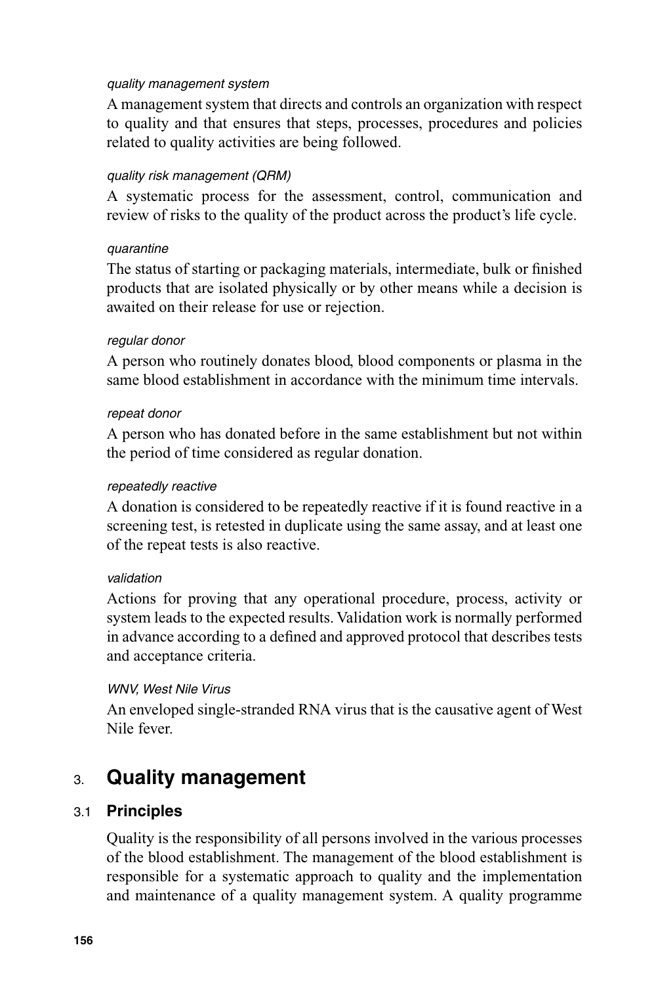#### *quality management system*

A management system that directs and controls an organization with respect to quality and that ensures that steps, processes, procedures and policies related to quality activities are being followed.

#### *quality risk management (QRM)*

A systematic process for the assessment, control, communication and review of risks to the quality of the product across the product's life cycle.

#### *quarantine*

The status of starting or packaging materials, intermediate, bulk or finished products that are isolated physically or by other means while a decision is awaited on their release for use or rejection.

#### *regular donor*

A person who routinely donates blood, blood components or plasma in the same blood establishment in accordance with the minimum time intervals.

#### *repeat donor*

A person who has donated before in the same establishment but not within the period of time considered as regular donation.

#### *repeatedly reactive*

A donation is considered to be repeatedly reactive if it is found reactive in a screening test, is retested in duplicate using the same assay, and at least one of the repeat tests is also reactive.

#### *validation*

Actions for proving that any operational procedure, process, activity or system leads to the expected results. Validation work is normally performed in advance according to a defined and approved protocol that describes tests and acceptance criteria.

#### *WNV, West Nile Virus*

An enveloped single-stranded RNA virus that is the causative agent of West Nile fever.

# 3. **Quality management**

#### 3.1 **Principles**

Quality is the responsibility of all persons involved in the various processes of the blood establishment. The management of the blood establishment is responsible for a systematic approach to quality and the implementation and maintenance of a quality management system. A quality programme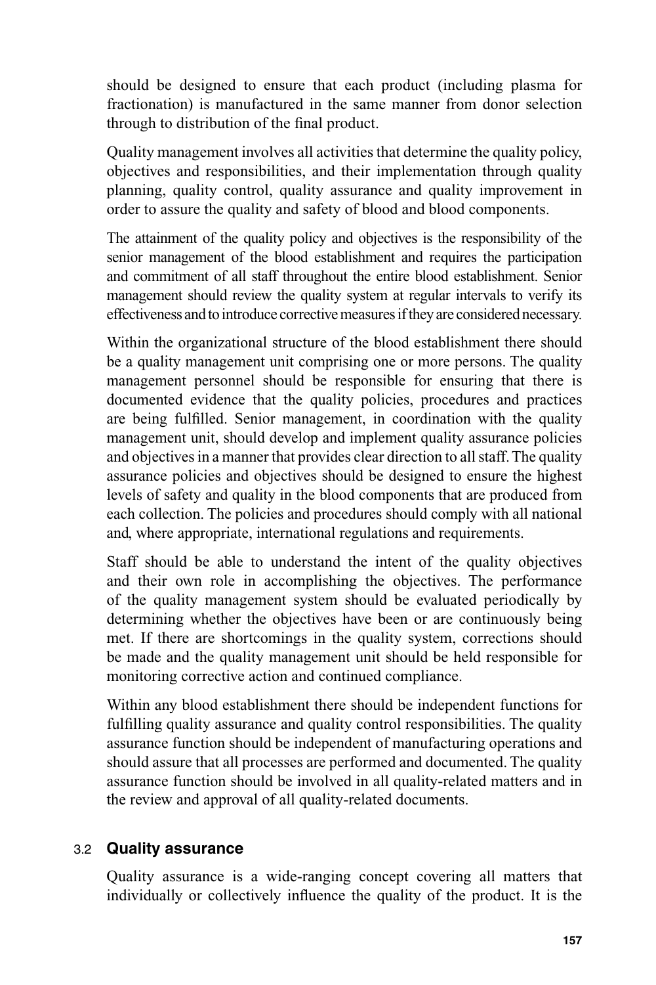should be designed to ensure that each product (including plasma for fractionation) is manufactured in the same manner from donor selection through to distribution of the final product.

Quality management involves all activities that determine the quality policy, objectives and responsibilities, and their implementation through quality planning, quality control, quality assurance and quality improvement in order to assure the quality and safety of blood and blood components.

The attainment of the quality policy and objectives is the responsibility of the senior management of the blood establishment and requires the participation and commitment of all staff throughout the entire blood establishment. Senior management should review the quality system at regular intervals to verify its effectiveness and to introduce corrective measures if they are considered necessary.

Within the organizational structure of the blood establishment there should be a quality management unit comprising one or more persons. The quality management personnel should be responsible for ensuring that there is documented evidence that the quality policies, procedures and practices are being fulfilled. Senior management, in coordination with the quality management unit, should develop and implement quality assurance policies and objectives in a manner that provides clear direction to all staff. The quality assurance policies and objectives should be designed to ensure the highest levels of safety and quality in the blood components that are produced from each collection. The policies and procedures should comply with all national and, where appropriate, international regulations and requirements.

Staff should be able to understand the intent of the quality objectives and their own role in accomplishing the objectives. The performance of the quality management system should be evaluated periodically by determining whether the objectives have been or are continuously being met. If there are shortcomings in the quality system, corrections should be made and the quality management unit should be held responsible for monitoring corrective action and continued compliance.

Within any blood establishment there should be independent functions for fulfilling quality assurance and quality control responsibilities. The quality assurance function should be independent of manufacturing operations and should assure that all processes are performed and documented. The quality assurance function should be involved in all quality-related matters and in the review and approval of all quality-related documents.

#### 3.2 **Quality assurance**

Quality assurance is a wide-ranging concept covering all matters that individually or collectively influence the quality of the product. It is the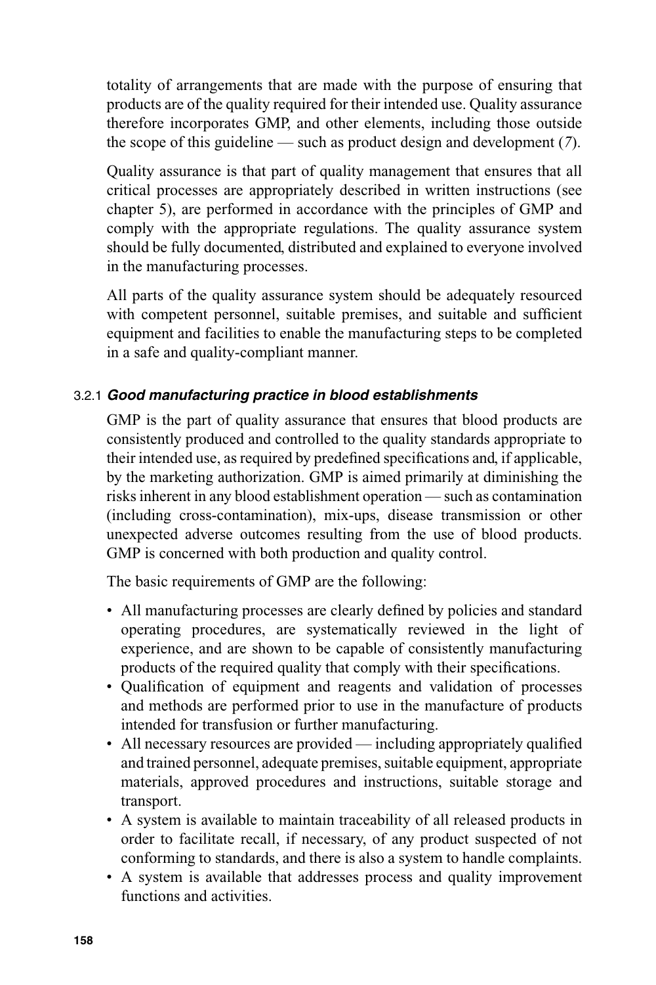totality of arrangements that are made with the purpose of ensuring that products are of the quality required for their intended use. Quality assurance therefore incorporates GMP, and other elements, including those outside the scope of this guideline — such as product design and development (*7*).

Quality assurance is that part of quality management that ensures that all critical processes are appropriately described in written instructions (see chapter 5), are performed in accordance with the principles of GMP and comply with the appropriate regulations. The quality assurance system should be fully documented, distributed and explained to everyone involved in the manufacturing processes.

All parts of the quality assurance system should be adequately resourced with competent personnel, suitable premises, and suitable and sufficient equipment and facilities to enable the manufacturing steps to be completed in a safe and quality-compliant manner.

## 3.2.1 *Good manufacturing practice in blood establishments*

GMP is the part of quality assurance that ensures that blood products are consistently produced and controlled to the quality standards appropriate to their intended use, as required by predefined specifications and, if applicable, by the marketing authorization. GMP is aimed primarily at diminishing the risks inherent in any blood establishment operation — such as contamination (including cross-contamination), mix-ups, disease transmission or other unexpected adverse outcomes resulting from the use of blood products. GMP is concerned with both production and quality control.

The basic requirements of GMP are the following:

- All manufacturing processes are clearly defined by policies and standard operating procedures, are systematically reviewed in the light of experience, and are shown to be capable of consistently manufacturing products of the required quality that comply with their specifications.
- Qualification of equipment and reagents and validation of processes and methods are performed prior to use in the manufacture of products intended for transfusion or further manufacturing.
- All necessary resources are provided including appropriately qualified and trained personnel, adequate premises, suitable equipment, appropriate materials, approved procedures and instructions, suitable storage and transport.
- A system is available to maintain traceability of all released products in order to facilitate recall, if necessary, of any product suspected of not conforming to standards, and there is also a system to handle complaints.
- A system is available that addresses process and quality improvement functions and activities.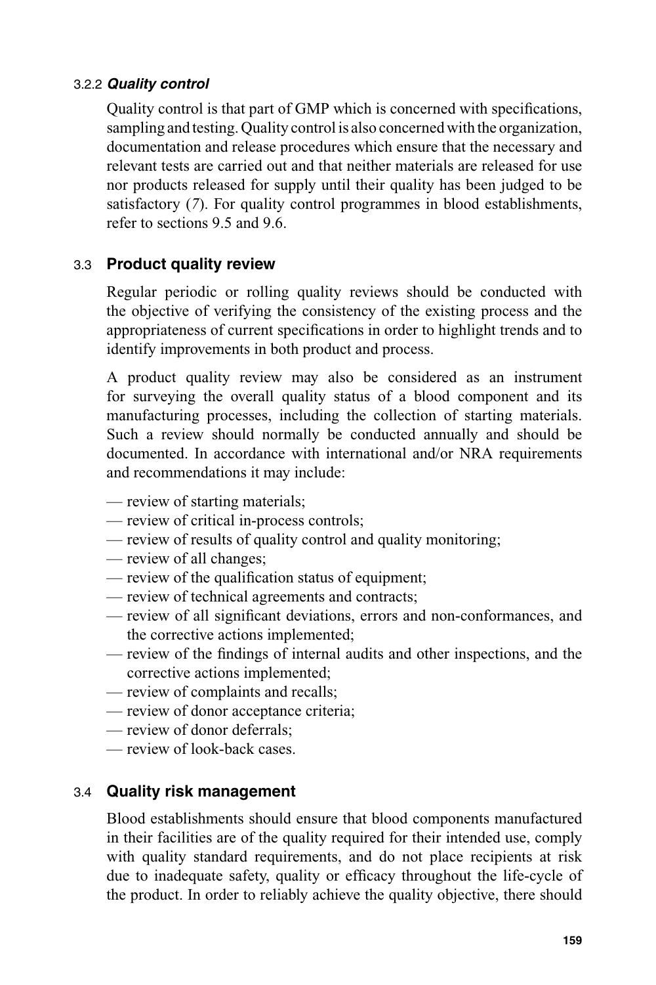#### 3.2.2 *Quality control*

Quality control is that part of GMP which is concerned with specifications, sampling and testing. Quality control is also concerned with the organization, documentation and release procedures which ensure that the necessary and relevant tests are carried out and that neither materials are released for use nor products released for supply until their quality has been judged to be satisfactory (*7*). For quality control programmes in blood establishments, refer to sections 9.5 and 9.6.

#### 3.3 **Product quality review**

Regular periodic or rolling quality reviews should be conducted with the objective of verifying the consistency of the existing process and the appropriateness of current specifications in order to highlight trends and to identify improvements in both product and process.

A product quality review may also be considered as an instrument for surveying the overall quality status of a blood component and its manufacturing processes, including the collection of starting materials. Such a review should normally be conducted annually and should be documented. In accordance with international and/or NRA requirements and recommendations it may include:

- review of starting materials;
- review of critical in-process controls;
- review of results of quality control and quality monitoring;
- review of all changes;
- $-$  review of the qualification status of equipment;
- review of technical agreements and contracts;
- review of all significant deviations, errors and non-conformances, and the corrective actions implemented;
- review of the findings of internal audits and other inspections, and the corrective actions implemented;
- review of complaints and recalls;
- review of donor acceptance criteria;
- review of donor deferrals;
- review of look-back cases.

#### 3.4 **Quality risk management**

Blood establishments should ensure that blood components manufactured in their facilities are of the quality required for their intended use, comply with quality standard requirements, and do not place recipients at risk due to inadequate safety, quality or efficacy throughout the life-cycle of the product. In order to reliably achieve the quality objective, there should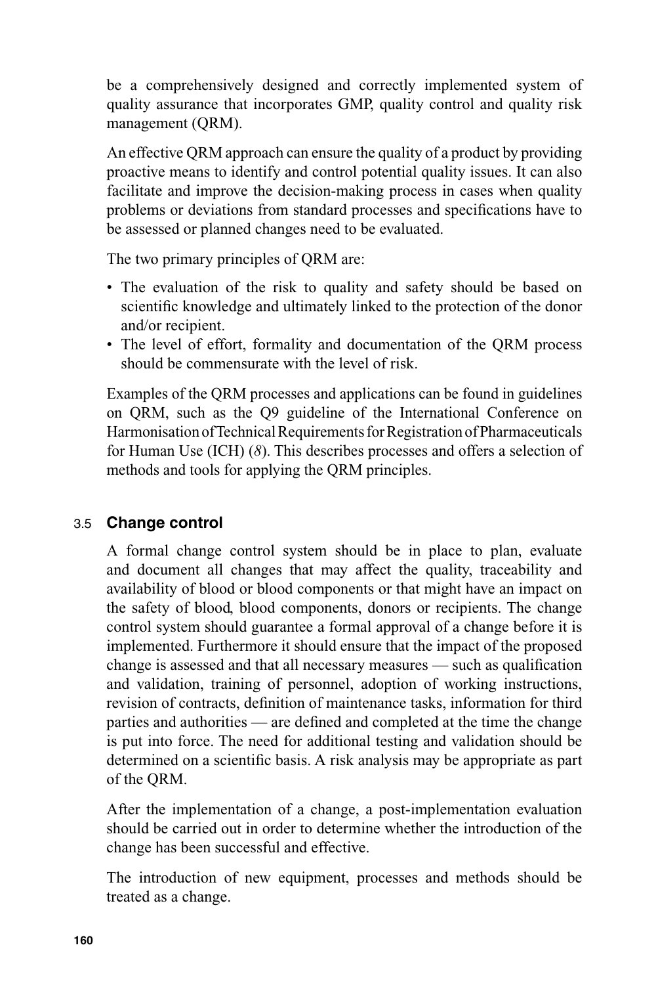be a comprehensively designed and correctly implemented system of quality assurance that incorporates GMP, quality control and quality risk management (QRM).

An effective QRM approach can ensure the quality of a product by providing proactive means to identify and control potential quality issues. It can also facilitate and improve the decision-making process in cases when quality problems or deviations from standard processes and specifications have to be assessed or planned changes need to be evaluated.

The two primary principles of QRM are:

- The evaluation of the risk to quality and safety should be based on scientific knowledge and ultimately linked to the protection of the donor and/or recipient.
- The level of effort, formality and documentation of the QRM process should be commensurate with the level of risk.

Examples of the QRM processes and applications can be found in guidelines on QRM, such as the Q9 guideline of the International Conference on Harmonisation of Technical Requirements for Registration of Pharmaceuticals for Human Use (ICH) (*8*). This describes processes and offers a selection of methods and tools for applying the QRM principles.

#### 3.5 **Change control**

A formal change control system should be in place to plan, evaluate and document all changes that may affect the quality, traceability and availability of blood or blood components or that might have an impact on the safety of blood, blood components, donors or recipients. The change control system should guarantee a formal approval of a change before it is implemented. Furthermore it should ensure that the impact of the proposed change is assessed and that all necessary measures  $-$  such as qualification and validation, training of personnel, adoption of working instructions, revision of contracts, definition of maintenance tasks, information for third parties and authorities — are defined and completed at the time the change is put into force. The need for additional testing and validation should be determined on a scientific basis. A risk analysis may be appropriate as part of the QRM.

After the implementation of a change, a post-implementation evaluation should be carried out in order to determine whether the introduction of the change has been successful and effective.

The introduction of new equipment, processes and methods should be treated as a change.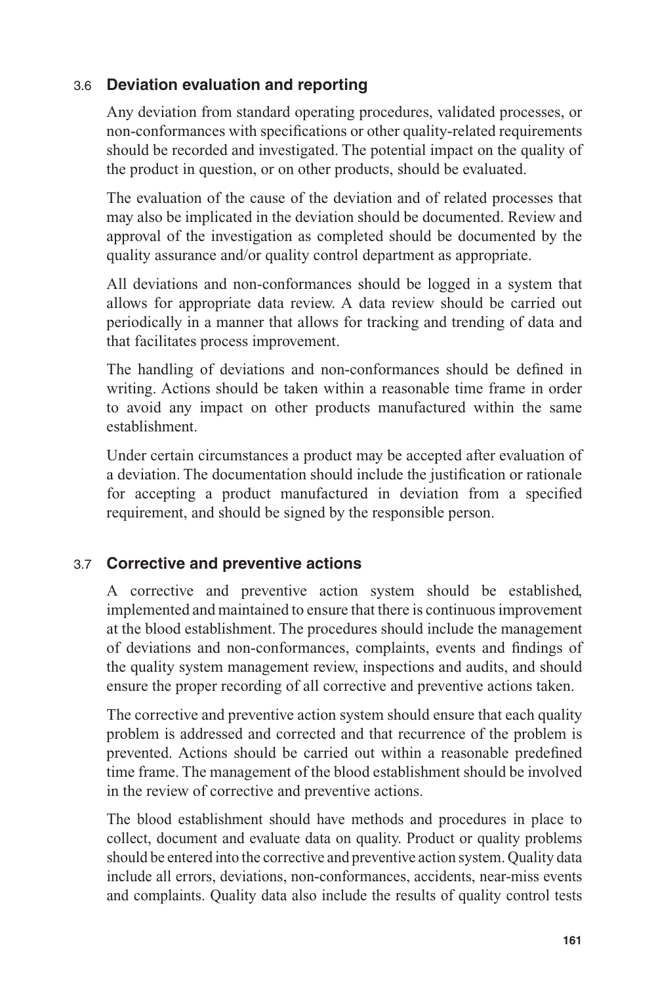## 3.6 **Deviation evaluation and reporting**

Any deviation from standard operating procedures, validated processes, or non-conformances with specifications or other quality-related requirements should be recorded and investigated. The potential impact on the quality of the product in question, or on other products, should be evaluated.

The evaluation of the cause of the deviation and of related processes that may also be implicated in the deviation should be documented. Review and approval of the investigation as completed should be documented by the quality assurance and/or quality control department as appropriate.

All deviations and non-conformances should be logged in a system that allows for appropriate data review. A data review should be carried out periodically in a manner that allows for tracking and trending of data and that facilitates process improvement.

The handling of deviations and non-conformances should be defined in writing. Actions should be taken within a reasonable time frame in order to avoid any impact on other products manufactured within the same establishment.

Under certain circumstances a product may be accepted after evaluation of a deviation. The documentation should include the justification or rationale for accepting a product manufactured in deviation from a specified requirement, and should be signed by the responsible person.

## 3.7 **Corrective and preventive actions**

A corrective and preventive action system should be established, implemented and maintained to ensure that there is continuous improvement at the blood establishment. The procedures should include the management of deviations and non-conformances, complaints, events and findings of the quality system management review, inspections and audits, and should ensure the proper recording of all corrective and preventive actions taken.

The corrective and preventive action system should ensure that each quality problem is addressed and corrected and that recurrence of the problem is prevented. Actions should be carried out within a reasonable predefined time frame. The management of the blood establishment should be involved in the review of corrective and preventive actions.

The blood establishment should have methods and procedures in place to collect, document and evaluate data on quality. Product or quality problems should be entered into the corrective and preventive action system. Quality data include all errors, deviations, non-conformances, accidents, near-miss events and complaints. Quality data also include the results of quality control tests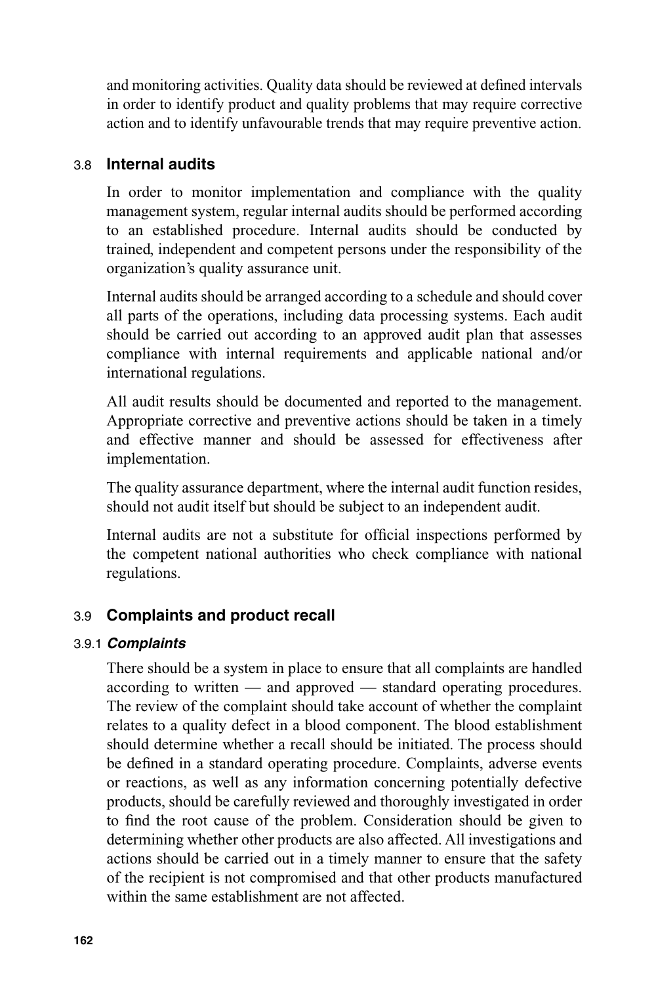and monitoring activities. Quality data should be reviewed at defined intervals in order to identify product and quality problems that may require corrective action and to identify unfavourable trends that may require preventive action.

#### 3.8 **Internal audits**

In order to monitor implementation and compliance with the quality management system, regular internal audits should be performed according to an established procedure. Internal audits should be conducted by trained, independent and competent persons under the responsibility of the organization's quality assurance unit.

Internal audits should be arranged according to a schedule and should cover all parts of the operations, including data processing systems. Each audit should be carried out according to an approved audit plan that assesses compliance with internal requirements and applicable national and/or international regulations.

All audit results should be documented and reported to the management. Appropriate corrective and preventive actions should be taken in a timely and effective manner and should be assessed for effectiveness after implementation.

The quality assurance department, where the internal audit function resides, should not audit itself but should be subject to an independent audit.

Internal audits are not a substitute for official inspections performed by the competent national authorities who check compliance with national regulations.

#### 3.9 **Complaints and product recall**

#### 3.9.1 *Complaints*

There should be a system in place to ensure that all complaints are handled according to written — and approved — standard operating procedures. The review of the complaint should take account of whether the complaint relates to a quality defect in a blood component. The blood establishment should determine whether a recall should be initiated. The process should be defined in a standard operating procedure. Complaints, adverse events or reactions, as well as any information concerning potentially defective products, should be carefully reviewed and thoroughly investigated in order to find the root cause of the problem. Consideration should be given to determining whether other products are also affected. All investigations and actions should be carried out in a timely manner to ensure that the safety of the recipient is not compromised and that other products manufactured within the same establishment are not affected.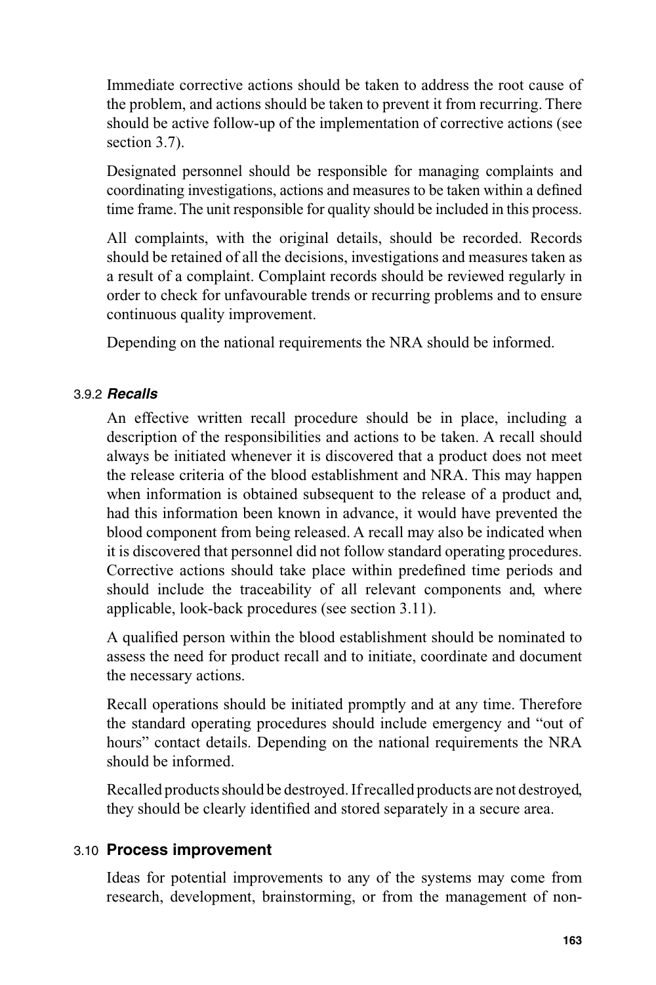Immediate corrective actions should be taken to address the root cause of the problem, and actions should be taken to prevent it from recurring. There should be active follow-up of the implementation of corrective actions (see section 3.7).

Designated personnel should be responsible for managing complaints and coordinating investigations, actions and measures to be taken within a defined time frame. The unit responsible for quality should be included in this process.

All complaints, with the original details, should be recorded. Records should be retained of all the decisions, investigations and measures taken as a result of a complaint. Complaint records should be reviewed regularly in order to check for unfavourable trends or recurring problems and to ensure continuous quality improvement.

Depending on the national requirements the NRA should be informed.

#### 3.9.2 *Recalls*

An effective written recall procedure should be in place, including a description of the responsibilities and actions to be taken. A recall should always be initiated whenever it is discovered that a product does not meet the release criteria of the blood establishment and NRA. This may happen when information is obtained subsequent to the release of a product and, had this information been known in advance, it would have prevented the blood component from being released. A recall may also be indicated when it is discovered that personnel did not follow standard operating procedures. Corrective actions should take place within predefined time periods and should include the traceability of all relevant components and, where applicable, look-back procedures (see section 3.11).

A qualified person within the blood establishment should be nominated to assess the need for product recall and to initiate, coordinate and document the necessary actions.

Recall operations should be initiated promptly and at any time. Therefore the standard operating procedures should include emergency and "out of hours" contact details. Depending on the national requirements the NRA should be informed.

Recalled products should be destroyed. If recalled products are not destroyed, they should be clearly identified and stored separately in a secure area.

#### 3.10 **Process improvement**

Ideas for potential improvements to any of the systems may come from research, development, brainstorming, or from the management of non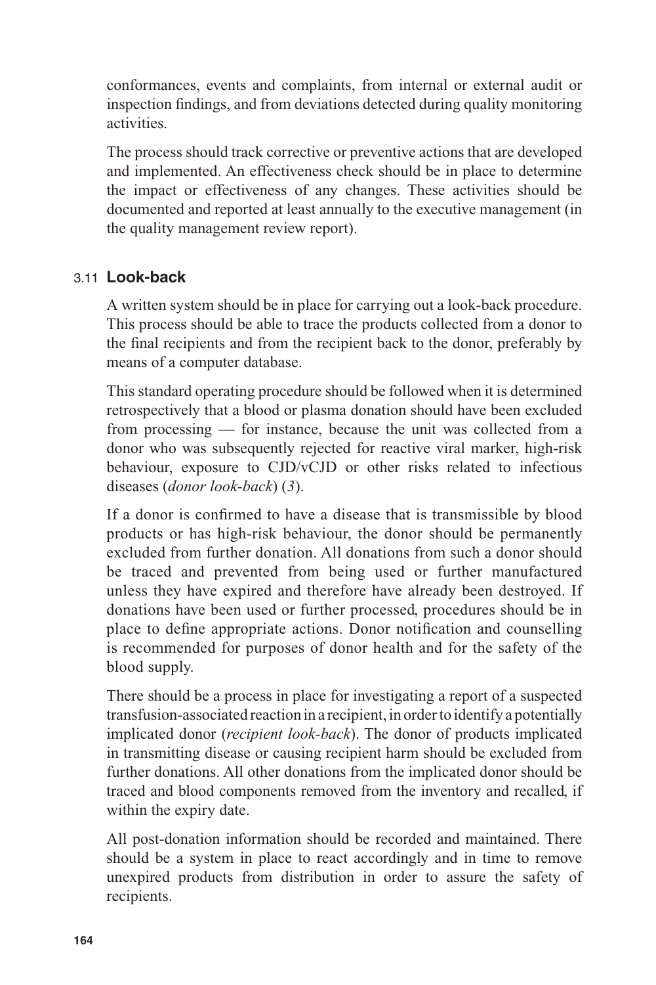conformances, events and complaints, from internal or external audit or inspection findings, and from deviations detected during quality monitoring activities.

The process should track corrective or preventive actions that are developed and implemented. An effectiveness check should be in place to determine the impact or effectiveness of any changes. These activities should be documented and reported at least annually to the executive management (in the quality management review report).

## 3.11 **Look-back**

A written system should be in place for carrying out a look-back procedure. This process should be able to trace the products collected from a donor to the final recipients and from the recipient back to the donor, preferably by means of a computer database.

This standard operating procedure should be followed when it is determined retrospectively that a blood or plasma donation should have been excluded from processing — for instance, because the unit was collected from a donor who was subsequently rejected for reactive viral marker, high-risk behaviour, exposure to CJD/vCJD or other risks related to infectious diseases (*donor look-back*) (*3*).

If a donor is confirmed to have a disease that is transmissible by blood products or has high-risk behaviour, the donor should be permanently excluded from further donation. All donations from such a donor should be traced and prevented from being used or further manufactured unless they have expired and therefore have already been destroyed. If donations have been used or further processed, procedures should be in place to define appropriate actions. Donor notification and counselling is recommended for purposes of donor health and for the safety of the blood supply.

There should be a process in place for investigating a report of a suspected transfusion-associated reaction in a recipient, in order to identify a potentially implicated donor (*recipient look-back*). The donor of products implicated in transmitting disease or causing recipient harm should be excluded from further donations. All other donations from the implicated donor should be traced and blood components removed from the inventory and recalled, if within the expiry date.

All post-donation information should be recorded and maintained. There should be a system in place to react accordingly and in time to remove unexpired products from distribution in order to assure the safety of recipients.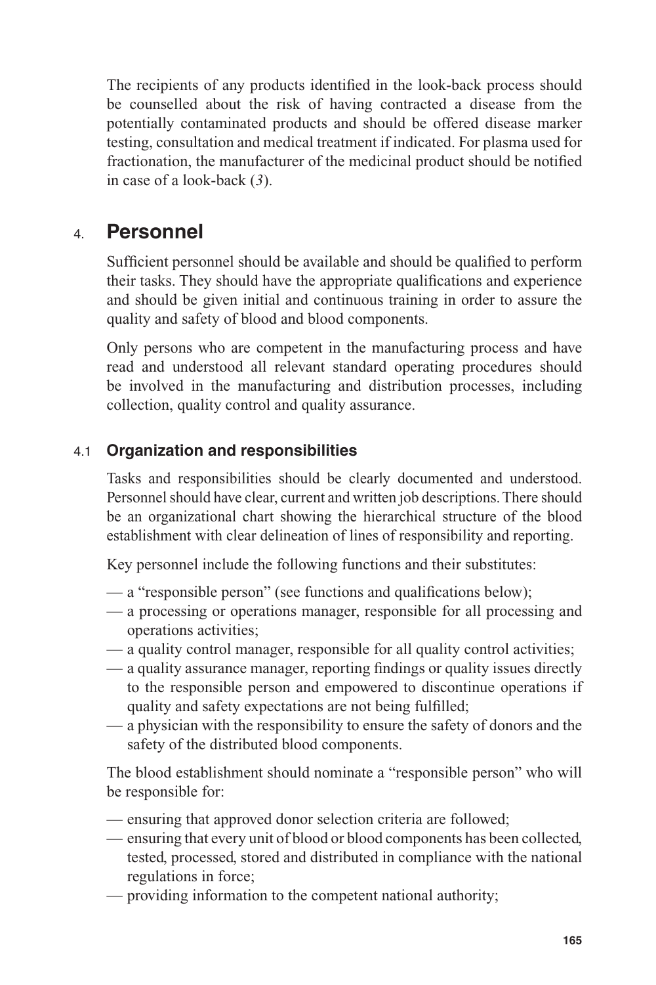The recipients of any products identified in the look-back process should be counselled about the risk of having contracted a disease from the potentially contaminated products and should be offered disease marker testing, consultation and medical treatment if indicated. For plasma used for fractionation, the manufacturer of the medicinal product should be notified in case of a look-back (*3*).

# 4. **Personnel**

Sufficient personnel should be available and should be qualified to perform their tasks. They should have the appropriate qualifications and experience and should be given initial and continuous training in order to assure the quality and safety of blood and blood components.

Only persons who are competent in the manufacturing process and have read and understood all relevant standard operating procedures should be involved in the manufacturing and distribution processes, including collection, quality control and quality assurance.

## 4.1 **Organization and responsibilities**

Tasks and responsibilities should be clearly documented and understood. Personnel should have clear, current and written job descriptions. There should be an organizational chart showing the hierarchical structure of the blood establishment with clear delineation of lines of responsibility and reporting.

Key personnel include the following functions and their substitutes:

- $\frac{1}{2}$   $\frac{1}{2}$   $\frac{1}{2}$   $\frac{1}{2}$   $\frac{1}{2}$   $\frac{1}{2}$   $\frac{1}{2}$   $\frac{1}{2}$   $\frac{1}{2}$   $\frac{1}{2}$   $\frac{1}{2}$   $\frac{1}{2}$   $\frac{1}{2}$   $\frac{1}{2}$   $\frac{1}{2}$   $\frac{1}{2}$   $\frac{1}{2}$   $\frac{1}{2}$   $\frac{1}{2}$   $\frac{1}{2}$   $\frac{1}{2}$   $\frac{1}{2}$
- a processing or operations manager, responsible for all processing and operations activities;
- a quality control manager, responsible for all quality control activities;
- $-\alpha$  quality assurance manager, reporting findings or quality issues directly to the responsible person and empowered to discontinue operations if quality and safety expectations are not being fulfilled;
- a physician with the responsibility to ensure the safety of donors and the safety of the distributed blood components.

The blood establishment should nominate a "responsible person" who will be responsible for:

- ensuring that approved donor selection criteria are followed;
- ensuring that every unit of blood or blood components has been collected, tested, processed, stored and distributed in compliance with the national regulations in force;
- providing information to the competent national authority;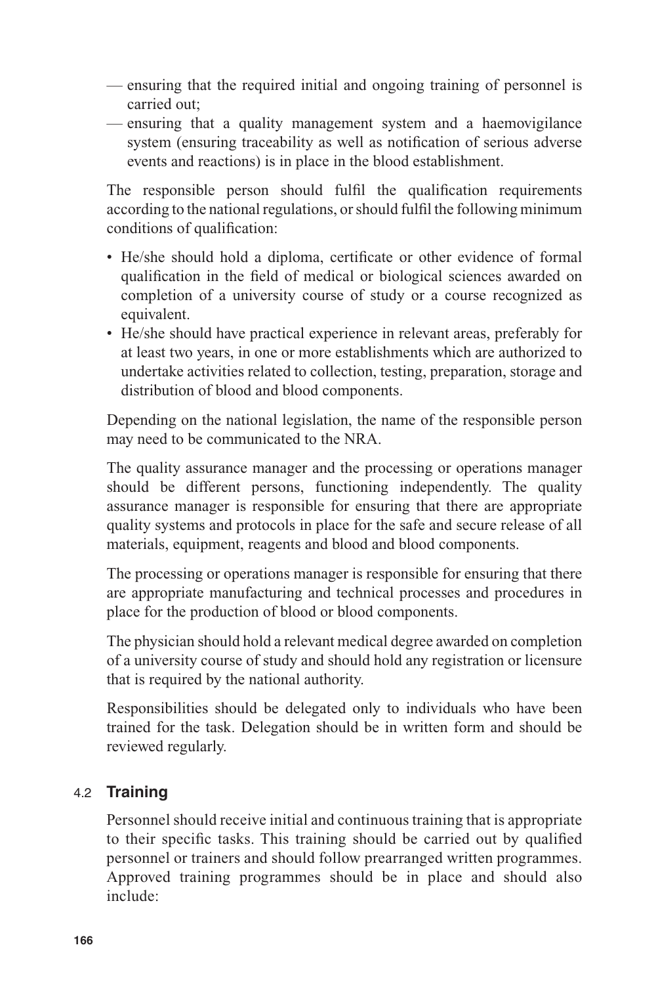- ensuring that the required initial and ongoing training of personnel is carried out;
- ensuring that a quality management system and a haemovigilance system (ensuring traceability as well as notification of serious adverse events and reactions) is in place in the blood establishment.

The responsible person should fulfil the qualification requirements according to the national regulations, or should fulfil the following minimum conditions of qualification:

- He/she should hold a diploma, certificate or other evidence of formal qualification in the field of medical or biological sciences awarded on completion of a university course of study or a course recognized as equivalent.
- He/she should have practical experience in relevant areas, preferably for at least two years, in one or more establishments which are authorized to undertake activities related to collection, testing, preparation, storage and distribution of blood and blood components.

Depending on the national legislation, the name of the responsible person may need to be communicated to the NRA.

The quality assurance manager and the processing or operations manager should be different persons, functioning independently. The quality assurance manager is responsible for ensuring that there are appropriate quality systems and protocols in place for the safe and secure release of all materials, equipment, reagents and blood and blood components.

The processing or operations manager is responsible for ensuring that there are appropriate manufacturing and technical processes and procedures in place for the production of blood or blood components.

The physician should hold a relevant medical degree awarded on completion of a university course of study and should hold any registration or licensure that is required by the national authority.

Responsibilities should be delegated only to individuals who have been trained for the task. Delegation should be in written form and should be reviewed regularly.

## 4.2 **Training**

Personnel should receive initial and continuous training that is appropriate to their specific tasks. This training should be carried out by qualified personnel or trainers and should follow prearranged written programmes. Approved training programmes should be in place and should also include: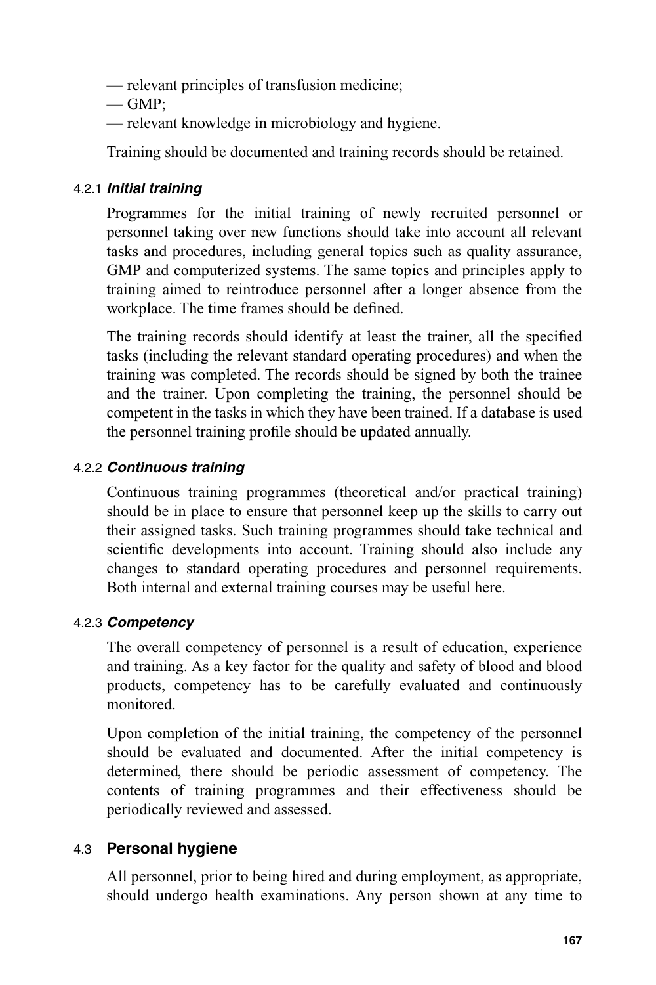- relevant principles of transfusion medicine;
- $\equiv$  GMP:
- relevant knowledge in microbiology and hygiene.

Training should be documented and training records should be retained.

## 4.2.1 *Initial training*

Programmes for the initial training of newly recruited personnel or personnel taking over new functions should take into account all relevant tasks and procedures, including general topics such as quality assurance, GMP and computerized systems. The same topics and principles apply to training aimed to reintroduce personnel after a longer absence from the workplace. The time frames should be defined.

The training records should identify at least the trainer, all the specified tasks (including the relevant standard operating procedures) and when the training was completed. The records should be signed by both the trainee and the trainer. Upon completing the training, the personnel should be competent in the tasks in which they have been trained. If a database is used the personnel training profile should be updated annually.

## 4.2.2 *Continuous training*

Continuous training programmes (theoretical and/or practical training) should be in place to ensure that personnel keep up the skills to carry out their assigned tasks. Such training programmes should take technical and scientific developments into account. Training should also include any changes to standard operating procedures and personnel requirements. Both internal and external training courses may be useful here.

## 4.2.3 *Competency*

The overall competency of personnel is a result of education, experience and training. As a key factor for the quality and safety of blood and blood products, competency has to be carefully evaluated and continuously monitored.

Upon completion of the initial training, the competency of the personnel should be evaluated and documented. After the initial competency is determined, there should be periodic assessment of competency. The contents of training programmes and their effectiveness should be periodically reviewed and assessed.

## 4.3 **Personal hygiene**

All personnel, prior to being hired and during employment, as appropriate, should undergo health examinations. Any person shown at any time to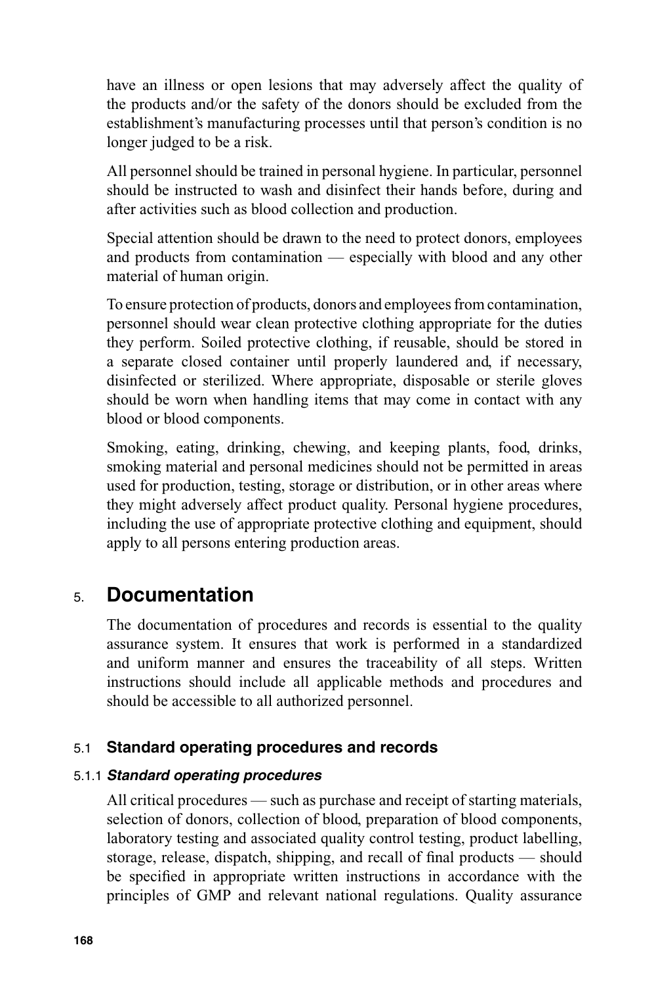have an illness or open lesions that may adversely affect the quality of the products and/or the safety of the donors should be excluded from the establishment's manufacturing processes until that person's condition is no longer judged to be a risk.

All personnel should be trained in personal hygiene. In particular, personnel should be instructed to wash and disinfect their hands before, during and after activities such as blood collection and production.

Special attention should be drawn to the need to protect donors, employees and products from contamination — especially with blood and any other material of human origin.

To ensure protection of products, donors and employees from contamination, personnel should wear clean protective clothing appropriate for the duties they perform. Soiled protective clothing, if reusable, should be stored in a separate closed container until properly laundered and, if necessary, disinfected or sterilized. Where appropriate, disposable or sterile gloves should be worn when handling items that may come in contact with any blood or blood components.

Smoking, eating, drinking, chewing, and keeping plants, food, drinks, smoking material and personal medicines should not be permitted in areas used for production, testing, storage or distribution, or in other areas where they might adversely affect product quality. Personal hygiene procedures, including the use of appropriate protective clothing and equipment, should apply to all persons entering production areas.

# 5. **Documentation**

The documentation of procedures and records is essential to the quality assurance system. It ensures that work is performed in a standardized and uniform manner and ensures the traceability of all steps. Written instructions should include all applicable methods and procedures and should be accessible to all authorized personnel.

## 5.1 **Standard operating procedures and records**

#### 5.1.1 *Standard operating procedures*

All critical procedures — such as purchase and receipt of starting materials, selection of donors, collection of blood, preparation of blood components, laboratory testing and associated quality control testing, product labelling, storage, release, dispatch, shipping, and recall of final products  $-$  should be specified in appropriate written instructions in accordance with the principles of GMP and relevant national regulations. Quality assurance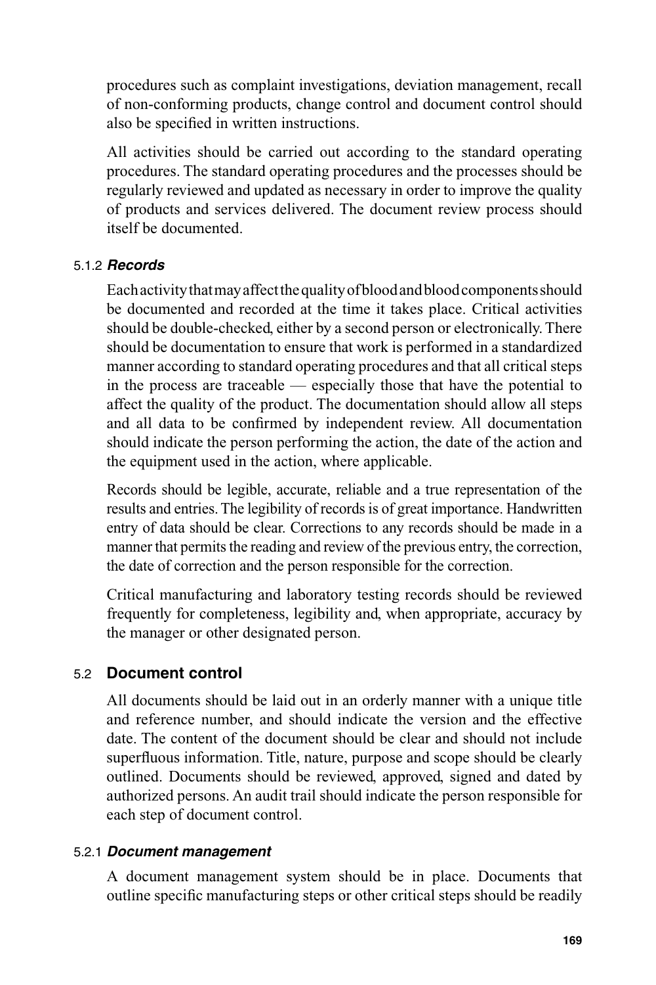procedures such as complaint investigations, deviation management, recall of non-conforming products, change control and document control should also be specified in written instructions.

All activities should be carried out according to the standard operating procedures. The standard operating procedures and the processes should be regularly reviewed and updated as necessary in order to improve the quality of products and services delivered. The document review process should itself be documented.

#### 5.1.2 *Records*

Each activity that may affect the quality of blood and blood components should be documented and recorded at the time it takes place. Critical activities should be double-checked, either by a second person or electronically. There should be documentation to ensure that work is performed in a standardized manner according to standard operating procedures and that all critical steps in the process are traceable — especially those that have the potential to affect the quality of the product. The documentation should allow all steps and all data to be confirmed by independent review. All documentation should indicate the person performing the action, the date of the action and the equipment used in the action, where applicable.

Records should be legible, accurate, reliable and a true representation of the results and entries. The legibility of records is of great importance. Handwritten entry of data should be clear. Corrections to any records should be made in a manner that permits the reading and review of the previous entry, the correction, the date of correction and the person responsible for the correction.

Critical manufacturing and laboratory testing records should be reviewed frequently for completeness, legibility and, when appropriate, accuracy by the manager or other designated person.

#### 5.2 **Document control**

All documents should be laid out in an orderly manner with a unique title and reference number, and should indicate the version and the effective date. The content of the document should be clear and should not include superfluous information. Title, nature, purpose and scope should be clearly outlined. Documents should be reviewed, approved, signed and dated by authorized persons. An audit trail should indicate the person responsible for each step of document control.

#### 5.2.1 *Document management*

A document management system should be in place. Documents that outline specific manufacturing steps or other critical steps should be readily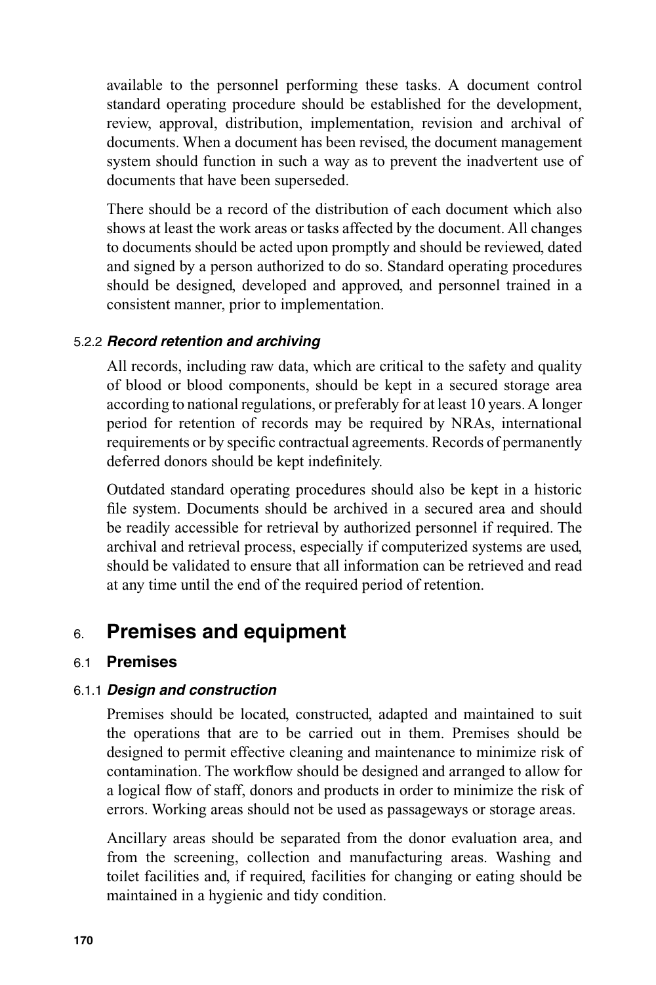available to the personnel performing these tasks. A document control standard operating procedure should be established for the development, review, approval, distribution, implementation, revision and archival of documents. When a document has been revised, the document management system should function in such a way as to prevent the inadvertent use of documents that have been superseded.

There should be a record of the distribution of each document which also shows at least the work areas or tasks affected by the document. All changes to documents should be acted upon promptly and should be reviewed, dated and signed by a person authorized to do so. Standard operating procedures should be designed, developed and approved, and personnel trained in a consistent manner, prior to implementation.

#### 5.2.2 *Record retention and archiving*

All records, including raw data, which are critical to the safety and quality of blood or blood components, should be kept in a secured storage area according to national regulations, or preferably for at least 10 years. A longer period for retention of records may be required by NRAs, international requirements or by specific contractual agreements. Records of permanently deferred donors should be kept indefinitely.

Outdated standard operating procedures should also be kept in a historic file system. Documents should be archived in a secured area and should be readily accessible for retrieval by authorized personnel if required. The archival and retrieval process, especially if computerized systems are used, should be validated to ensure that all information can be retrieved and read at any time until the end of the required period of retention.

# 6. **Premises and equipment**

#### 6.1 **Premises**

#### 6.1.1 *Design and construction*

Premises should be located, constructed, adapted and maintained to suit the operations that are to be carried out in them. Premises should be designed to permit effective cleaning and maintenance to minimize risk of contamination. The workflow should be designed and arranged to allow for a logical flow of staff, donors and products in order to minimize the risk of errors. Working areas should not be used as passageways or storage areas.

Ancillary areas should be separated from the donor evaluation area, and from the screening, collection and manufacturing areas. Washing and toilet facilities and, if required, facilities for changing or eating should be maintained in a hygienic and tidy condition.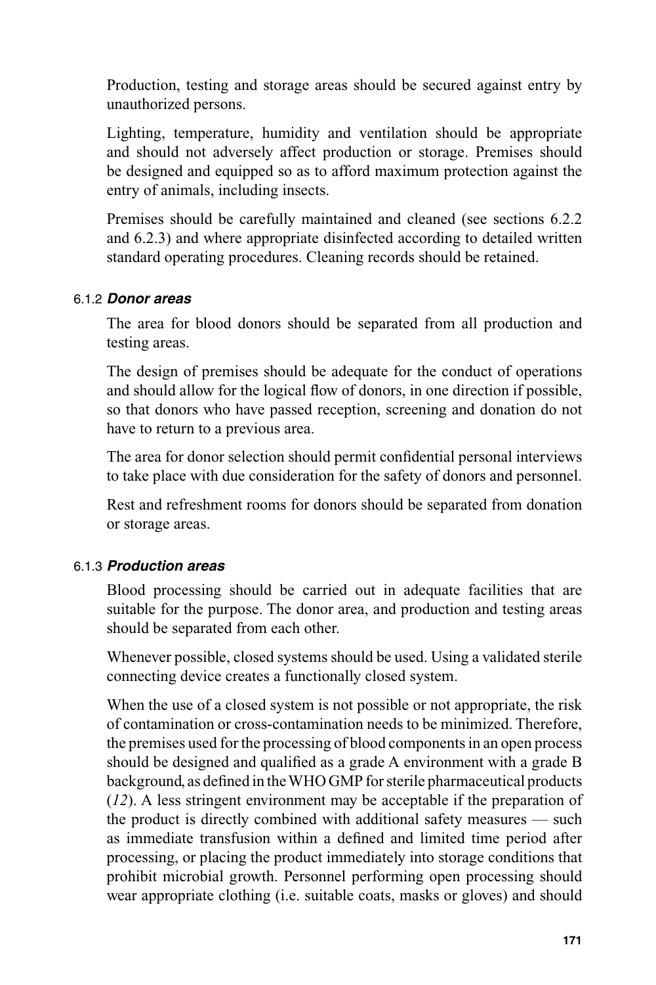Production, testing and storage areas should be secured against entry by unauthorized persons.

Lighting, temperature, humidity and ventilation should be appropriate and should not adversely affect production or storage. Premises should be designed and equipped so as to afford maximum protection against the entry of animals, including insects.

Premises should be carefully maintained and cleaned (see sections 6.2.2 and 6.2.3) and where appropriate disinfected according to detailed written standard operating procedures. Cleaning records should be retained.

#### 6.1.2 *Donor areas*

The area for blood donors should be separated from all production and testing areas.

The design of premises should be adequate for the conduct of operations and should allow for the logical flow of donors, in one direction if possible, so that donors who have passed reception, screening and donation do not have to return to a previous area.

The area for donor selection should permit confidential personal interviews to take place with due consideration for the safety of donors and personnel.

Rest and refreshment rooms for donors should be separated from donation or storage areas.

#### 6.1.3 *Production areas*

Blood processing should be carried out in adequate facilities that are suitable for the purpose. The donor area, and production and testing areas should be separated from each other.

Whenever possible, closed systems should be used. Using a validated sterile connecting device creates a functionally closed system.

When the use of a closed system is not possible or not appropriate, the risk of contamination or cross-contamination needs to be minimized. Therefore, the premises used for the processing of blood components in an open process should be designed and qualified as a grade A environment with a grade B background, as defined in the WHO GMP for sterile pharmaceutical products (*12*). A less stringent environment may be acceptable if the preparation of the product is directly combined with additional safety measures — such as immediate transfusion within a defined and limited time period after processing, or placing the product immediately into storage conditions that prohibit microbial growth. Personnel performing open processing should wear appropriate clothing (i.e. suitable coats, masks or gloves) and should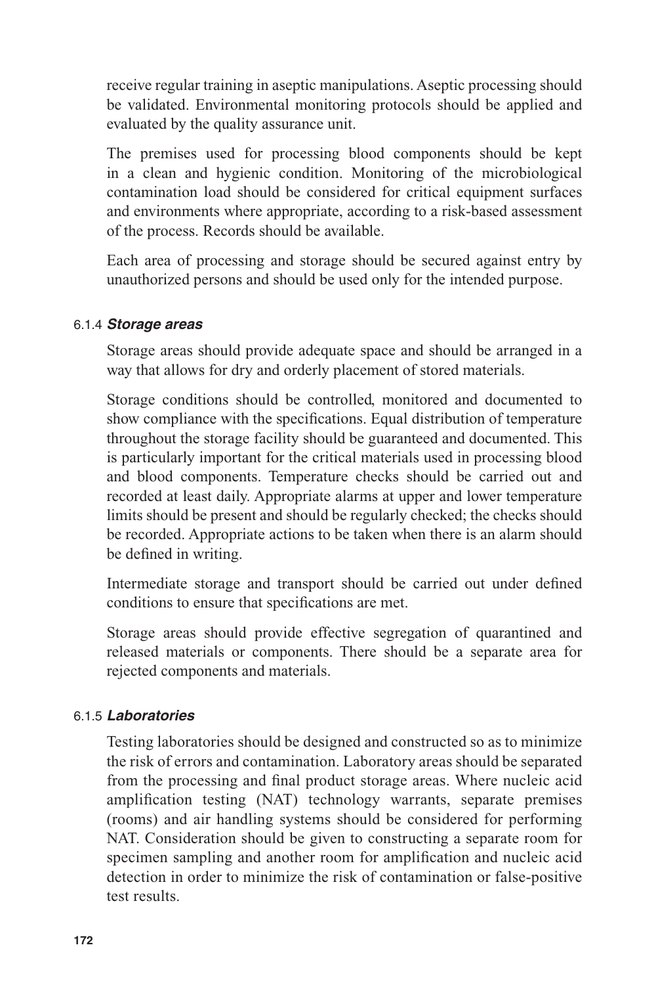receive regular training in aseptic manipulations. Aseptic processing should be validated. Environmental monitoring protocols should be applied and evaluated by the quality assurance unit.

The premises used for processing blood components should be kept in a clean and hygienic condition. Monitoring of the microbiological contamination load should be considered for critical equipment surfaces and environments where appropriate, according to a risk-based assessment of the process. Records should be available.

Each area of processing and storage should be secured against entry by unauthorized persons and should be used only for the intended purpose.

#### 6.1.4 *Storage areas*

Storage areas should provide adequate space and should be arranged in a way that allows for dry and orderly placement of stored materials.

Storage conditions should be controlled, monitored and documented to show compliance with the specifications. Equal distribution of temperature throughout the storage facility should be guaranteed and documented. This is particularly important for the critical materials used in processing blood and blood components. Temperature checks should be carried out and recorded at least daily. Appropriate alarms at upper and lower temperature limits should be present and should be regularly checked; the checks should be recorded. Appropriate actions to be taken when there is an alarm should be defined in writing.

Intermediate storage and transport should be carried out under defined conditions to ensure that specifications are met.

Storage areas should provide effective segregation of quarantined and released materials or components. There should be a separate area for rejected components and materials.

#### 6.1.5 *Laboratories*

Testing laboratories should be designed and constructed so as to minimize the risk of errors and contamination. Laboratory areas should be separated from the processing and final product storage areas. Where nucleic acid amplification testing (NAT) technology warrants, separate premises (rooms) and air handling systems should be considered for performing NAT. Consideration should be given to constructing a separate room for specimen sampling and another room for amplification and nucleic acid detection in order to minimize the risk of contamination or false-positive test results.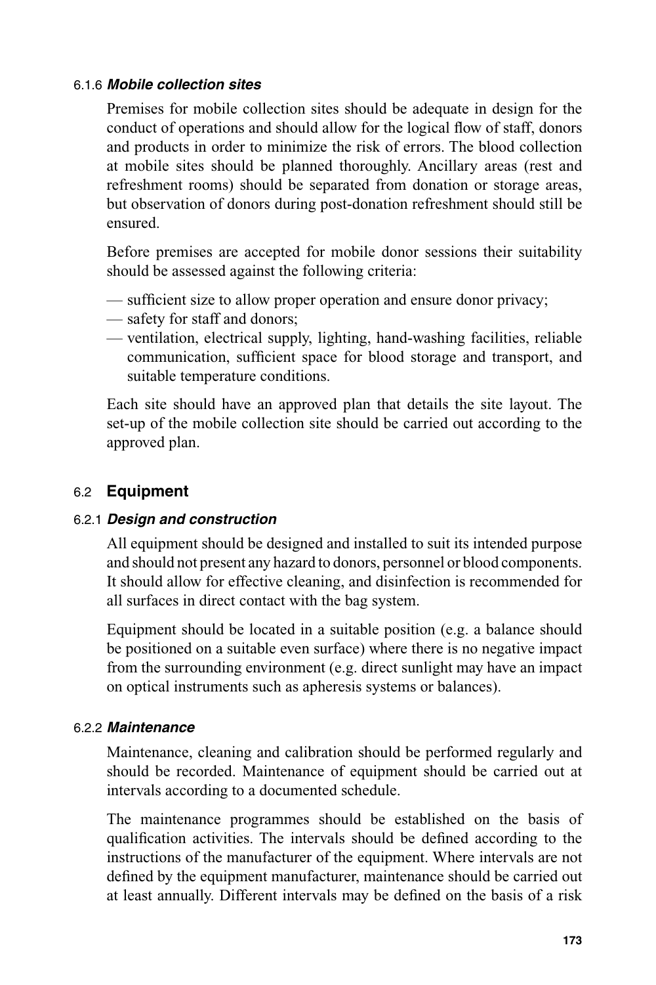#### 6.1.6 *Mobile collection sites*

Premises for mobile collection sites should be adequate in design for the conduct of operations and should allow for the logical flow of staff, donors and products in order to minimize the risk of errors. The blood collection at mobile sites should be planned thoroughly. Ancillary areas (rest and refreshment rooms) should be separated from donation or storage areas, but observation of donors during post-donation refreshment should still be ensured.

Before premises are accepted for mobile donor sessions their suitability should be assessed against the following criteria:

- sufficient size to allow proper operation and ensure donor privacy;
- safety for staff and donors;
- ventilation, electrical supply, lighting, hand-washing facilities, reliable communication, sufficient space for blood storage and transport, and suitable temperature conditions.

Each site should have an approved plan that details the site layout. The set-up of the mobile collection site should be carried out according to the approved plan.

## 6.2 **Equipment**

#### 6.2.1 *Design and construction*

All equipment should be designed and installed to suit its intended purpose and should not present any hazard to donors, personnel or blood components. It should allow for effective cleaning, and disinfection is recommended for all surfaces in direct contact with the bag system.

Equipment should be located in a suitable position (e.g. a balance should be positioned on a suitable even surface) where there is no negative impact from the surrounding environment (e.g. direct sunlight may have an impact on optical instruments such as apheresis systems or balances).

#### 6.2.2 *Maintenance*

Maintenance, cleaning and calibration should be performed regularly and should be recorded. Maintenance of equipment should be carried out at intervals according to a documented schedule.

The maintenance programmes should be established on the basis of qualification activities. The intervals should be defined according to the instructions of the manufacturer of the equipment. Where intervals are not defined by the equipment manufacturer, maintenance should be carried out at least annually. Different intervals may be defined on the basis of a risk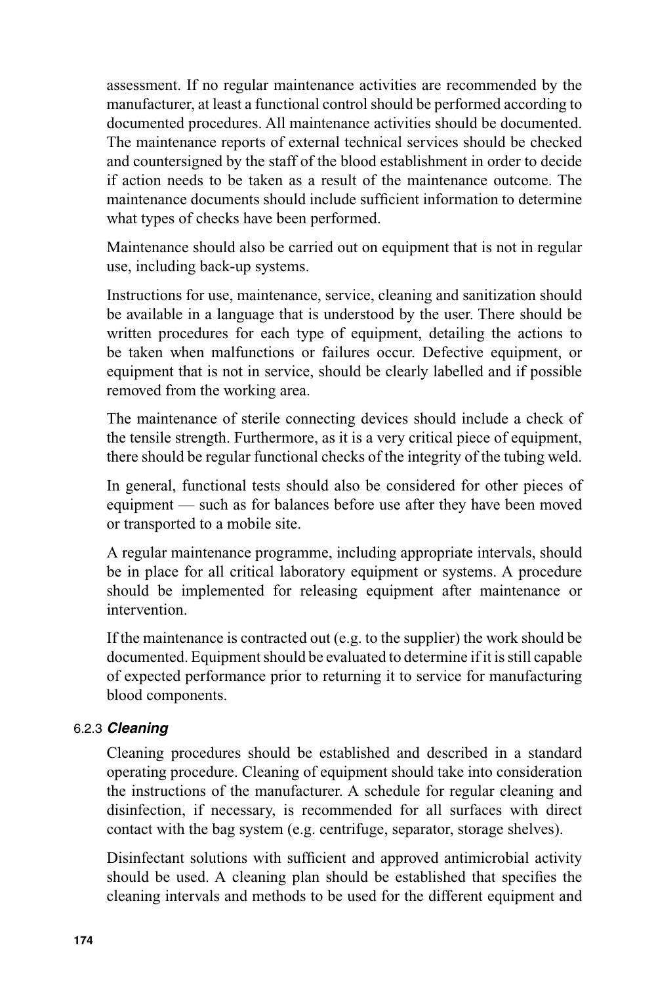assessment. If no regular maintenance activities are recommended by the manufacturer, at least a functional control should be performed according to documented procedures. All maintenance activities should be documented. The maintenance reports of external technical services should be checked and countersigned by the staff of the blood establishment in order to decide if action needs to be taken as a result of the maintenance outcome. The maintenance documents should include sufficient information to determine what types of checks have been performed.

Maintenance should also be carried out on equipment that is not in regular use, including back-up systems.

Instructions for use, maintenance, service, cleaning and sanitization should be available in a language that is understood by the user. There should be written procedures for each type of equipment, detailing the actions to be taken when malfunctions or failures occur. Defective equipment, or equipment that is not in service, should be clearly labelled and if possible removed from the working area.

The maintenance of sterile connecting devices should include a check of the tensile strength. Furthermore, as it is a very critical piece of equipment, there should be regular functional checks of the integrity of the tubing weld.

In general, functional tests should also be considered for other pieces of equipment — such as for balances before use after they have been moved or transported to a mobile site.

A regular maintenance programme, including appropriate intervals, should be in place for all critical laboratory equipment or systems. A procedure should be implemented for releasing equipment after maintenance or intervention.

If the maintenance is contracted out (e.g. to the supplier) the work should be documented. Equipment should be evaluated to determine if it is still capable of expected performance prior to returning it to service for manufacturing blood components.

#### 6.2.3 *Cleaning*

Cleaning procedures should be established and described in a standard operating procedure. Cleaning of equipment should take into consideration the instructions of the manufacturer. A schedule for regular cleaning and disinfection, if necessary, is recommended for all surfaces with direct contact with the bag system (e.g. centrifuge, separator, storage shelves).

Disinfectant solutions with sufficient and approved antimicrobial activity should be used. A cleaning plan should be established that specifies the cleaning intervals and methods to be used for the different equipment and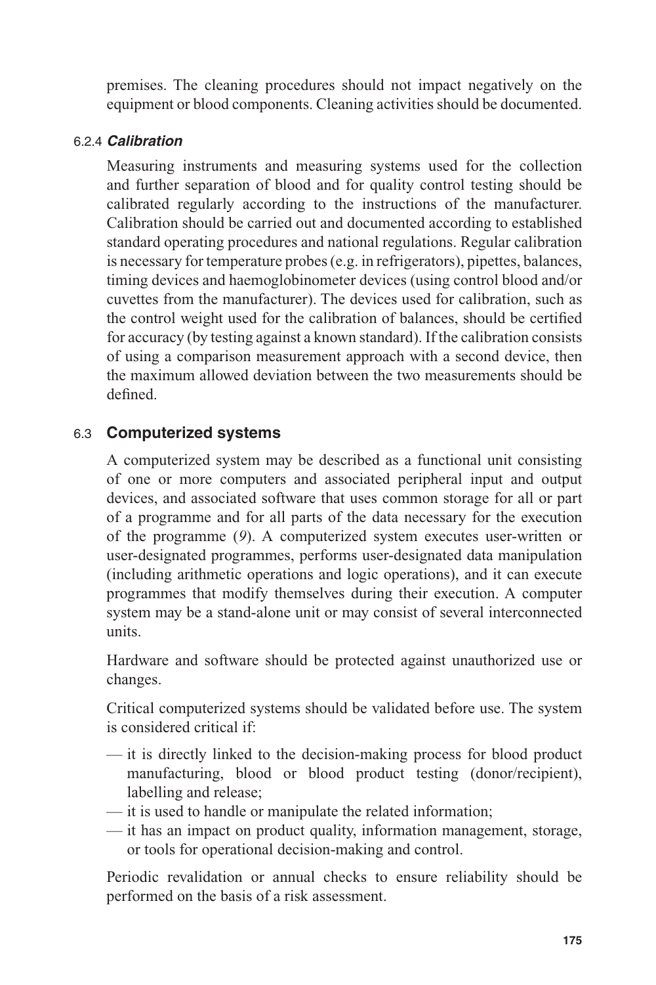premises. The cleaning procedures should not impact negatively on the equipment or blood components. Cleaning activities should be documented.

#### 6.2.4 *Calibration*

Measuring instruments and measuring systems used for the collection and further separation of blood and for quality control testing should be calibrated regularly according to the instructions of the manufacturer. Calibration should be carried out and documented according to established standard operating procedures and national regulations. Regular calibration is necessary for temperature probes (e.g. in refrigerators), pipettes, balances, timing devices and haemoglobinometer devices (using control blood and/or cuvettes from the manufacturer). The devices used for calibration, such as the control weight used for the calibration of balances, should be certified for accuracy (by testing against a known standard). If the calibration consists of using a comparison measurement approach with a second device, then the maximum allowed deviation between the two measurements should be defined.

#### 6.3 **Computerized systems**

A computerized system may be described as a functional unit consisting of one or more computers and associated peripheral input and output devices, and associated software that uses common storage for all or part of a programme and for all parts of the data necessary for the execution of the programme (*9*). A computerized system executes user-written or user-designated programmes, performs user-designated data manipulation (including arithmetic operations and logic operations), and it can execute programmes that modify themselves during their execution. A computer system may be a stand-alone unit or may consist of several interconnected units.

Hardware and software should be protected against unauthorized use or changes.

Critical computerized systems should be validated before use. The system is considered critical if:

- it is directly linked to the decision-making process for blood product manufacturing, blood or blood product testing (donor/recipient), labelling and release;
- it is used to handle or manipulate the related information;
- it has an impact on product quality, information management, storage, or tools for operational decision-making and control.

Periodic revalidation or annual checks to ensure reliability should be performed on the basis of a risk assessment.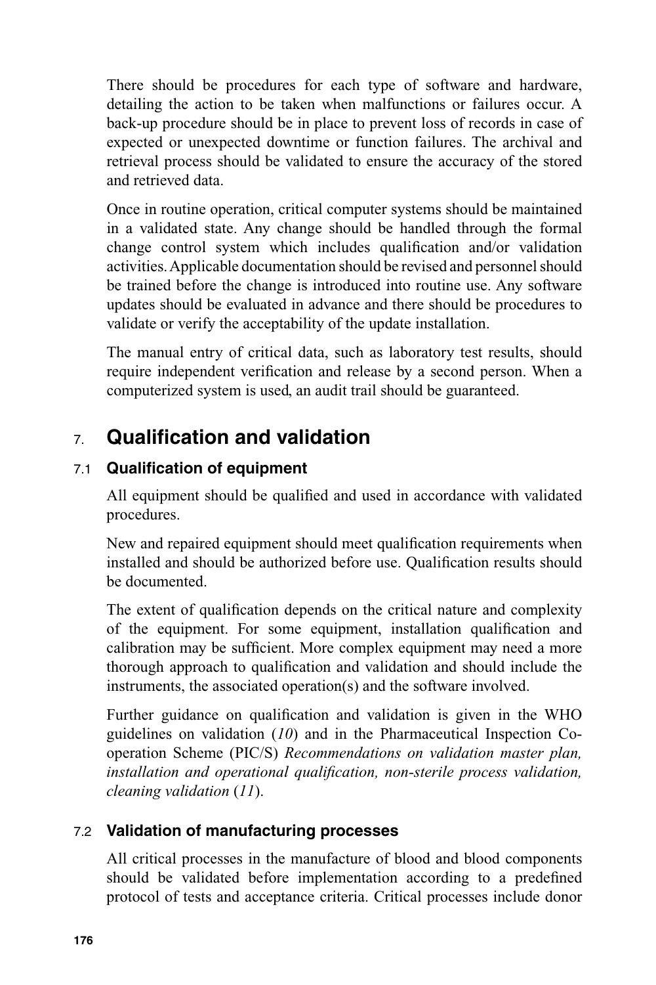There should be procedures for each type of software and hardware, detailing the action to be taken when malfunctions or failures occur. A back-up procedure should be in place to prevent loss of records in case of expected or unexpected downtime or function failures. The archival and retrieval process should be validated to ensure the accuracy of the stored and retrieved data.

Once in routine operation, critical computer systems should be maintained in a validated state. Any change should be handled through the formal change control system which includes qualification and/or validation activities. Applicable documentation should be revised and personnel should be trained before the change is introduced into routine use. Any software updates should be evaluated in advance and there should be procedures to validate or verify the acceptability of the update installation.

The manual entry of critical data, such as laboratory test results, should require independent verification and release by a second person. When a computerized system is used, an audit trail should be guaranteed.

# 7. **Qualifi cation and validation**

## 7.1 **Qualification of equipment**

All equipment should be qualified and used in accordance with validated procedures.

New and repaired equipment should meet qualification requirements when installed and should be authorized before use. Qualification results should be documented.

The extent of qualification depends on the critical nature and complexity of the equipment. For some equipment, installation qualification and calibration may be sufficient. More complex equipment may need a more thorough approach to qualification and validation and should include the instruments, the associated operation(s) and the software involved.

Further guidance on qualification and validation is given in the WHO guidelines on validation (*10*) and in the Pharmaceutical Inspection Cooperation Scheme (PIC/S) *Recommendations on validation master plan,*  installation and operational qualification, non-sterile process validation, *cleaning validation* (*11*).

## 7.2 **Validation of manufacturing processes**

All critical processes in the manufacture of blood and blood components should be validated before implementation according to a predefined protocol of tests and acceptance criteria. Critical processes include donor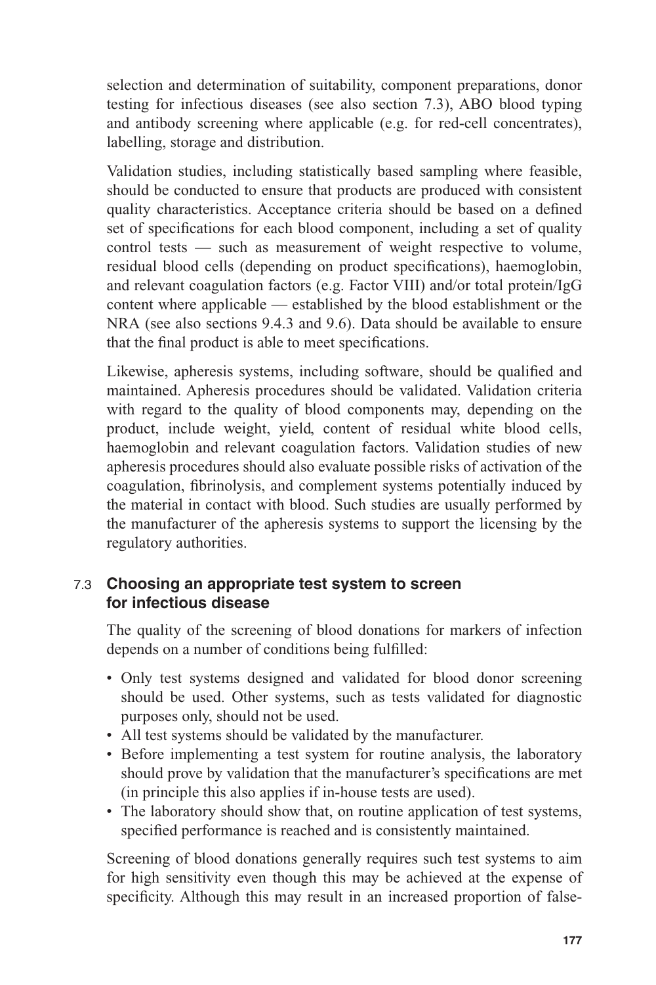selection and determination of suitability, component preparations, donor testing for infectious diseases (see also section 7.3), ABO blood typing and antibody screening where applicable (e.g. for red-cell concentrates), labelling, storage and distribution.

Validation studies, including statistically based sampling where feasible, should be conducted to ensure that products are produced with consistent quality characteristics. Acceptance criteria should be based on a defined set of specifications for each blood component, including a set of quality control tests — such as measurement of weight respective to volume, residual blood cells (depending on product specifications), haemoglobin, and relevant coagulation factors (e.g. Factor VIII) and/or total protein/IgG content where applicable — established by the blood establishment or the NRA (see also sections 9.4.3 and 9.6). Data should be available to ensure that the final product is able to meet specifications.

Likewise, apheresis systems, including software, should be qualified and maintained. Apheresis procedures should be validated. Validation criteria with regard to the quality of blood components may, depending on the product, include weight, yield, content of residual white blood cells, haemoglobin and relevant coagulation factors. Validation studies of new apheresis procedures should also evaluate possible risks of activation of the coagulation, fibrinolysis, and complement systems potentially induced by the material in contact with blood. Such studies are usually performed by the manufacturer of the apheresis systems to support the licensing by the regulatory authorities.

## 7.3 **Choosing an appropriate test system to screen for infectious disease**

The quality of the screening of blood donations for markers of infection depends on a number of conditions being fulfilled:

- Only test systems designed and validated for blood donor screening should be used. Other systems, such as tests validated for diagnostic purposes only, should not be used.
- All test systems should be validated by the manufacturer.
- Before implementing a test system for routine analysis, the laboratory should prove by validation that the manufacturer's specifications are met (in principle this also applies if in-house tests are used).
- The laboratory should show that, on routine application of test systems, specified performance is reached and is consistently maintained.

Screening of blood donations generally requires such test systems to aim for high sensitivity even though this may be achieved at the expense of specificity. Although this may result in an increased proportion of false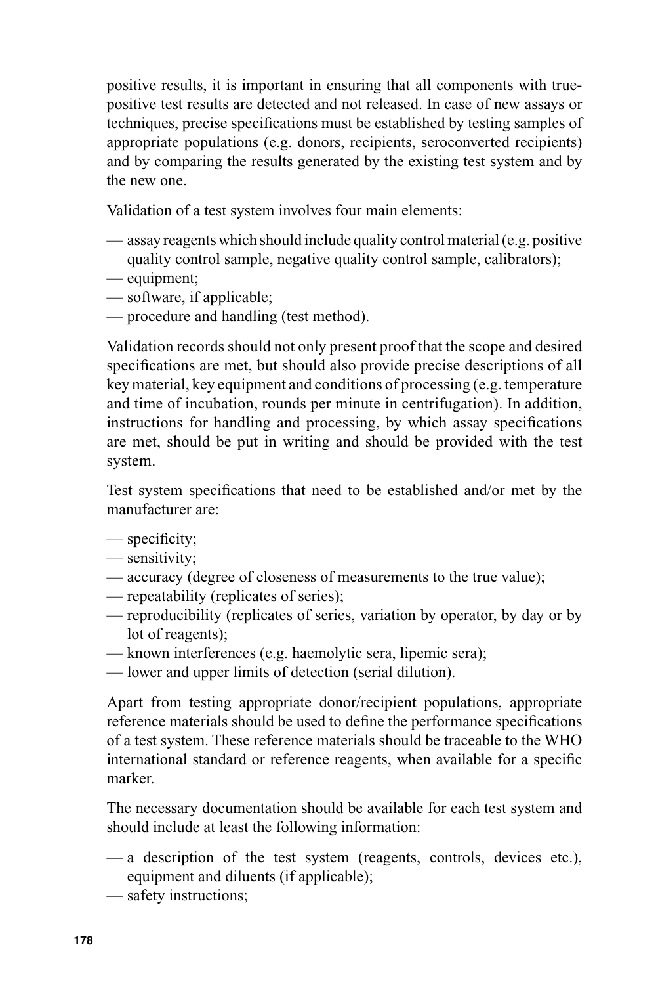positive results, it is important in ensuring that all components with truepositive test results are detected and not released. In case of new assays or techniques, precise specifications must be established by testing samples of appropriate populations (e.g. donors, recipients, seroconverted recipients) and by comparing the results generated by the existing test system and by the new one.

Validation of a test system involves four main elements:

- assay reagents which should include quality control material (e.g. positive quality control sample, negative quality control sample, calibrators);
- equipment;
- software, if applicable;
- procedure and handling (test method).

Validation records should not only present proof that the scope and desired specifications are met, but should also provide precise descriptions of all key material, key equipment and conditions of processing (e.g. temperature and time of incubation, rounds per minute in centrifugation). In addition, instructions for handling and processing, by which assay specifications are met, should be put in writing and should be provided with the test system.

Test system specifications that need to be established and/or met by the manufacturer are:

- $-$  specificity;
- sensitivity;
- accuracy (degree of closeness of measurements to the true value);
- repeatability (replicates of series);
- reproducibility (replicates of series, variation by operator, by day or by lot of reagents);
- known interferences (e.g. haemolytic sera, lipemic sera);
- lower and upper limits of detection (serial dilution).

Apart from testing appropriate donor/recipient populations, appropriate reference materials should be used to define the performance specifications of a test system. These reference materials should be traceable to the WHO international standard or reference reagents, when available for a specific marker.

The necessary documentation should be available for each test system and should include at least the following information:

- a description of the test system (reagents, controls, devices etc.), equipment and diluents (if applicable);
- safety instructions;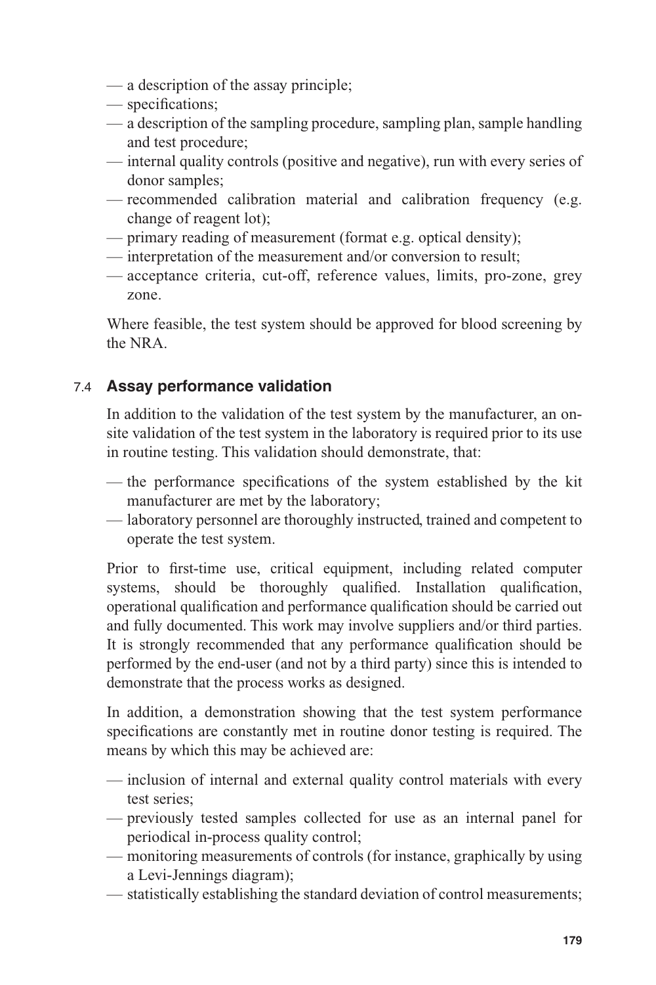- a description of the assay principle;
- specifications;
- a description of the sampling procedure, sampling plan, sample handling and test procedure;
- internal quality controls (positive and negative), run with every series of donor samples;
- recommended calibration material and calibration frequency (e.g. change of reagent lot);
- primary reading of measurement (format e.g. optical density);
- interpretation of the measurement and/or conversion to result;
- acceptance criteria, cut-off, reference values, limits, pro-zone, grey zone.

Where feasible, the test system should be approved for blood screening by the NRA.

## 7.4 **Assay performance validation**

In addition to the validation of the test system by the manufacturer, an onsite validation of the test system in the laboratory is required prior to its use in routine testing. This validation should demonstrate, that:

- the performance specifications of the system established by the kit manufacturer are met by the laboratory;
- laboratory personnel are thoroughly instructed, trained and competent to operate the test system.

Prior to first-time use, critical equipment, including related computer systems, should be thoroughly qualified. Installation qualification, operational qualification and performance qualification should be carried out and fully documented. This work may involve suppliers and/or third parties. It is strongly recommended that any performance qualification should be performed by the end-user (and not by a third party) since this is intended to demonstrate that the process works as designed.

In addition, a demonstration showing that the test system performance specifications are constantly met in routine donor testing is required. The means by which this may be achieved are:

- inclusion of internal and external quality control materials with every test series;
- previously tested samples collected for use as an internal panel for periodical in-process quality control;
- monitoring measurements of controls (for instance, graphically by using a Levi-Jennings diagram);
- statistically establishing the standard deviation of control measurements;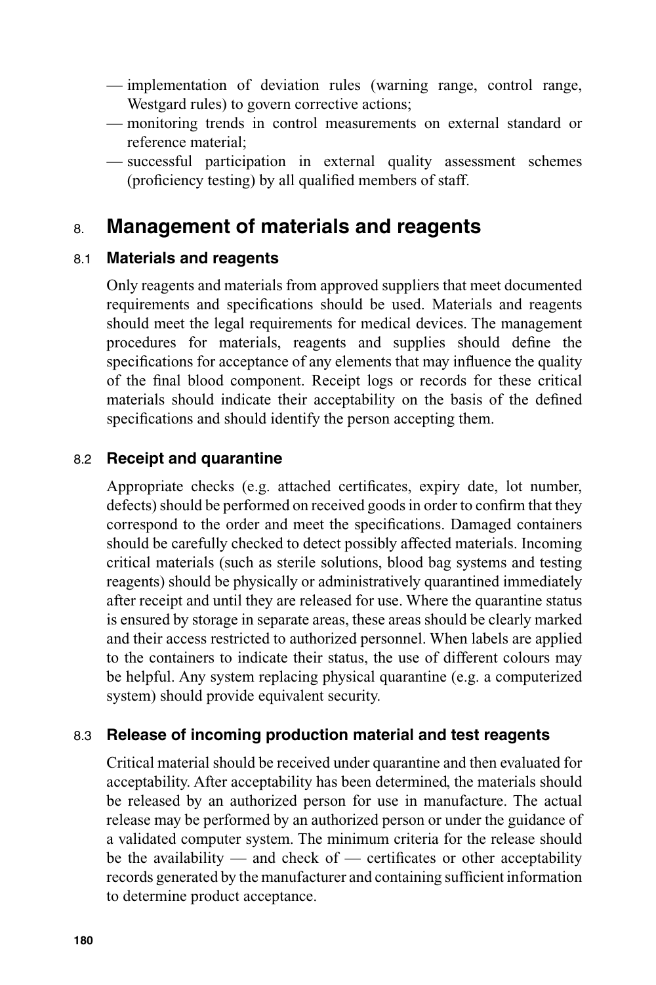- implementation of deviation rules (warning range, control range, Westgard rules) to govern corrective actions;
- monitoring trends in control measurements on external standard or reference material;
- successful participation in external quality assessment schemes (proficiency testing) by all qualified members of staff.

# 8. **Management of materials and reagents**

## 8.1 **Materials and reagents**

Only reagents and materials from approved suppliers that meet documented requirements and specifications should be used. Materials and reagents should meet the legal requirements for medical devices. The management procedures for materials, reagents and supplies should define the specifications for acceptance of any elements that may influence the quality of the final blood component. Receipt logs or records for these critical materials should indicate their acceptability on the basis of the defined specifications and should identify the person accepting them.

## 8.2 **Receipt and quarantine**

Appropriate checks (e.g. attached certificates, expiry date, lot number, defects) should be performed on received goods in order to confirm that they correspond to the order and meet the specifications. Damaged containers should be carefully checked to detect possibly affected materials. Incoming critical materials (such as sterile solutions, blood bag systems and testing reagents) should be physically or administratively quarantined immediately after receipt and until they are released for use. Where the quarantine status is ensured by storage in separate areas, these areas should be clearly marked and their access restricted to authorized personnel. When labels are applied to the containers to indicate their status, the use of different colours may be helpful. Any system replacing physical quarantine (e.g. a computerized system) should provide equivalent security.

#### 8.3 **Release of incoming production material and test reagents**

Critical material should be received under quarantine and then evaluated for acceptability. After acceptability has been determined, the materials should be released by an authorized person for use in manufacture. The actual release may be performed by an authorized person or under the guidance of a validated computer system. The minimum criteria for the release should be the availability — and check of — certificates or other acceptability records generated by the manufacturer and containing sufficient information to determine product acceptance.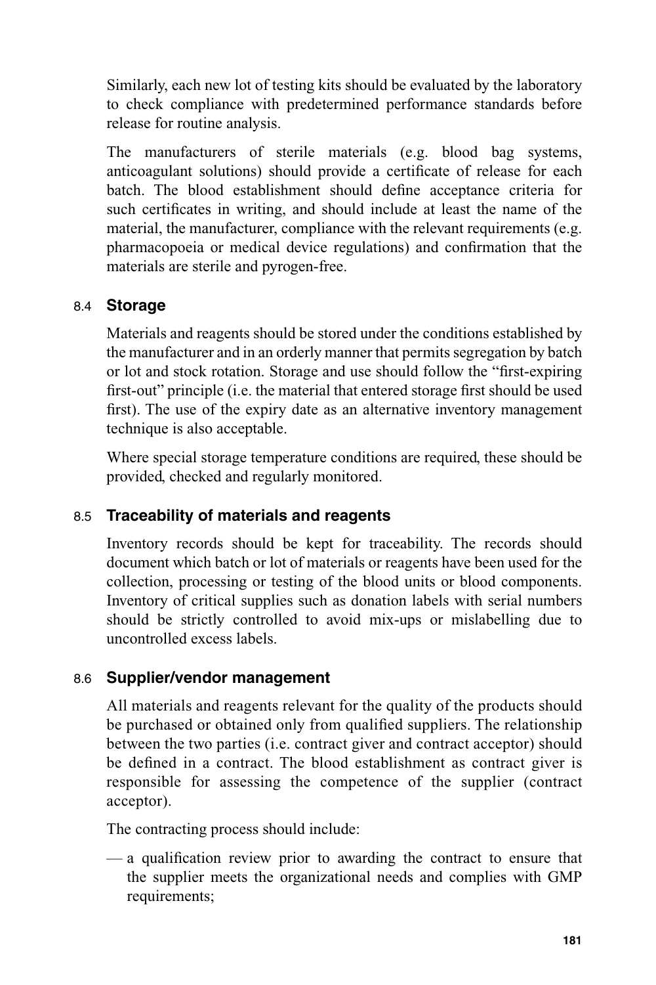Similarly, each new lot of testing kits should be evaluated by the laboratory to check compliance with predetermined performance standards before release for routine analysis.

The manufacturers of sterile materials (e.g. blood bag systems, anticoagulant solutions) should provide a certificate of release for each batch. The blood establishment should define acceptance criteria for such certificates in writing, and should include at least the name of the material, the manufacturer, compliance with the relevant requirements (e.g. pharmacopoeia or medical device regulations) and confirmation that the materials are sterile and pyrogen-free.

## 8.4 **Storage**

Materials and reagents should be stored under the conditions established by the manufacturer and in an orderly manner that permits segregation by batch or lot and stock rotation. Storage and use should follow the "first-expiring" first-out" principle (i.e. the material that entered storage first should be used first). The use of the expiry date as an alternative inventory management technique is also acceptable.

Where special storage temperature conditions are required, these should be provided, checked and regularly monitored.

## 8.5 **Traceability of materials and reagents**

Inventory records should be kept for traceability. The records should document which batch or lot of materials or reagents have been used for the collection, processing or testing of the blood units or blood components. Inventory of critical supplies such as donation labels with serial numbers should be strictly controlled to avoid mix-ups or mislabelling due to uncontrolled excess labels.

#### 8.6 **Supplier/vendor management**

All materials and reagents relevant for the quality of the products should be purchased or obtained only from qualified suppliers. The relationship between the two parties (i.e. contract giver and contract acceptor) should be defined in a contract. The blood establishment as contract giver is responsible for assessing the competence of the supplier (contract acceptor).

The contracting process should include:

 $\frac{1}{x}$  a qualification review prior to awarding the contract to ensure that the supplier meets the organizational needs and complies with GMP requirements;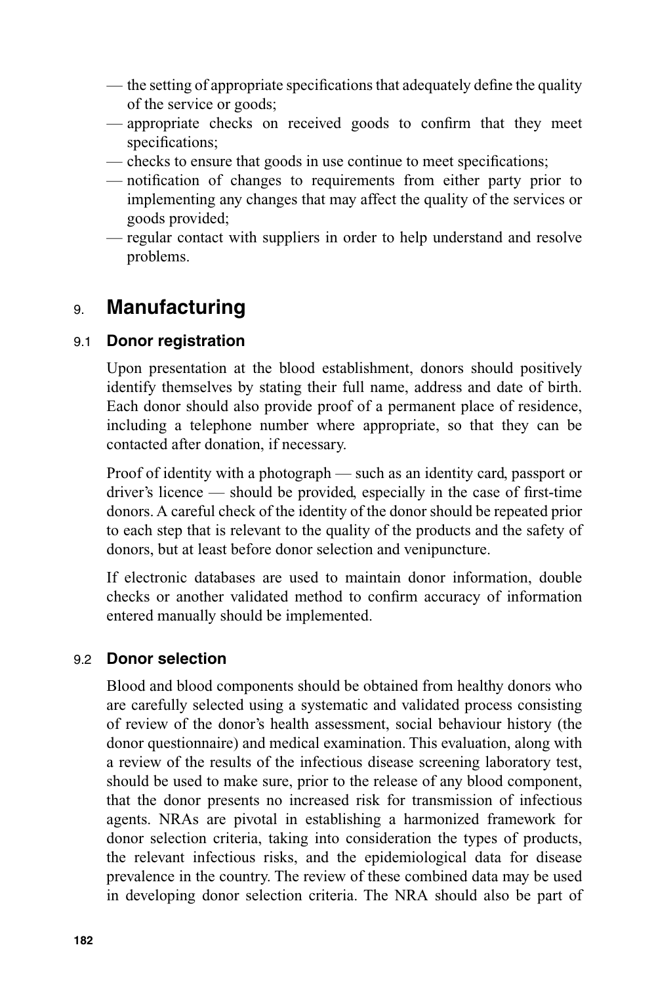- the setting of appropriate specifications that adequately define the quality of the service or goods;
- appropriate checks on received goods to confirm that they meet specifications;
- checks to ensure that goods in use continue to meet specifications;
- notification of changes to requirements from either party prior to implementing any changes that may affect the quality of the services or goods provided;
- regular contact with suppliers in order to help understand and resolve problems.

# 9. **Manufacturing**

## 9.1 **Donor registration**

Upon presentation at the blood establishment, donors should positively identify themselves by stating their full name, address and date of birth. Each donor should also provide proof of a permanent place of residence, including a telephone number where appropriate, so that they can be contacted after donation, if necessary.

Proof of identity with a photograph — such as an identity card, passport or driver's licence  $-$  should be provided, especially in the case of first-time donors. A careful check of the identity of the donor should be repeated prior to each step that is relevant to the quality of the products and the safety of donors, but at least before donor selection and venipuncture.

If electronic databases are used to maintain donor information, double checks or another validated method to confirm accuracy of information entered manually should be implemented.

#### 9.2 **Donor selection**

Blood and blood components should be obtained from healthy donors who are carefully selected using a systematic and validated process consisting of review of the donor's health assessment, social behaviour history (the donor questionnaire) and medical examination. This evaluation, along with a review of the results of the infectious disease screening laboratory test, should be used to make sure, prior to the release of any blood component, that the donor presents no increased risk for transmission of infectious agents. NRAs are pivotal in establishing a harmonized framework for donor selection criteria, taking into consideration the types of products, the relevant infectious risks, and the epidemiological data for disease prevalence in the country. The review of these combined data may be used in developing donor selection criteria. The NRA should also be part of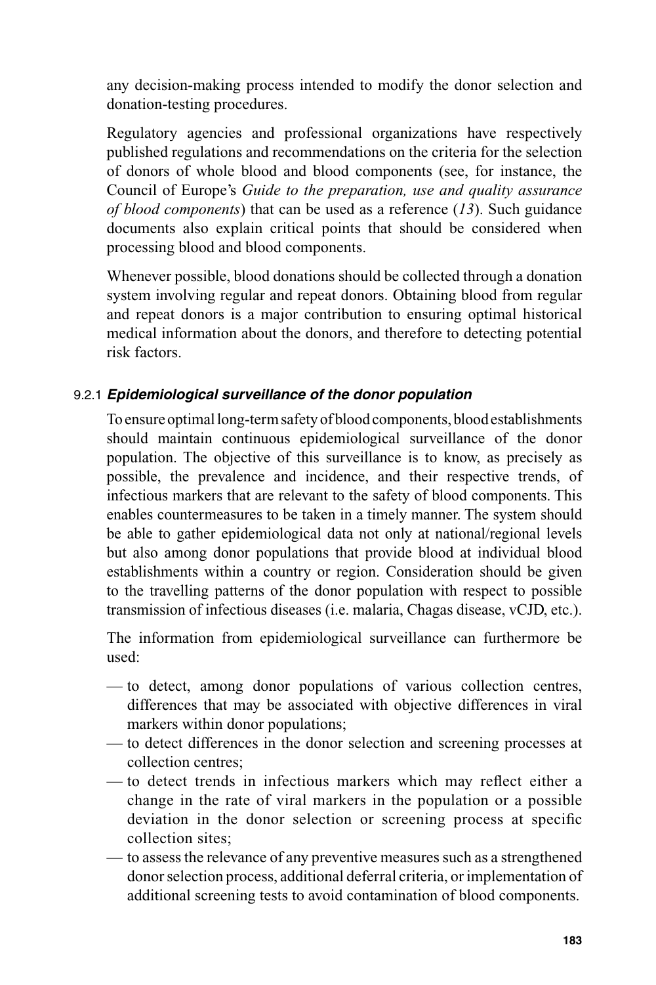any decision-making process intended to modify the donor selection and donation-testing procedures.

Regulatory agencies and professional organizations have respectively published regulations and recommendations on the criteria for the selection of donors of whole blood and blood components (see, for instance, the Council of Europe's *Guide to the preparation, use and quality assurance of blood components*) that can be used as a reference (*13*). Such guidance documents also explain critical points that should be considered when processing blood and blood components.

Whenever possible, blood donations should be collected through a donation system involving regular and repeat donors. Obtaining blood from regular and repeat donors is a major contribution to ensuring optimal historical medical information about the donors, and therefore to detecting potential risk factors.

#### 9.2.1 *Epidemiological surveillance of the donor population*

To ensure optimal long-term safety of blood components, blood establishments should maintain continuous epidemiological surveillance of the donor population. The objective of this surveillance is to know, as precisely as possible, the prevalence and incidence, and their respective trends, of infectious markers that are relevant to the safety of blood components. This enables countermeasures to be taken in a timely manner. The system should be able to gather epidemiological data not only at national/regional levels but also among donor populations that provide blood at individual blood establishments within a country or region. Consideration should be given to the travelling patterns of the donor population with respect to possible transmission of infectious diseases (i.e. malaria, Chagas disease, vCJD, etc.).

The information from epidemiological surveillance can furthermore be used:

- to detect, among donor populations of various collection centres, differences that may be associated with objective differences in viral markers within donor populations;
- to detect differences in the donor selection and screening processes at collection centres;
- to detect trends in infectious markers which may reflect either a change in the rate of viral markers in the population or a possible deviation in the donor selection or screening process at specific collection sites;
- to assess the relevance of any preventive measures such as a strengthened donor selection process, additional deferral criteria, or implementation of additional screening tests to avoid contamination of blood components.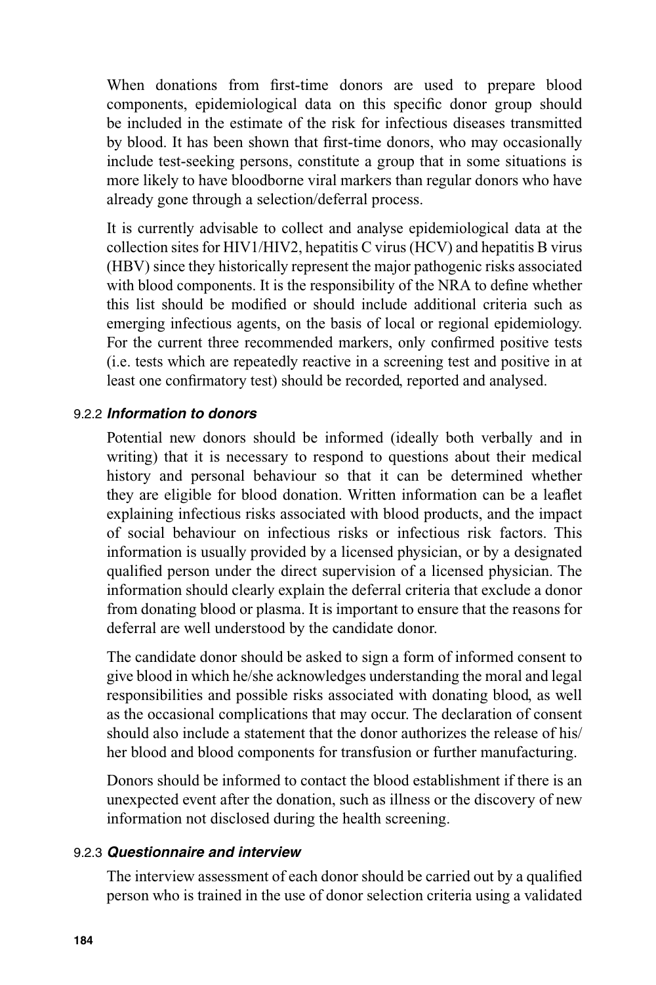When donations from first-time donors are used to prepare blood components, epidemiological data on this specific donor group should be included in the estimate of the risk for infectious diseases transmitted by blood. It has been shown that first-time donors, who may occasionally include test-seeking persons, constitute a group that in some situations is more likely to have bloodborne viral markers than regular donors who have already gone through a selection/deferral process.

It is currently advisable to collect and analyse epidemiological data at the collection sites for HIV1/HIV2, hepatitis C virus (HCV) and hepatitis B virus (HBV) since they historically represent the major pathogenic risks associated with blood components. It is the responsibility of the NRA to define whether this list should be modified or should include additional criteria such as emerging infectious agents, on the basis of local or regional epidemiology. For the current three recommended markers, only confirmed positive tests (i.e. tests which are repeatedly reactive in a screening test and positive in at least one confirmatory test) should be recorded, reported and analysed.

#### 9.2.2 *Information to donors*

Potential new donors should be informed (ideally both verbally and in writing) that it is necessary to respond to questions about their medical history and personal behaviour so that it can be determined whether they are eligible for blood donation. Written information can be a leaflet explaining infectious risks associated with blood products, and the impact of social behaviour on infectious risks or infectious risk factors. This information is usually provided by a licensed physician, or by a designated qualified person under the direct supervision of a licensed physician. The information should clearly explain the deferral criteria that exclude a donor from donating blood or plasma. It is important to ensure that the reasons for deferral are well understood by the candidate donor.

The candidate donor should be asked to sign a form of informed consent to give blood in which he/she acknowledges understanding the moral and legal responsibilities and possible risks associated with donating blood, as well as the occasional complications that may occur. The declaration of consent should also include a statement that the donor authorizes the release of his/ her blood and blood components for transfusion or further manufacturing.

Donors should be informed to contact the blood establishment if there is an unexpected event after the donation, such as illness or the discovery of new information not disclosed during the health screening.

#### 9.2.3 *Questionnaire and interview*

The interview assessment of each donor should be carried out by a qualified person who is trained in the use of donor selection criteria using a validated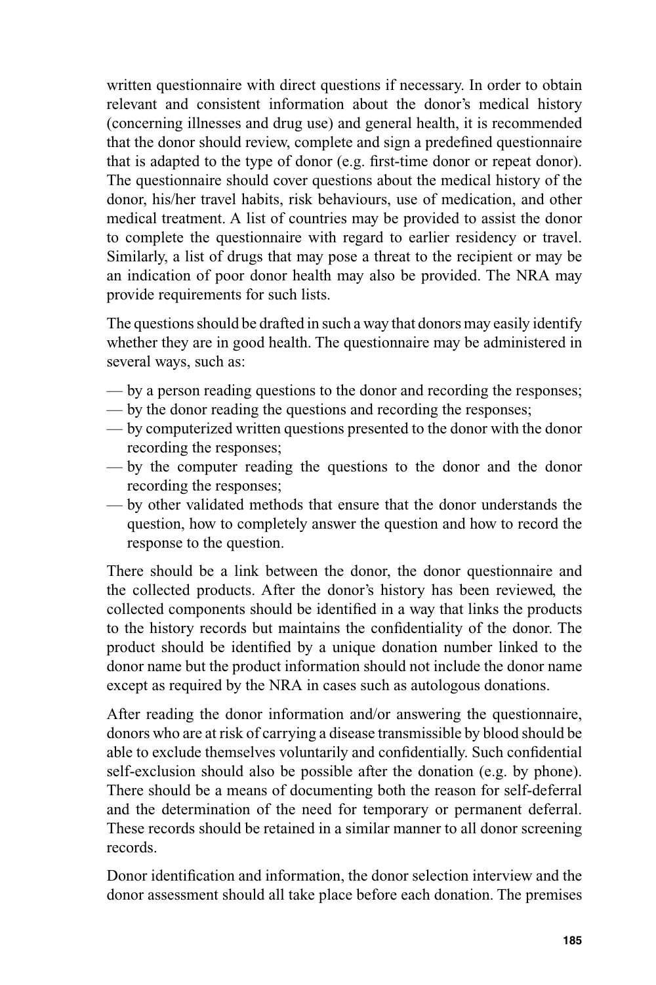written questionnaire with direct questions if necessary. In order to obtain relevant and consistent information about the donor's medical history (concerning illnesses and drug use) and general health, it is recommended that the donor should review, complete and sign a predefined questionnaire that is adapted to the type of donor (e.g. first-time donor or repeat donor). The questionnaire should cover questions about the medical history of the donor, his/her travel habits, risk behaviours, use of medication, and other medical treatment. A list of countries may be provided to assist the donor to complete the questionnaire with regard to earlier residency or travel. Similarly, a list of drugs that may pose a threat to the recipient or may be an indication of poor donor health may also be provided. The NRA may provide requirements for such lists.

The questions should be drafted in such a way that donors may easily identify whether they are in good health. The questionnaire may be administered in several ways, such as:

- by a person reading questions to the donor and recording the responses;
- by the donor reading the questions and recording the responses;
- by computerized written questions presented to the donor with the donor recording the responses;
- by the computer reading the questions to the donor and the donor recording the responses;
- by other validated methods that ensure that the donor understands the question, how to completely answer the question and how to record the response to the question.

There should be a link between the donor, the donor questionnaire and the collected products. After the donor's history has been reviewed, the collected components should be identified in a way that links the products to the history records but maintains the confidentiality of the donor. The product should be identified by a unique donation number linked to the donor name but the product information should not include the donor name except as required by the NRA in cases such as autologous donations.

After reading the donor information and/or answering the questionnaire, donors who are at risk of carrying a disease transmissible by blood should be able to exclude themselves voluntarily and confidentially. Such confidential self-exclusion should also be possible after the donation (e.g. by phone). There should be a means of documenting both the reason for self-deferral and the determination of the need for temporary or permanent deferral. These records should be retained in a similar manner to all donor screening records.

Donor identification and information, the donor selection interview and the donor assessment should all take place before each donation. The premises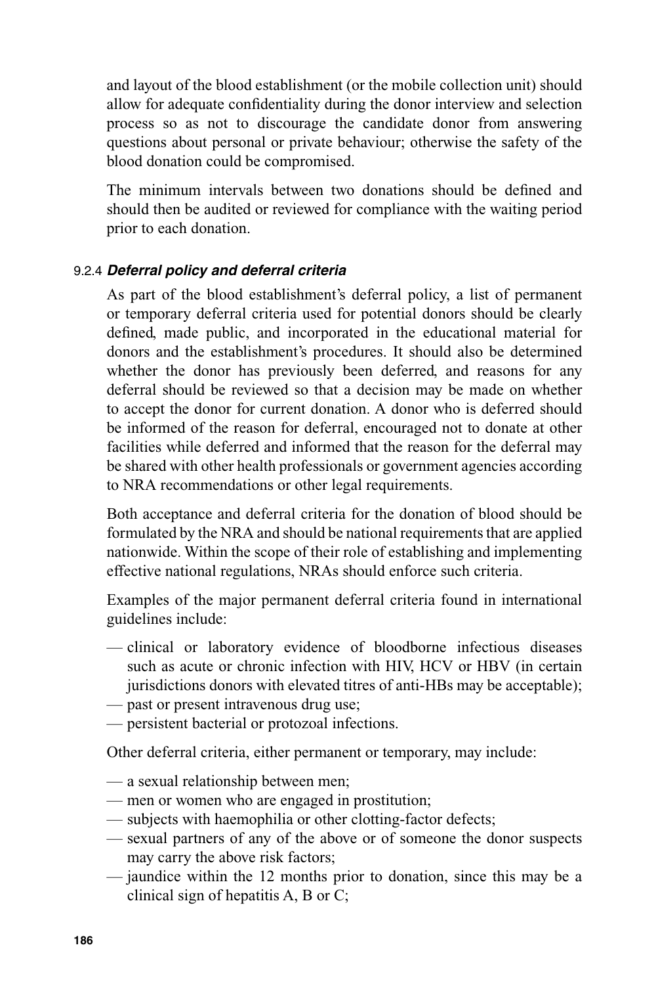and layout of the blood establishment (or the mobile collection unit) should allow for adequate confidentiality during the donor interview and selection process so as not to discourage the candidate donor from answering questions about personal or private behaviour; otherwise the safety of the blood donation could be compromised.

The minimum intervals between two donations should be defined and should then be audited or reviewed for compliance with the waiting period prior to each donation.

#### 9.2.4 *Deferral policy and deferral criteria*

As part of the blood establishment's deferral policy, a list of permanent or temporary deferral criteria used for potential donors should be clearly defined, made public, and incorporated in the educational material for donors and the establishment's procedures. It should also be determined whether the donor has previously been deferred, and reasons for any deferral should be reviewed so that a decision may be made on whether to accept the donor for current donation. A donor who is deferred should be informed of the reason for deferral, encouraged not to donate at other facilities while deferred and informed that the reason for the deferral may be shared with other health professionals or government agencies according to NRA recommendations or other legal requirements.

Both acceptance and deferral criteria for the donation of blood should be formulated by the NRA and should be national requirements that are applied nationwide. Within the scope of their role of establishing and implementing effective national regulations, NRAs should enforce such criteria.

Examples of the major permanent deferral criteria found in international guidelines include:

- clinical or laboratory evidence of bloodborne infectious diseases such as acute or chronic infection with HIV, HCV or HBV (in certain jurisdictions donors with elevated titres of anti-HBs may be acceptable);
- past or present intravenous drug use;
- persistent bacterial or protozoal infections.

Other deferral criteria, either permanent or temporary, may include:

- a sexual relationship between men;
- men or women who are engaged in prostitution;
- subjects with haemophilia or other clotting-factor defects;
- sexual partners of any of the above or of someone the donor suspects may carry the above risk factors;
- jaundice within the 12 months prior to donation, since this may be a clinical sign of hepatitis A, B or C;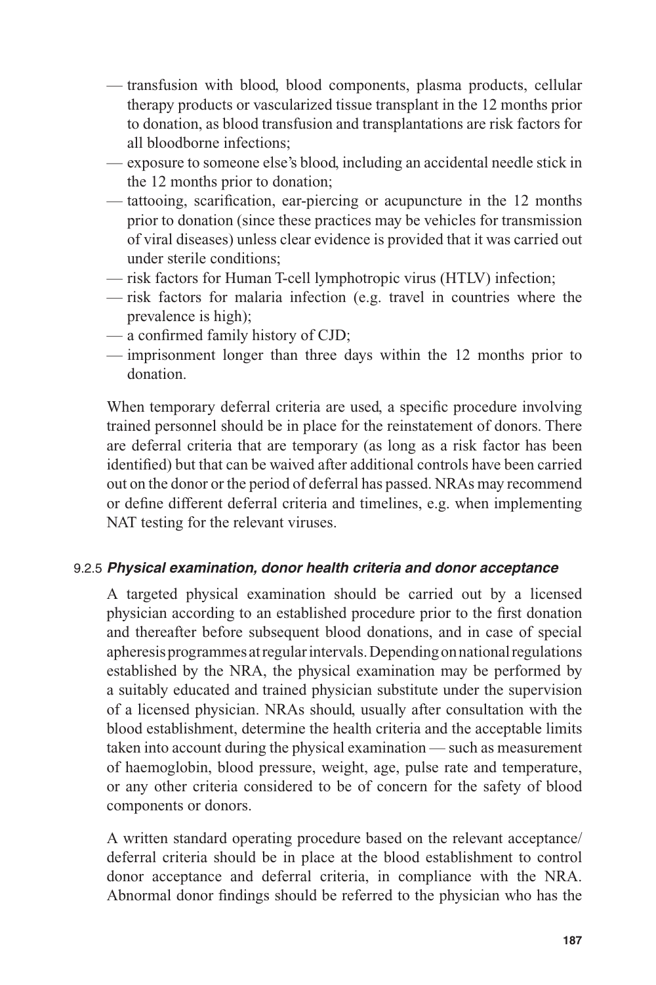- transfusion with blood, blood components, plasma products, cellular therapy products or vascularized tissue transplant in the 12 months prior to donation, as blood transfusion and transplantations are risk factors for all bloodborne infections;
- exposure to someone else's blood, including an accidental needle stick in the 12 months prior to donation;
- $-$  tattooing, scarification, ear-piercing or acupuncture in the 12 months prior to donation (since these practices may be vehicles for transmission of viral diseases) unless clear evidence is provided that it was carried out under sterile conditions;
- risk factors for Human T-cell lymphotropic virus (HTLV) infection;
- risk factors for malaria infection (e.g. travel in countries where the prevalence is high);
- $-$  a confirmed family history of CJD;
- imprisonment longer than three days within the 12 months prior to donation.

When temporary deferral criteria are used, a specific procedure involving trained personnel should be in place for the reinstatement of donors. There are deferral criteria that are temporary (as long as a risk factor has been identified) but that can be waived after additional controls have been carried out on the donor or the period of deferral has passed. NRAs may recommend or define different deferral criteria and timelines, e.g. when implementing NAT testing for the relevant viruses.

#### 9.2.5 *Physical examination, donor health criteria and donor acceptance*

A targeted physical examination should be carried out by a licensed physician according to an established procedure prior to the first donation and thereafter before subsequent blood donations, and in case of special apheresis programmes at regular intervals. Depending on national regulations established by the NRA, the physical examination may be performed by a suitably educated and trained physician substitute under the supervision of a licensed physician. NRAs should, usually after consultation with the blood establishment, determine the health criteria and the acceptable limits taken into account during the physical examination — such as measurement of haemoglobin, blood pressure, weight, age, pulse rate and temperature, or any other criteria considered to be of concern for the safety of blood components or donors.

A written standard operating procedure based on the relevant acceptance/ deferral criteria should be in place at the blood establishment to control donor acceptance and deferral criteria, in compliance with the NRA. Abnormal donor findings should be referred to the physician who has the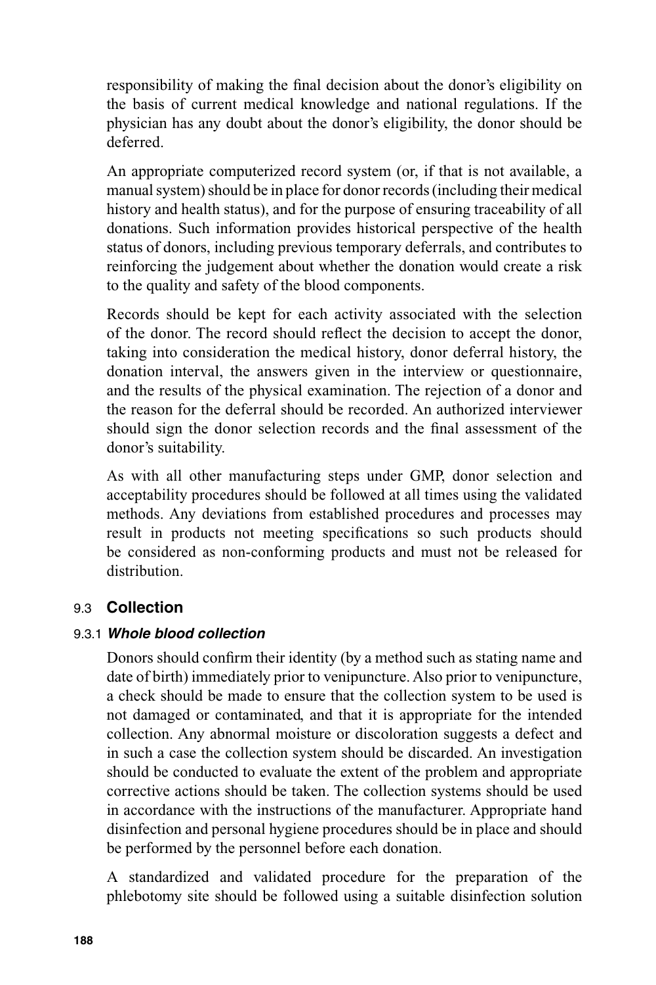responsibility of making the final decision about the donor's eligibility on the basis of current medical knowledge and national regulations. If the physician has any doubt about the donor's eligibility, the donor should be deferred.

An appropriate computerized record system (or, if that is not available, a manual system) should be in place for donor records (including their medical history and health status), and for the purpose of ensuring traceability of all donations. Such information provides historical perspective of the health status of donors, including previous temporary deferrals, and contributes to reinforcing the judgement about whether the donation would create a risk to the quality and safety of the blood components.

Records should be kept for each activity associated with the selection of the donor. The record should reflect the decision to accept the donor, taking into consideration the medical history, donor deferral history, the donation interval, the answers given in the interview or questionnaire, and the results of the physical examination. The rejection of a donor and the reason for the deferral should be recorded. An authorized interviewer should sign the donor selection records and the final assessment of the donor's suitability.

As with all other manufacturing steps under GMP, donor selection and acceptability procedures should be followed at all times using the validated methods. Any deviations from established procedures and processes may result in products not meeting specifications so such products should be considered as non-conforming products and must not be released for distribution.

#### 9.3 **Collection**

#### 9.3.1 *Whole blood collection*

Donors should confirm their identity (by a method such as stating name and date of birth) immediately prior to venipuncture. Also prior to venipuncture, a check should be made to ensure that the collection system to be used is not damaged or contaminated, and that it is appropriate for the intended collection. Any abnormal moisture or discoloration suggests a defect and in such a case the collection system should be discarded. An investigation should be conducted to evaluate the extent of the problem and appropriate corrective actions should be taken. The collection systems should be used in accordance with the instructions of the manufacturer. Appropriate hand disinfection and personal hygiene procedures should be in place and should be performed by the personnel before each donation.

A standardized and validated procedure for the preparation of the phlebotomy site should be followed using a suitable disinfection solution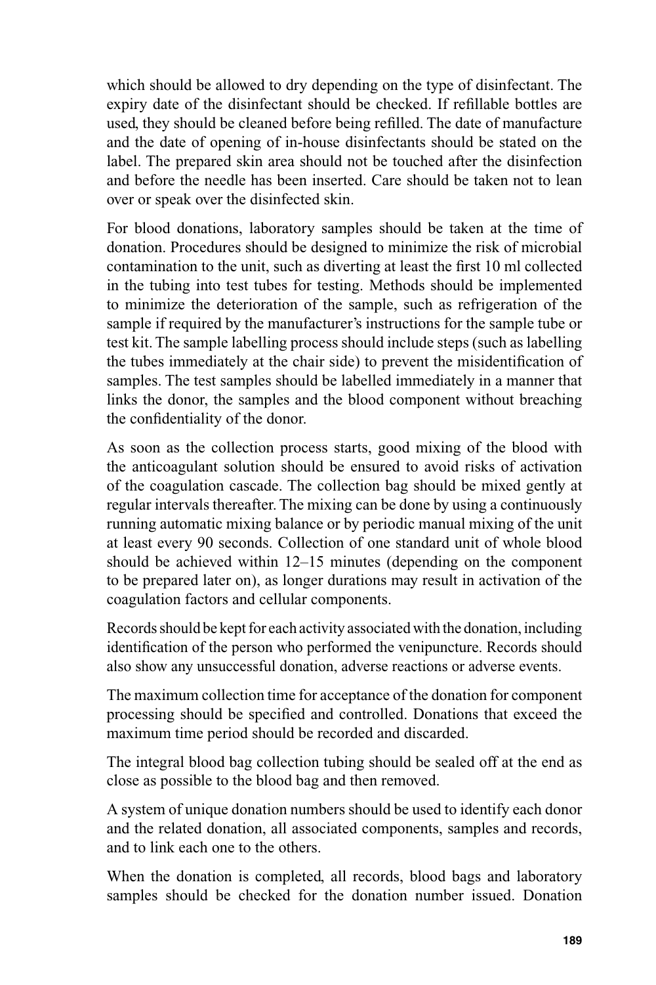which should be allowed to dry depending on the type of disinfectant. The expiry date of the disinfectant should be checked. If refillable bottles are used, they should be cleaned before being refilled. The date of manufacture and the date of opening of in-house disinfectants should be stated on the label. The prepared skin area should not be touched after the disinfection and before the needle has been inserted. Care should be taken not to lean over or speak over the disinfected skin.

For blood donations, laboratory samples should be taken at the time of donation. Procedures should be designed to minimize the risk of microbial contamination to the unit, such as diverting at least the first 10 ml collected in the tubing into test tubes for testing. Methods should be implemented to minimize the deterioration of the sample, such as refrigeration of the sample if required by the manufacturer's instructions for the sample tube or test kit. The sample labelling process should include steps (such as labelling the tubes immediately at the chair side) to prevent the misidentification of samples. The test samples should be labelled immediately in a manner that links the donor, the samples and the blood component without breaching the confidentiality of the donor.

As soon as the collection process starts, good mixing of the blood with the anticoagulant solution should be ensured to avoid risks of activation of the coagulation cascade. The collection bag should be mixed gently at regular intervals thereafter. The mixing can be done by using a continuously running automatic mixing balance or by periodic manual mixing of the unit at least every 90 seconds. Collection of one standard unit of whole blood should be achieved within 12–15 minutes (depending on the component to be prepared later on), as longer durations may result in activation of the coagulation factors and cellular components.

Records should be kept for each activity associated with the donation, including identification of the person who performed the venipuncture. Records should also show any unsuccessful donation, adverse reactions or adverse events.

The maximum collection time for acceptance of the donation for component processing should be specified and controlled. Donations that exceed the maximum time period should be recorded and discarded.

The integral blood bag collection tubing should be sealed off at the end as close as possible to the blood bag and then removed.

A system of unique donation numbers should be used to identify each donor and the related donation, all associated components, samples and records, and to link each one to the others.

When the donation is completed, all records, blood bags and laboratory samples should be checked for the donation number issued. Donation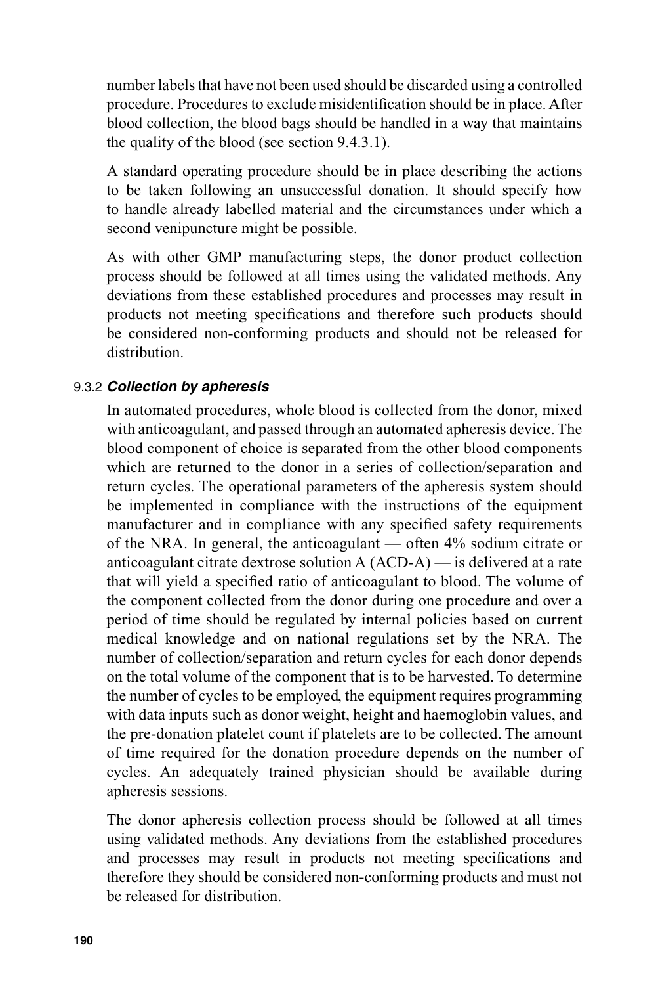number labels that have not been used should be discarded using a controlled procedure. Procedures to exclude misidentification should be in place. After blood collection, the blood bags should be handled in a way that maintains the quality of the blood (see section 9.4.3.1).

A standard operating procedure should be in place describing the actions to be taken following an unsuccessful donation. It should specify how to handle already labelled material and the circumstances under which a second venipuncture might be possible.

As with other GMP manufacturing steps, the donor product collection process should be followed at all times using the validated methods. Any deviations from these established procedures and processes may result in products not meeting specifications and therefore such products should be considered non-conforming products and should not be released for distribution.

#### 9.3.2 *Collection by apheresis*

In automated procedures, whole blood is collected from the donor, mixed with anticoagulant, and passed through an automated apheresis device. The blood component of choice is separated from the other blood components which are returned to the donor in a series of collection/separation and return cycles. The operational parameters of the apheresis system should be implemented in compliance with the instructions of the equipment manufacturer and in compliance with any specified safety requirements of the NRA. In general, the anticoagulant — often 4% sodium citrate or anticoagulant citrate dextrose solution A (ACD-A) — is delivered at a rate that will yield a specified ratio of anticoagulant to blood. The volume of the component collected from the donor during one procedure and over a period of time should be regulated by internal policies based on current medical knowledge and on national regulations set by the NRA. The number of collection/separation and return cycles for each donor depends on the total volume of the component that is to be harvested. To determine the number of cycles to be employed, the equipment requires programming with data inputs such as donor weight, height and haemoglobin values, and the pre-donation platelet count if platelets are to be collected. The amount of time required for the donation procedure depends on the number of cycles. An adequately trained physician should be available during apheresis sessions.

The donor apheresis collection process should be followed at all times using validated methods. Any deviations from the established procedures and processes may result in products not meeting specifications and therefore they should be considered non-conforming products and must not be released for distribution.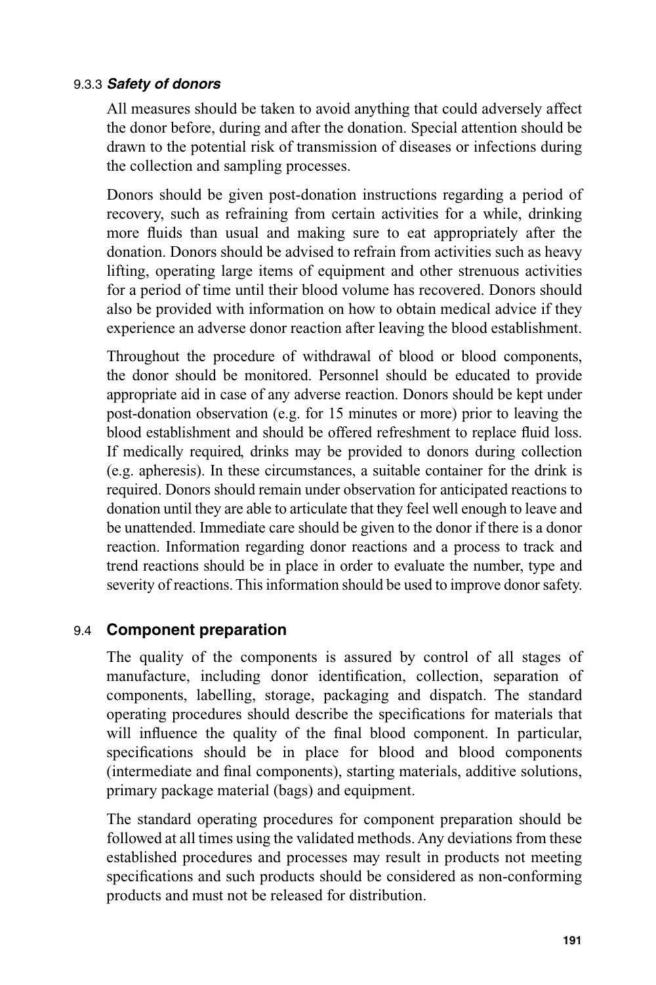#### 9.3.3 *Safety of donors*

All measures should be taken to avoid anything that could adversely affect the donor before, during and after the donation. Special attention should be drawn to the potential risk of transmission of diseases or infections during the collection and sampling processes.

Donors should be given post-donation instructions regarding a period of recovery, such as refraining from certain activities for a while, drinking more fluids than usual and making sure to eat appropriately after the donation. Donors should be advised to refrain from activities such as heavy lifting, operating large items of equipment and other strenuous activities for a period of time until their blood volume has recovered. Donors should also be provided with information on how to obtain medical advice if they experience an adverse donor reaction after leaving the blood establishment.

Throughout the procedure of withdrawal of blood or blood components, the donor should be monitored. Personnel should be educated to provide appropriate aid in case of any adverse reaction. Donors should be kept under post-donation observation (e.g. for 15 minutes or more) prior to leaving the blood establishment and should be offered refreshment to replace fluid loss. If medically required, drinks may be provided to donors during collection (e.g. apheresis). In these circumstances, a suitable container for the drink is required. Donors should remain under observation for anticipated reactions to donation until they are able to articulate that they feel well enough to leave and be unattended. Immediate care should be given to the donor if there is a donor reaction. Information regarding donor reactions and a process to track and trend reactions should be in place in order to evaluate the number, type and severity of reactions. This information should be used to improve donor safety.

## 9.4 **Component preparation**

The quality of the components is assured by control of all stages of manufacture, including donor identification, collection, separation of components, labelling, storage, packaging and dispatch. The standard operating procedures should describe the specifications for materials that will influence the quality of the final blood component. In particular, specifications should be in place for blood and blood components (intermediate and final components), starting materials, additive solutions, primary package material (bags) and equipment.

The standard operating procedures for component preparation should be followed at all times using the validated methods. Any deviations from these established procedures and processes may result in products not meeting specifications and such products should be considered as non-conforming products and must not be released for distribution.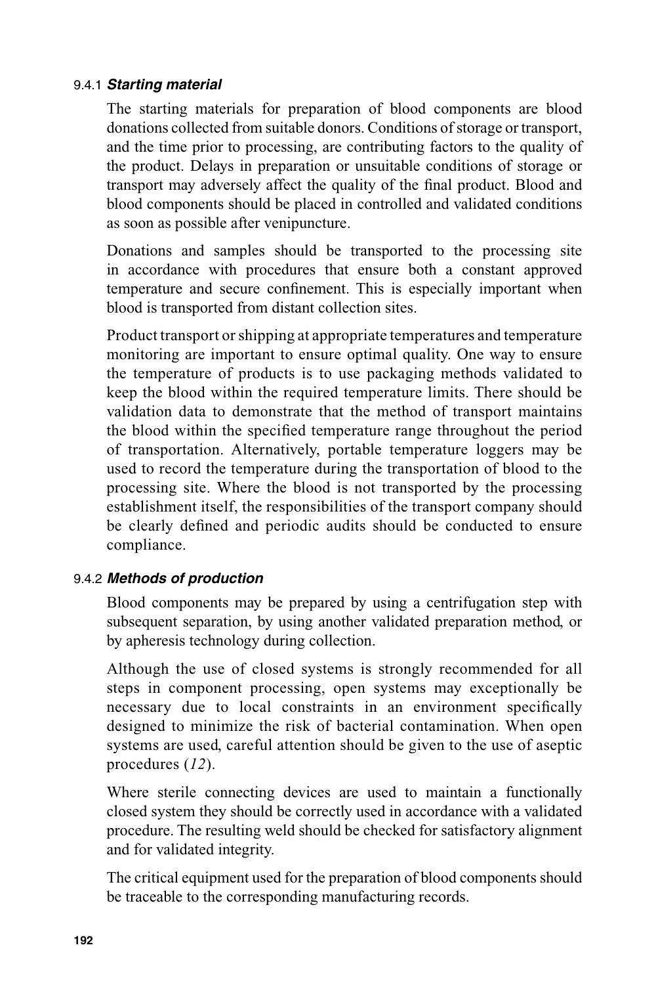#### 9.4.1 *Starting material*

The starting materials for preparation of blood components are blood donations collected from suitable donors. Conditions of storage or transport, and the time prior to processing, are contributing factors to the quality of the product. Delays in preparation or unsuitable conditions of storage or transport may adversely affect the quality of the final product. Blood and blood components should be placed in controlled and validated conditions as soon as possible after venipuncture.

Donations and samples should be transported to the processing site in accordance with procedures that ensure both a constant approved temperature and secure confinement. This is especially important when blood is transported from distant collection sites.

Product transport or shipping at appropriate temperatures and temperature monitoring are important to ensure optimal quality. One way to ensure the temperature of products is to use packaging methods validated to keep the blood within the required temperature limits. There should be validation data to demonstrate that the method of transport maintains the blood within the specified temperature range throughout the period of transportation. Alternatively, portable temperature loggers may be used to record the temperature during the transportation of blood to the processing site. Where the blood is not transported by the processing establishment itself, the responsibilities of the transport company should be clearly defined and periodic audits should be conducted to ensure compliance.

#### 9.4.2 *Methods of production*

Blood components may be prepared by using a centrifugation step with subsequent separation, by using another validated preparation method, or by apheresis technology during collection.

Although the use of closed systems is strongly recommended for all steps in component processing, open systems may exceptionally be necessary due to local constraints in an environment specifically designed to minimize the risk of bacterial contamination. When open systems are used, careful attention should be given to the use of aseptic procedures (*12*).

Where sterile connecting devices are used to maintain a functionally closed system they should be correctly used in accordance with a validated procedure. The resulting weld should be checked for satisfactory alignment and for validated integrity.

The critical equipment used for the preparation of blood components should be traceable to the corresponding manufacturing records.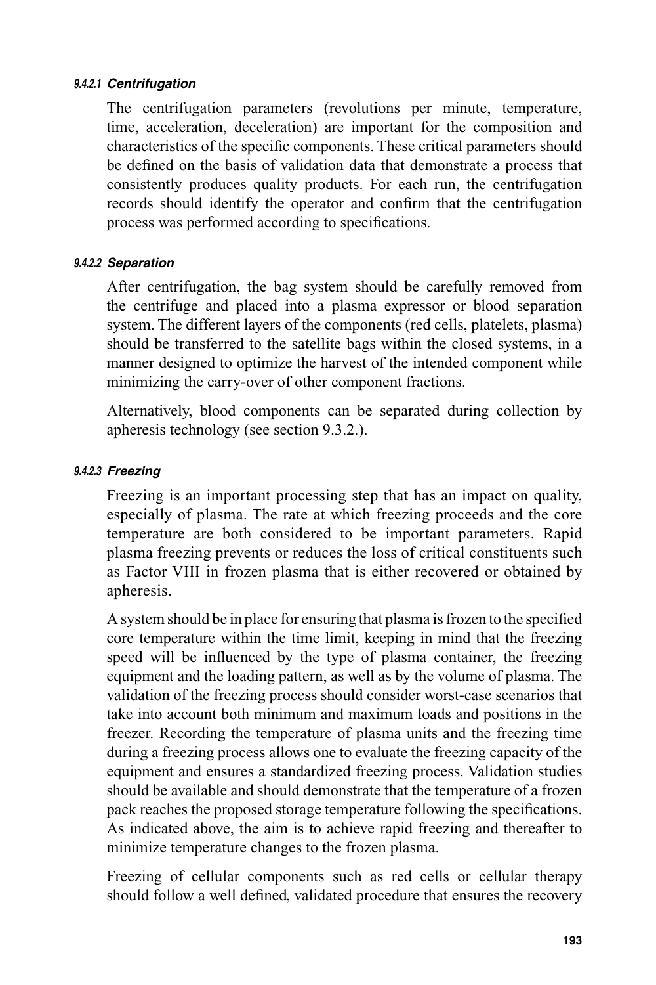#### *9.4.2.1 Centrifugation*

The centrifugation parameters (revolutions per minute, temperature, time, acceleration, deceleration) are important for the composition and characteristics of the specific components. These critical parameters should be defined on the basis of validation data that demonstrate a process that consistently produces quality products. For each run, the centrifugation records should identify the operator and confirm that the centrifugation process was performed according to specifications.

#### *9.4.2.2 Separation*

After centrifugation, the bag system should be carefully removed from the centrifuge and placed into a plasma expressor or blood separation system. The different layers of the components (red cells, platelets, plasma) should be transferred to the satellite bags within the closed systems, in a manner designed to optimize the harvest of the intended component while minimizing the carry-over of other component fractions.

Alternatively, blood components can be separated during collection by apheresis technology (see section 9.3.2.).

#### *9.4.2.3 Freezing*

Freezing is an important processing step that has an impact on quality, especially of plasma. The rate at which freezing proceeds and the core temperature are both considered to be important parameters. Rapid plasma freezing prevents or reduces the loss of critical constituents such as Factor VIII in frozen plasma that is either recovered or obtained by apheresis.

A system should be in place for ensuring that plasma is frozen to the specified core temperature within the time limit, keeping in mind that the freezing speed will be influenced by the type of plasma container, the freezing equipment and the loading pattern, as well as by the volume of plasma. The validation of the freezing process should consider worst-case scenarios that take into account both minimum and maximum loads and positions in the freezer. Recording the temperature of plasma units and the freezing time during a freezing process allows one to evaluate the freezing capacity of the equipment and ensures a standardized freezing process. Validation studies should be available and should demonstrate that the temperature of a frozen pack reaches the proposed storage temperature following the specifications. As indicated above, the aim is to achieve rapid freezing and thereafter to minimize temperature changes to the frozen plasma.

Freezing of cellular components such as red cells or cellular therapy should follow a well defined, validated procedure that ensures the recovery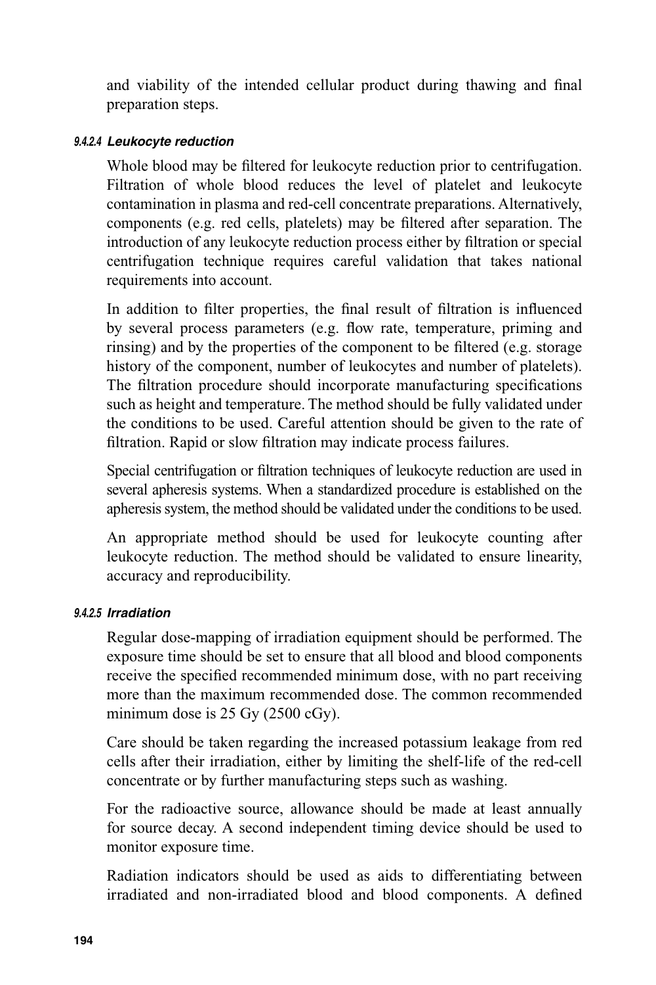and viability of the intended cellular product during thawing and final preparation steps.

#### *9.4.2.4 Leukocyte reduction*

Whole blood may be filtered for leukocyte reduction prior to centrifugation. Filtration of whole blood reduces the level of platelet and leukocyte contamination in plasma and red-cell concentrate preparations. Alternatively, components (e.g. red cells, platelets) may be filtered after separation. The introduction of any leukocyte reduction process either by filtration or special centrifugation technique requires careful validation that takes national requirements into account.

In addition to filter properties, the final result of filtration is influenced by several process parameters (e.g. flow rate, temperature, priming and rinsing) and by the properties of the component to be filtered (e.g. storage history of the component, number of leukocytes and number of platelets). The filtration procedure should incorporate manufacturing specifications such as height and temperature. The method should be fully validated under the conditions to be used. Careful attention should be given to the rate of filtration. Rapid or slow filtration may indicate process failures.

Special centrifugation or filtration techniques of leukocyte reduction are used in several apheresis systems. When a standardized procedure is established on the apheresis system, the method should be validated under the conditions to be used.

An appropriate method should be used for leukocyte counting after leukocyte reduction. The method should be validated to ensure linearity, accuracy and reproducibility.

#### *9.4.2.5 Irradiation*

Regular dose-mapping of irradiation equipment should be performed. The exposure time should be set to ensure that all blood and blood components receive the specified recommended minimum dose, with no part receiving more than the maximum recommended dose. The common recommended minimum dose is 25 Gy (2500 cGy).

Care should be taken regarding the increased potassium leakage from red cells after their irradiation, either by limiting the shelf-life of the red-cell concentrate or by further manufacturing steps such as washing.

For the radioactive source, allowance should be made at least annually for source decay. A second independent timing device should be used to monitor exposure time.

Radiation indicators should be used as aids to differentiating between irradiated and non-irradiated blood and blood components. A defined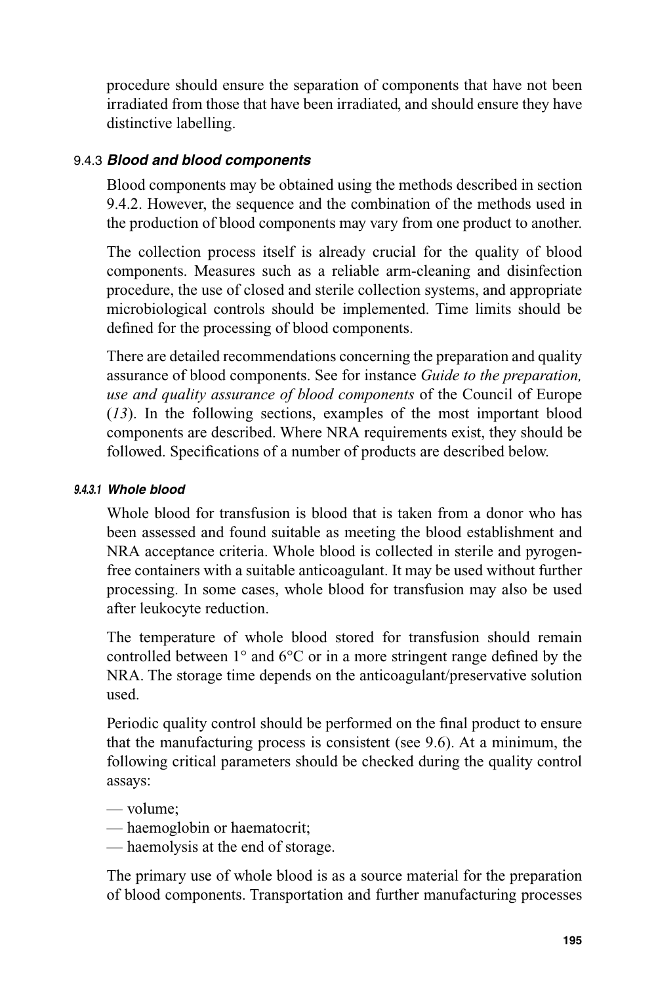procedure should ensure the separation of components that have not been irradiated from those that have been irradiated, and should ensure they have distinctive labelling.

#### 9.4.3 *Blood and blood components*

Blood components may be obtained using the methods described in section 9.4.2. However, the sequence and the combination of the methods used in the production of blood components may vary from one product to another.

The collection process itself is already crucial for the quality of blood components. Measures such as a reliable arm-cleaning and disinfection procedure, the use of closed and sterile collection systems, and appropriate microbiological controls should be implemented. Time limits should be defined for the processing of blood components.

There are detailed recommendations concerning the preparation and quality assurance of blood components. See for instance *Guide to the preparation, use and quality assurance of blood components* of the Council of Europe (*13*). In the following sections, examples of the most important blood components are described. Where NRA requirements exist, they should be followed. Specifications of a number of products are described below.

#### *9.4.3.1 Whole blood*

Whole blood for transfusion is blood that is taken from a donor who has been assessed and found suitable as meeting the blood establishment and NRA acceptance criteria. Whole blood is collected in sterile and pyrogenfree containers with a suitable anticoagulant. It may be used without further processing. In some cases, whole blood for transfusion may also be used after leukocyte reduction.

The temperature of whole blood stored for transfusion should remain controlled between  $1^{\circ}$  and  $6^{\circ}$ C or in a more stringent range defined by the NRA. The storage time depends on the anticoagulant/preservative solution used.

Periodic quality control should be performed on the final product to ensure that the manufacturing process is consistent (see 9.6). At a minimum, the following critical parameters should be checked during the quality control assays:

- volume;
- haemoglobin or haematocrit;
- haemolysis at the end of storage.

The primary use of whole blood is as a source material for the preparation of blood components. Transportation and further manufacturing processes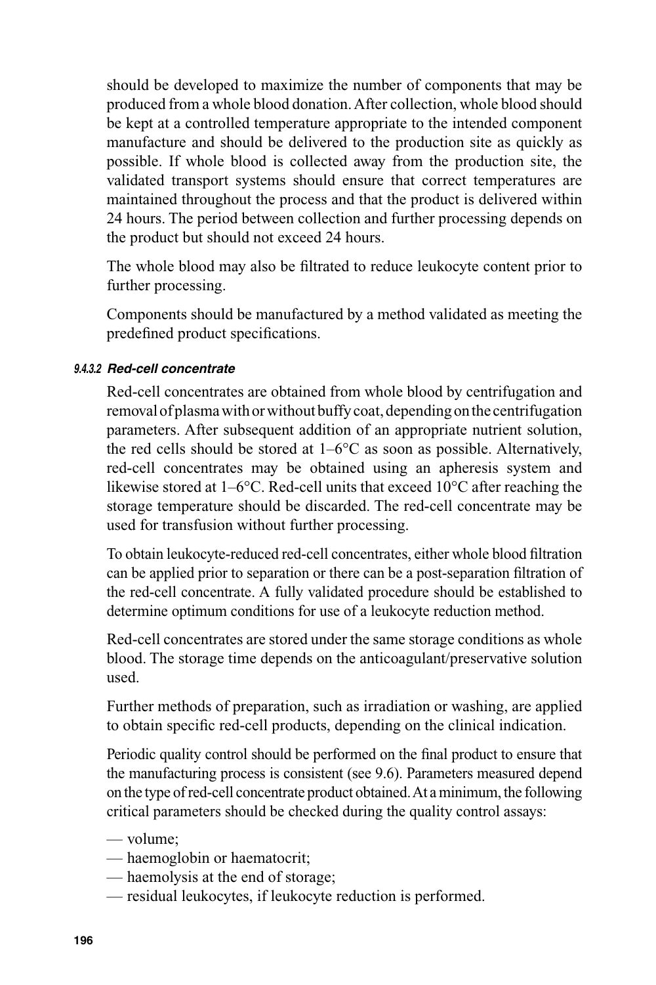should be developed to maximize the number of components that may be produced from a whole blood donation. After collection, whole blood should be kept at a controlled temperature appropriate to the intended component manufacture and should be delivered to the production site as quickly as possible. If whole blood is collected away from the production site, the validated transport systems should ensure that correct temperatures are maintained throughout the process and that the product is delivered within 24 hours. The period between collection and further processing depends on the product but should not exceed 24 hours.

The whole blood may also be filtrated to reduce leukocyte content prior to further processing.

Components should be manufactured by a method validated as meeting the predefined product specifications.

#### *9.4.3.2 Red-cell concentrate*

Red-cell concentrates are obtained from whole blood by centrifugation and removal of plasma with or without buffy coat, depending on the centrifugation parameters. After subsequent addition of an appropriate nutrient solution, the red cells should be stored at  $1-6^{\circ}$ C as soon as possible. Alternatively, red-cell concentrates may be obtained using an apheresis system and likewise stored at 1–6°C. Red-cell units that exceed 10°C after reaching the storage temperature should be discarded. The red-cell concentrate may be used for transfusion without further processing.

To obtain leukocyte-reduced red-cell concentrates, either whole blood filtration can be applied prior to separation or there can be a post-separation filtration of the red-cell concentrate. A fully validated procedure should be established to determine optimum conditions for use of a leukocyte reduction method.

Red-cell concentrates are stored under the same storage conditions as whole blood. The storage time depends on the anticoagulant/preservative solution used.

Further methods of preparation, such as irradiation or washing, are applied to obtain specific red-cell products, depending on the clinical indication.

Periodic quality control should be performed on the final product to ensure that the manufacturing process is consistent (see 9.6). Parameters measured depend on the type of red-cell concentrate product obtained. At a minimum, the following critical parameters should be checked during the quality control assays:

- volume;
- haemoglobin or haematocrit;
- haemolysis at the end of storage;
- residual leukocytes, if leukocyte reduction is performed.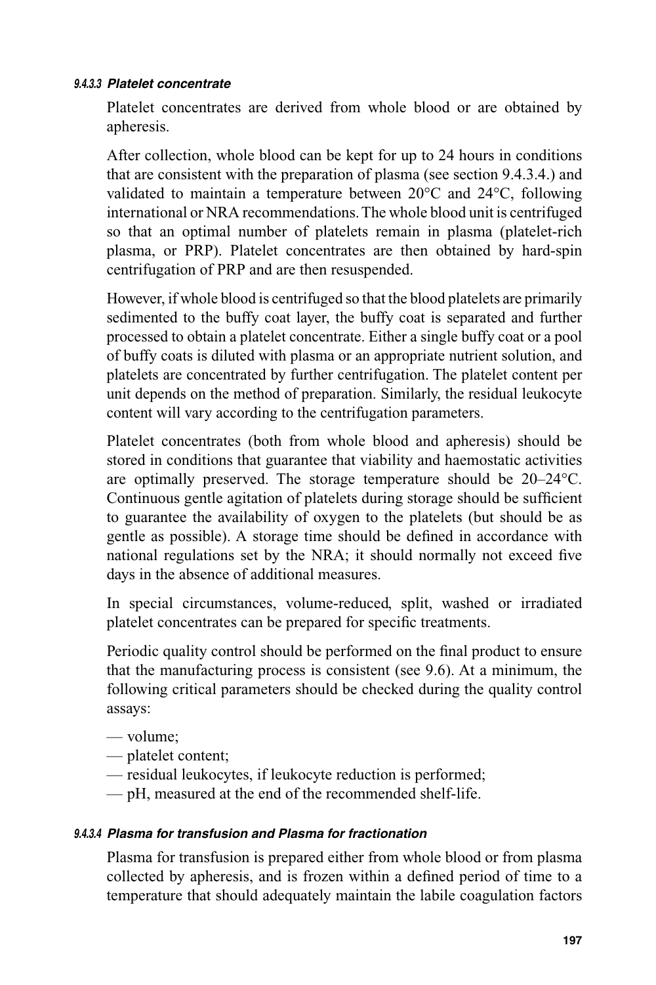#### *9.4.3.3 Platelet concentrate*

Platelet concentrates are derived from whole blood or are obtained by apheresis.

After collection, whole blood can be kept for up to 24 hours in conditions that are consistent with the preparation of plasma (see section 9.4.3.4.) and validated to maintain a temperature between 20°C and 24°C, following international or NRA recommendations. The whole blood unit is centrifuged so that an optimal number of platelets remain in plasma (platelet-rich plasma, or PRP). Platelet concentrates are then obtained by hard-spin centrifugation of PRP and are then resuspended.

However, if whole blood is centrifuged so that the blood platelets are primarily sedimented to the buffy coat layer, the buffy coat is separated and further processed to obtain a platelet concentrate. Either a single buffy coat or a pool of buffy coats is diluted with plasma or an appropriate nutrient solution, and platelets are concentrated by further centrifugation. The platelet content per unit depends on the method of preparation. Similarly, the residual leukocyte content will vary according to the centrifugation parameters.

Platelet concentrates (both from whole blood and apheresis) should be stored in conditions that guarantee that viability and haemostatic activities are optimally preserved. The storage temperature should be 20–24°C. Continuous gentle agitation of platelets during storage should be sufficient to guarantee the availability of oxygen to the platelets (but should be as gentle as possible). A storage time should be defined in accordance with national regulations set by the NRA; it should normally not exceed five days in the absence of additional measures.

In special circumstances, volume-reduced, split, washed or irradiated platelet concentrates can be prepared for specific treatments.

Periodic quality control should be performed on the final product to ensure that the manufacturing process is consistent (see 9.6). At a minimum, the following critical parameters should be checked during the quality control assays:

- volume;
- platelet content;
- residual leukocytes, if leukocyte reduction is performed;
- pH, measured at the end of the recommended shelf-life.

#### *9.4.3.4 Plasma for transfusion and Plasma for fractionation*

Plasma for transfusion is prepared either from whole blood or from plasma collected by apheresis, and is frozen within a defined period of time to a temperature that should adequately maintain the labile coagulation factors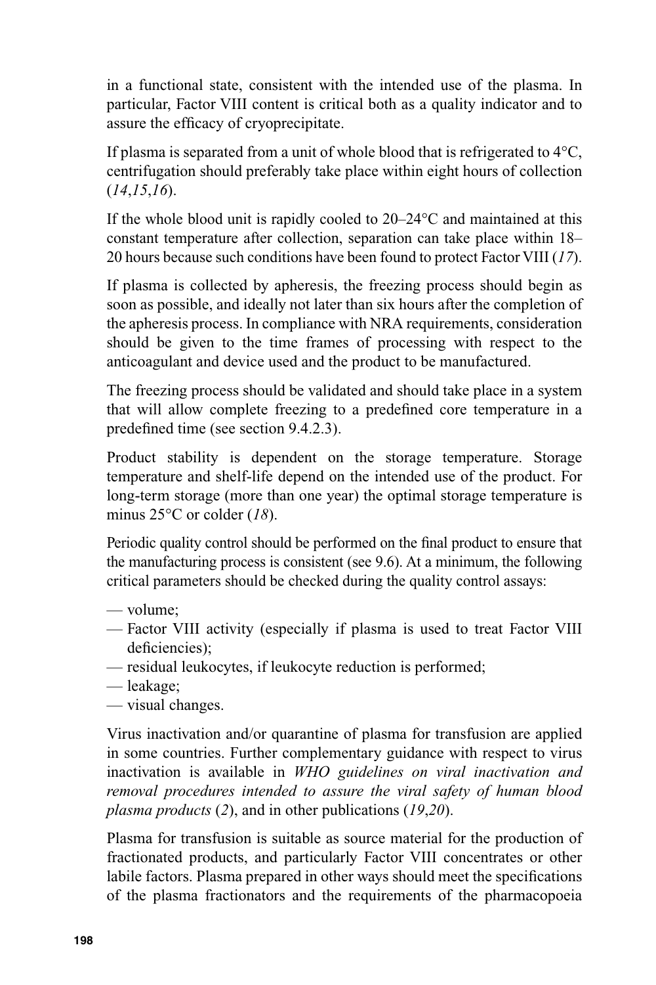in a functional state, consistent with the intended use of the plasma. In particular, Factor VIII content is critical both as a quality indicator and to assure the efficacy of cryoprecipitate.

If plasma is separated from a unit of whole blood that is refrigerated to 4°C, centrifugation should preferably take place within eight hours of collection (*14*,*15*,*16*).

If the whole blood unit is rapidly cooled to 20–24°C and maintained at this constant temperature after collection, separation can take place within 18– 20 hours because such conditions have been found to protect Factor VIII (*17*).

If plasma is collected by apheresis, the freezing process should begin as soon as possible, and ideally not later than six hours after the completion of the apheresis process. In compliance with NRA requirements, consideration should be given to the time frames of processing with respect to the anticoagulant and device used and the product to be manufactured.

The freezing process should be validated and should take place in a system that will allow complete freezing to a predefined core temperature in a predefined time (see section 9.4.2.3).

Product stability is dependent on the storage temperature. Storage temperature and shelf-life depend on the intended use of the product. For long-term storage (more than one year) the optimal storage temperature is minus 25°C or colder (*18*).

Periodic quality control should be performed on the final product to ensure that the manufacturing process is consistent (see 9.6). At a minimum, the following critical parameters should be checked during the quality control assays:

- volume;
- Factor VIII activity (especially if plasma is used to treat Factor VIII deficiencies);
- residual leukocytes, if leukocyte reduction is performed;
- leakage;
- visual changes.

Virus inactivation and/or quarantine of plasma for transfusion are applied in some countries. Further complementary guidance with respect to virus inactivation is available in *WHO guidelines on viral inactivation and removal procedures intended to assure the viral safety of human blood plasma products* (*2*), and in other publications (*19*,*20*).

Plasma for transfusion is suitable as source material for the production of fractionated products, and particularly Factor VIII concentrates or other labile factors. Plasma prepared in other ways should meet the specifications of the plasma fractionators and the requirements of the pharmacopoeia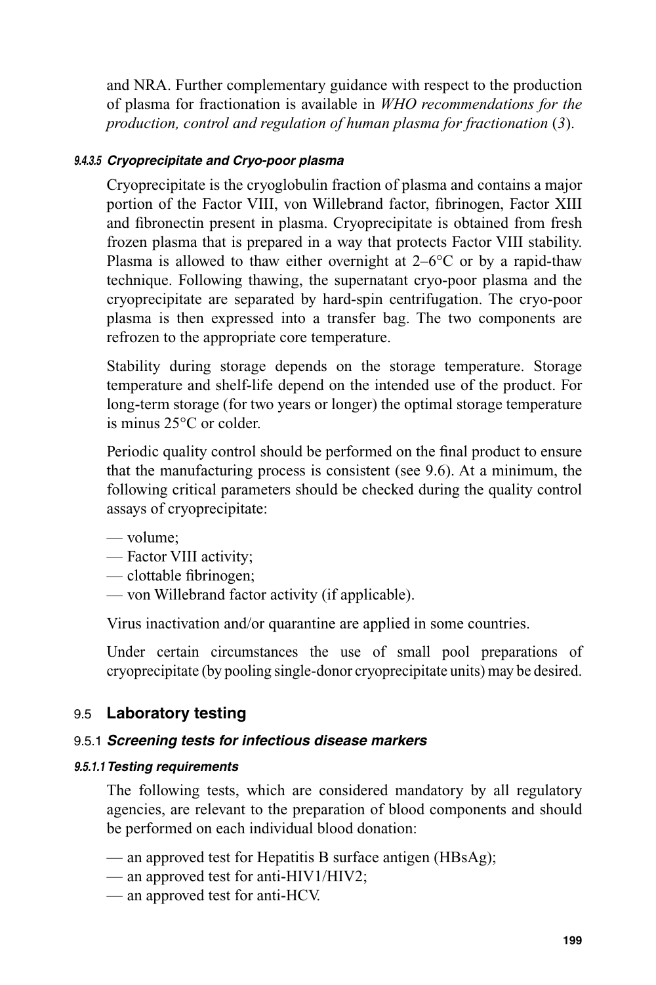and NRA. Further complementary guidance with respect to the production of plasma for fractionation is available in *WHO recommendations for the production, control and regulation of human plasma for fractionation* (*3*).

#### *9.4.3.5 Cryoprecipitate and Cryo-poor plasma*

Cryoprecipitate is the cryoglobulin fraction of plasma and contains a major portion of the Factor VIII, von Willebrand factor, fibrinogen, Factor XIII and fibronectin present in plasma. Cryoprecipitate is obtained from fresh frozen plasma that is prepared in a way that protects Factor VIII stability. Plasma is allowed to thaw either overnight at  $2-6$ °C or by a rapid-thaw technique. Following thawing, the supernatant cryo-poor plasma and the cryoprecipitate are separated by hard-spin centrifugation. The cryo-poor plasma is then expressed into a transfer bag. The two components are refrozen to the appropriate core temperature.

Stability during storage depends on the storage temperature. Storage temperature and shelf-life depend on the intended use of the product. For long-term storage (for two years or longer) the optimal storage temperature is minus 25°C or colder.

Periodic quality control should be performed on the final product to ensure that the manufacturing process is consistent (see 9.6). At a minimum, the following critical parameters should be checked during the quality control assays of cryoprecipitate:

- volume;
- Factor VIII activity;
- $-$  clottable fibrinogen;
- von Willebrand factor activity (if applicable).

Virus inactivation and/or quarantine are applied in some countries.

Under certain circumstances the use of small pool preparations of cryoprecipitate (by pooling single-donor cryoprecipitate units) may be desired.

## 9.5 **Laboratory testing**

#### 9.5.1 *Screening tests for infectious disease markers*

#### *9.5.1.1 Testing requirements*

The following tests, which are considered mandatory by all regulatory agencies, are relevant to the preparation of blood components and should be performed on each individual blood donation:

- an approved test for Hepatitis B surface antigen (HBsAg);
- an approved test for anti-HIV1/HIV2;
- an approved test for anti-HCV.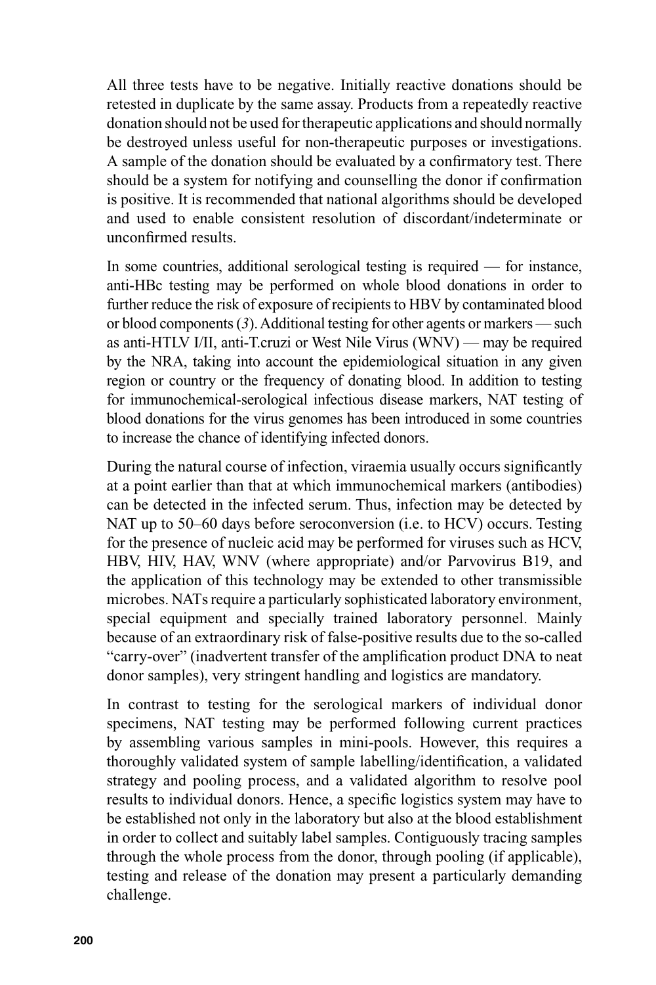All three tests have to be negative. Initially reactive donations should be retested in duplicate by the same assay. Products from a repeatedly reactive donation should not be used for therapeutic applications and should normally be destroyed unless useful for non-therapeutic purposes or investigations. A sample of the donation should be evaluated by a confirmatory test. There should be a system for notifying and counselling the donor if confirmation is positive. It is recommended that national algorithms should be developed and used to enable consistent resolution of discordant/indeterminate or unconfirmed results.

In some countries, additional serological testing is required — for instance, anti-HBc testing may be performed on whole blood donations in order to further reduce the risk of exposure of recipients to HBV by contaminated blood or blood components (*3*). Additional testing for other agents or markers — such as anti-HTLV I/II, anti-T.cruzi or West Nile Virus (WNV) — may be required by the NRA, taking into account the epidemiological situation in any given region or country or the frequency of donating blood. In addition to testing for immunochemical-serological infectious disease markers, NAT testing of blood donations for the virus genomes has been introduced in some countries to increase the chance of identifying infected donors.

During the natural course of infection, viraemia usually occurs significantly at a point earlier than that at which immunochemical markers (antibodies) can be detected in the infected serum. Thus, infection may be detected by NAT up to 50–60 days before seroconversion (i.e. to HCV) occurs. Testing for the presence of nucleic acid may be performed for viruses such as HCV, HBV, HIV, HAV, WNV (where appropriate) and/or Parvovirus B19, and the application of this technology may be extended to other transmissible microbes. NATs require a particularly sophisticated laboratory environment, special equipment and specially trained laboratory personnel. Mainly because of an extraordinary risk of false-positive results due to the so-called "carry-over" (inadvertent transfer of the amplification product DNA to neat donor samples), very stringent handling and logistics are mandatory.

In contrast to testing for the serological markers of individual donor specimens, NAT testing may be performed following current practices by assembling various samples in mini-pools. However, this requires a thoroughly validated system of sample labelling/identification, a validated strategy and pooling process, and a validated algorithm to resolve pool results to individual donors. Hence, a specific logistics system may have to be established not only in the laboratory but also at the blood establishment in order to collect and suitably label samples. Contiguously tracing samples through the whole process from the donor, through pooling (if applicable), testing and release of the donation may present a particularly demanding challenge.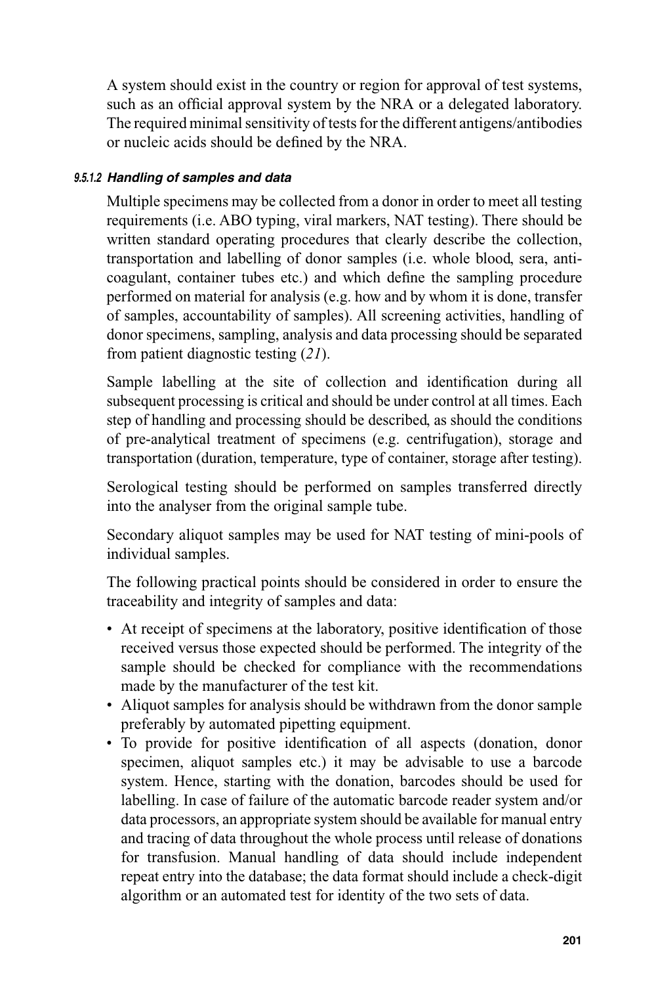A system should exist in the country or region for approval of test systems, such as an official approval system by the NRA or a delegated laboratory. The required minimal sensitivity of tests for the different antigens/antibodies or nucleic acids should be defined by the NRA.

#### *9.5.1.2 Handling of samples and data*

Multiple specimens may be collected from a donor in order to meet all testing requirements (i.e. ABO typing, viral markers, NAT testing). There should be written standard operating procedures that clearly describe the collection, transportation and labelling of donor samples (i.e. whole blood, sera, anticoagulant, container tubes etc.) and which define the sampling procedure performed on material for analysis (e.g. how and by whom it is done, transfer of samples, accountability of samples). All screening activities, handling of donor specimens, sampling, analysis and data processing should be separated from patient diagnostic testing (*21*).

Sample labelling at the site of collection and identification during all subsequent processing is critical and should be under control at all times. Each step of handling and processing should be described, as should the conditions of pre-analytical treatment of specimens (e.g. centrifugation), storage and transportation (duration, temperature, type of container, storage after testing).

Serological testing should be performed on samples transferred directly into the analyser from the original sample tube.

Secondary aliquot samples may be used for NAT testing of mini-pools of individual samples.

The following practical points should be considered in order to ensure the traceability and integrity of samples and data:

- At receipt of specimens at the laboratory, positive identification of those received versus those expected should be performed. The integrity of the sample should be checked for compliance with the recommendations made by the manufacturer of the test kit.
- Aliquot samples for analysis should be withdrawn from the donor sample preferably by automated pipetting equipment.
- To provide for positive identification of all aspects (donation, donor specimen, aliquot samples etc.) it may be advisable to use a barcode system. Hence, starting with the donation, barcodes should be used for labelling. In case of failure of the automatic barcode reader system and/or data processors, an appropriate system should be available for manual entry and tracing of data throughout the whole process until release of donations for transfusion. Manual handling of data should include independent repeat entry into the database; the data format should include a check-digit algorithm or an automated test for identity of the two sets of data.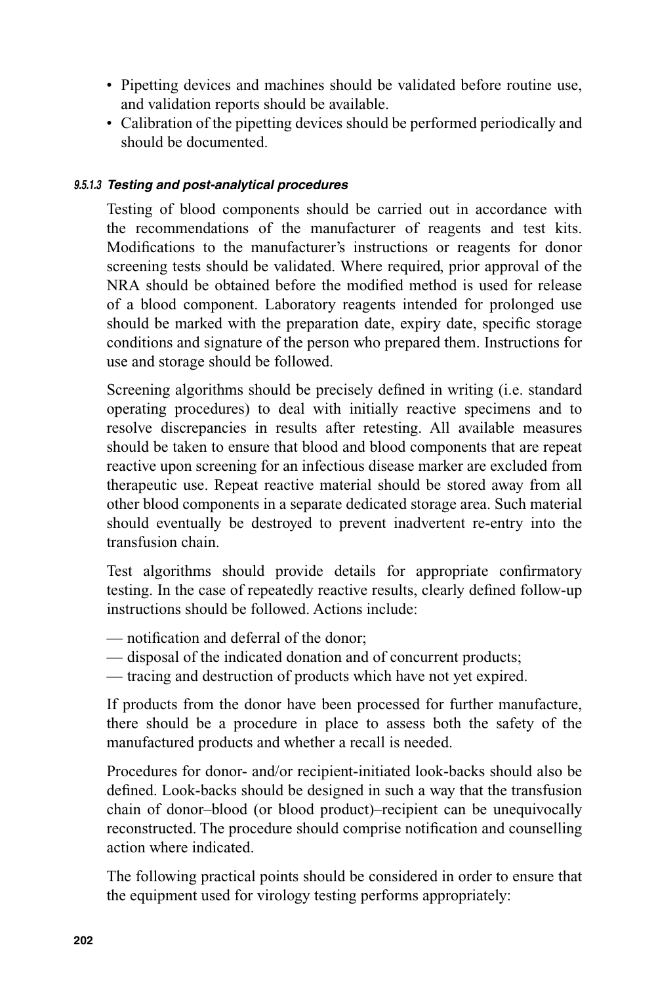- Pipetting devices and machines should be validated before routine use, and validation reports should be available.
- Calibration of the pipetting devices should be performed periodically and should be documented.

#### *9.5.1.3 Testing and post-analytical procedures*

Testing of blood components should be carried out in accordance with the recommendations of the manufacturer of reagents and test kits. Modifications to the manufacturer's instructions or reagents for donor screening tests should be validated. Where required, prior approval of the NRA should be obtained before the modified method is used for release of a blood component. Laboratory reagents intended for prolonged use should be marked with the preparation date, expiry date, specific storage conditions and signature of the person who prepared them. Instructions for use and storage should be followed.

Screening algorithms should be precisely defined in writing (i.e. standard operating procedures) to deal with initially reactive specimens and to resolve discrepancies in results after retesting. All available measures should be taken to ensure that blood and blood components that are repeat reactive upon screening for an infectious disease marker are excluded from therapeutic use. Repeat reactive material should be stored away from all other blood components in a separate dedicated storage area. Such material should eventually be destroyed to prevent inadvertent re-entry into the transfusion chain.

Test algorithms should provide details for appropriate confirmatory testing. In the case of repeatedly reactive results, clearly defined follow-up instructions should be followed. Actions include:

- notification and deferral of the donor:
- disposal of the indicated donation and of concurrent products;
- tracing and destruction of products which have not yet expired.

If products from the donor have been processed for further manufacture, there should be a procedure in place to assess both the safety of the manufactured products and whether a recall is needed.

Procedures for donor- and/or recipient-initiated look-backs should also be defined. Look-backs should be designed in such a way that the transfusion chain of donor–blood (or blood product)–recipient can be unequivocally reconstructed. The procedure should comprise notification and counselling action where indicated.

The following practical points should be considered in order to ensure that the equipment used for virology testing performs appropriately: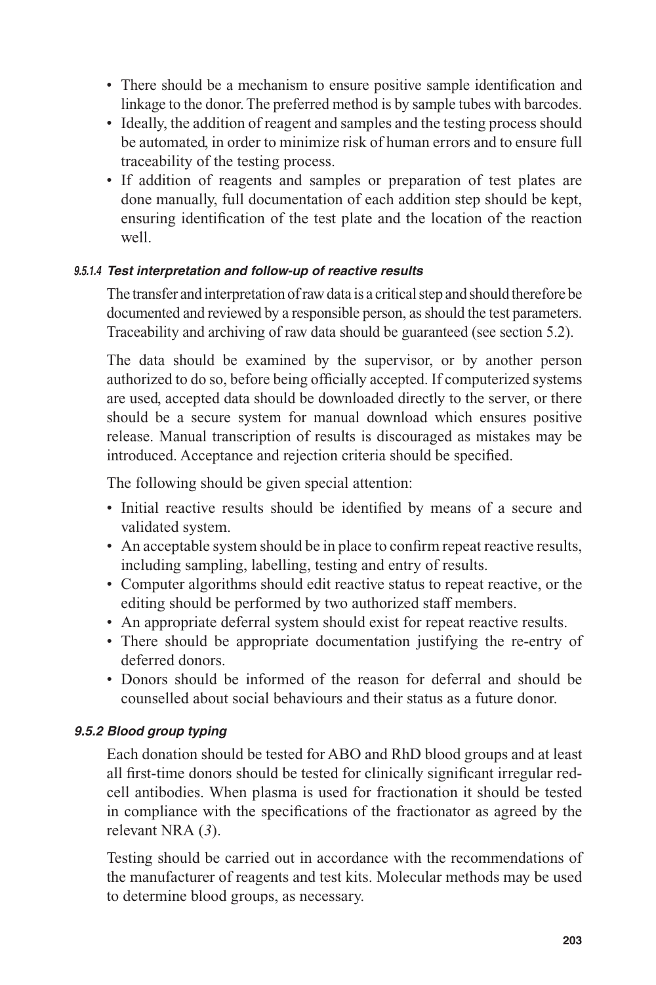- There should be a mechanism to ensure positive sample identification and linkage to the donor. The preferred method is by sample tubes with barcodes.
- Ideally, the addition of reagent and samples and the testing process should be automated, in order to minimize risk of human errors and to ensure full traceability of the testing process.
- If addition of reagents and samples or preparation of test plates are done manually, full documentation of each addition step should be kept, ensuring identification of the test plate and the location of the reaction well.

#### *9.5.1.4 Test interpretation and follow-up of reactive results*

The transfer and interpretation of raw data is a critical step and should therefore be documented and reviewed by a responsible person, as should the test parameters. Traceability and archiving of raw data should be guaranteed (see section 5.2).

The data should be examined by the supervisor, or by another person authorized to do so, before being officially accepted. If computerized systems are used, accepted data should be downloaded directly to the server, or there should be a secure system for manual download which ensures positive release. Manual transcription of results is discouraged as mistakes may be introduced. Acceptance and rejection criteria should be specified.

The following should be given special attention:

- Initial reactive results should be identified by means of a secure and validated system.
- An acceptable system should be in place to confirm repeat reactive results, including sampling, labelling, testing and entry of results.
- Computer algorithms should edit reactive status to repeat reactive, or the editing should be performed by two authorized staff members.
- An appropriate deferral system should exist for repeat reactive results.
- There should be appropriate documentation justifying the re-entry of deferred donors.
- Donors should be informed of the reason for deferral and should be counselled about social behaviours and their status as a future donor.

#### *9.5.2 Blood group typing*

Each donation should be tested for ABO and RhD blood groups and at least all first-time donors should be tested for clinically significant irregular redcell antibodies. When plasma is used for fractionation it should be tested in compliance with the specifications of the fractionator as agreed by the relevant NRA (*3*).

Testing should be carried out in accordance with the recommendations of the manufacturer of reagents and test kits. Molecular methods may be used to determine blood groups, as necessary.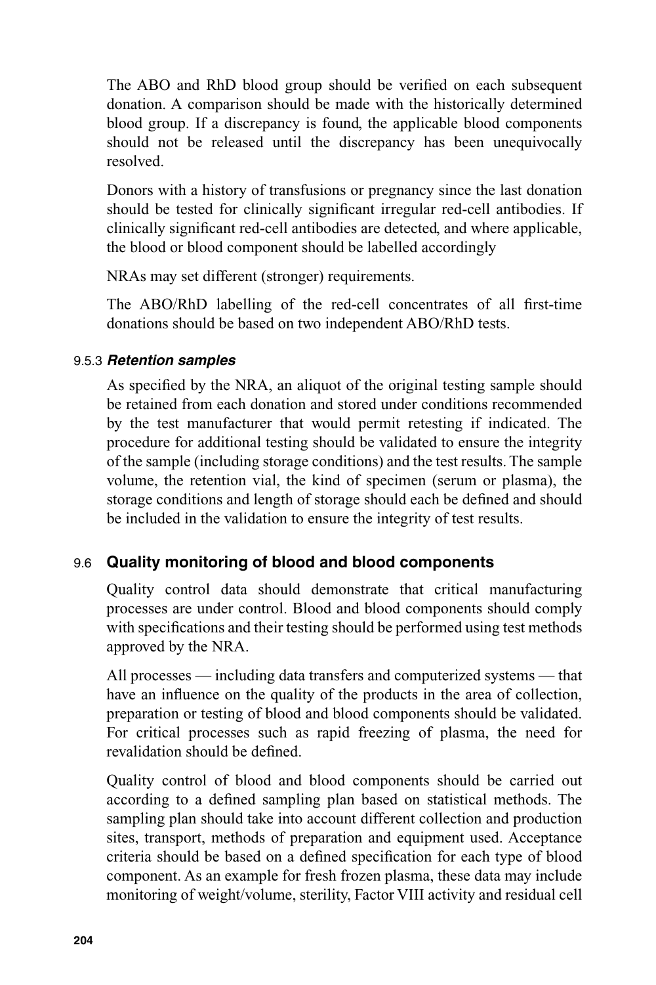The ABO and RhD blood group should be verified on each subsequent donation. A comparison should be made with the historically determined blood group. If a discrepancy is found, the applicable blood components should not be released until the discrepancy has been unequivocally resolved.

Donors with a history of transfusions or pregnancy since the last donation should be tested for clinically significant irregular red-cell antibodies. If clinically significant red-cell antibodies are detected, and where applicable, the blood or blood component should be labelled accordingly

NRAs may set different (stronger) requirements.

The ABO/RhD labelling of the red-cell concentrates of all first-time donations should be based on two independent ABO/RhD tests.

#### 9.5.3 *Retention samples*

As specified by the NRA, an aliquot of the original testing sample should be retained from each donation and stored under conditions recommended by the test manufacturer that would permit retesting if indicated. The procedure for additional testing should be validated to ensure the integrity of the sample (including storage conditions) and the test results. The sample volume, the retention vial, the kind of specimen (serum or plasma), the storage conditions and length of storage should each be defined and should be included in the validation to ensure the integrity of test results.

## 9.6 **Quality monitoring of blood and blood components**

Quality control data should demonstrate that critical manufacturing processes are under control. Blood and blood components should comply with specifications and their testing should be performed using test methods approved by the NRA.

All processes — including data transfers and computerized systems — that have an influence on the quality of the products in the area of collection, preparation or testing of blood and blood components should be validated. For critical processes such as rapid freezing of plasma, the need for revalidation should be defined.

Quality control of blood and blood components should be carried out according to a defined sampling plan based on statistical methods. The sampling plan should take into account different collection and production sites, transport, methods of preparation and equipment used. Acceptance criteria should be based on a defined specification for each type of blood component. As an example for fresh frozen plasma, these data may include monitoring of weight/volume, sterility, Factor VIII activity and residual cell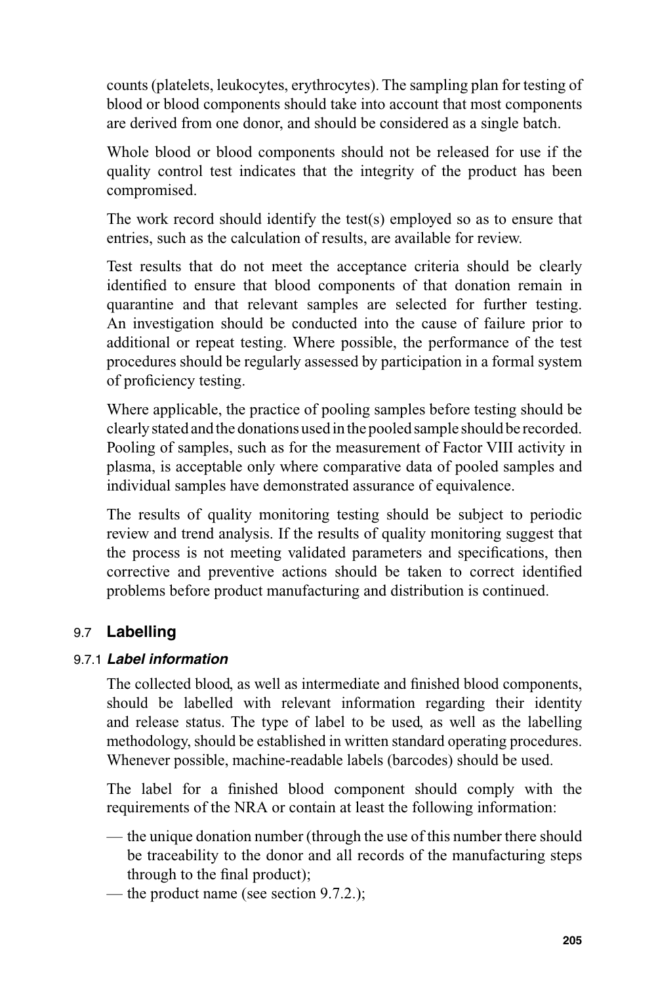counts (platelets, leukocytes, erythrocytes). The sampling plan for testing of blood or blood components should take into account that most components are derived from one donor, and should be considered as a single batch.

Whole blood or blood components should not be released for use if the quality control test indicates that the integrity of the product has been compromised.

The work record should identify the test(s) employed so as to ensure that entries, such as the calculation of results, are available for review.

Test results that do not meet the acceptance criteria should be clearly identified to ensure that blood components of that donation remain in quarantine and that relevant samples are selected for further testing. An investigation should be conducted into the cause of failure prior to additional or repeat testing. Where possible, the performance of the test procedures should be regularly assessed by participation in a formal system of proficiency testing.

Where applicable, the practice of pooling samples before testing should be clearly stated and the donations used in the pooled sample should be recorded. Pooling of samples, such as for the measurement of Factor VIII activity in plasma, is acceptable only where comparative data of pooled samples and individual samples have demonstrated assurance of equivalence.

The results of quality monitoring testing should be subject to periodic review and trend analysis. If the results of quality monitoring suggest that the process is not meeting validated parameters and specifications, then corrective and preventive actions should be taken to correct identified problems before product manufacturing and distribution is continued.

## 9.7 **Labelling**

#### 9.7.1 *Label information*

The collected blood, as well as intermediate and finished blood components, should be labelled with relevant information regarding their identity and release status. The type of label to be used, as well as the labelling methodology, should be established in written standard operating procedures. Whenever possible, machine-readable labels (barcodes) should be used.

The label for a finished blood component should comply with the requirements of the NRA or contain at least the following information:

- the unique donation number (through the use of this number there should be traceability to the donor and all records of the manufacturing steps through to the final product);
- the product name (see section 9.7.2.);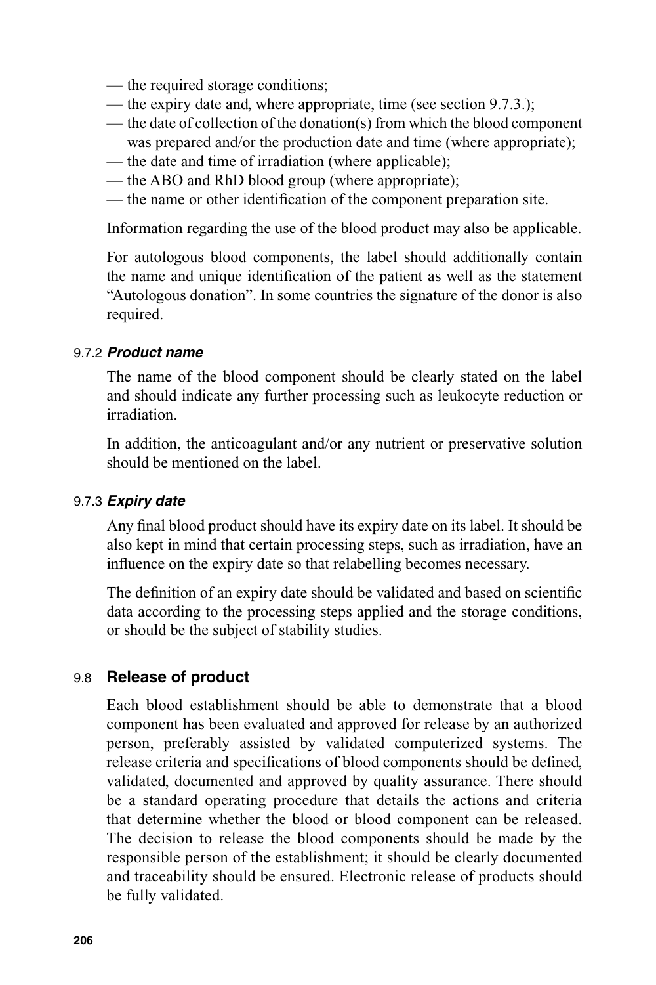- the required storage conditions;
- the expiry date and, where appropriate, time (see section 9.7.3.);
- the date of collection of the donation(s) from which the blood component was prepared and/or the production date and time (where appropriate);
- the date and time of irradiation (where applicable);
- the ABO and RhD blood group (where appropriate);
- the name or other identification of the component preparation site.

Information regarding the use of the blood product may also be applicable.

For autologous blood components, the label should additionally contain the name and unique identification of the patient as well as the statement "Autologous donation". In some countries the signature of the donor is also required.

#### 9.7.2 *Product name*

The name of the blood component should be clearly stated on the label and should indicate any further processing such as leukocyte reduction or irradiation.

In addition, the anticoagulant and/or any nutrient or preservative solution should be mentioned on the label.

#### 9.7.3 *Expiry date*

Any final blood product should have its expiry date on its label. It should be also kept in mind that certain processing steps, such as irradiation, have an influence on the expiry date so that relabelling becomes necessary.

The definition of an expiry date should be validated and based on scientific data according to the processing steps applied and the storage conditions, or should be the subject of stability studies.

#### 9.8 **Release of product**

Each blood establishment should be able to demonstrate that a blood component has been evaluated and approved for release by an authorized person, preferably assisted by validated computerized systems. The release criteria and specifications of blood components should be defined, validated, documented and approved by quality assurance. There should be a standard operating procedure that details the actions and criteria that determine whether the blood or blood component can be released. The decision to release the blood components should be made by the responsible person of the establishment; it should be clearly documented and traceability should be ensured. Electronic release of products should be fully validated.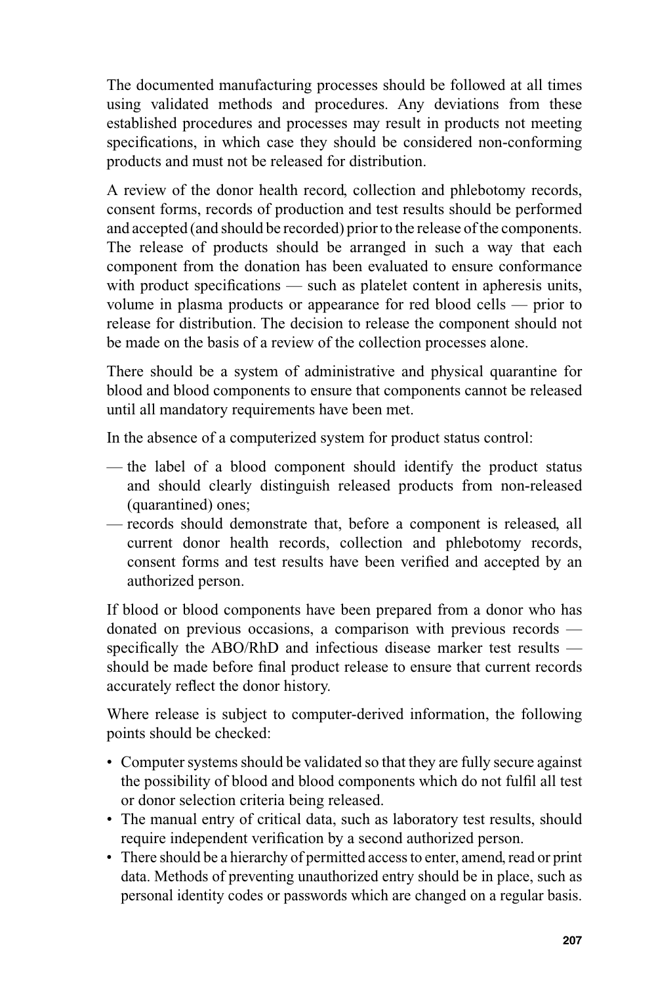The documented manufacturing processes should be followed at all times using validated methods and procedures. Any deviations from these established procedures and processes may result in products not meeting specifications, in which case they should be considered non-conforming products and must not be released for distribution.

A review of the donor health record, collection and phlebotomy records, consent forms, records of production and test results should be performed and accepted (and should be recorded) prior to the release of the components. The release of products should be arranged in such a way that each component from the donation has been evaluated to ensure conformance with product specifications — such as platelet content in apheresis units, volume in plasma products or appearance for red blood cells — prior to release for distribution. The decision to release the component should not be made on the basis of a review of the collection processes alone.

There should be a system of administrative and physical quarantine for blood and blood components to ensure that components cannot be released until all mandatory requirements have been met.

In the absence of a computerized system for product status control:

- the label of a blood component should identify the product status and should clearly distinguish released products from non-released (quarantined) ones;
- records should demonstrate that, before a component is released, all current donor health records, collection and phlebotomy records, consent forms and test results have been verified and accepted by an authorized person.

If blood or blood components have been prepared from a donor who has donated on previous occasions, a comparison with previous records specifically the ABO/RhD and infectious disease marker test results should be made before final product release to ensure that current records accurately reflect the donor history.

Where release is subject to computer-derived information, the following points should be checked:

- Computer systems should be validated so that they are fully secure against the possibility of blood and blood components which do not fulfil all test or donor selection criteria being released.
- The manual entry of critical data, such as laboratory test results, should require independent verification by a second authorized person.
- There should be a hierarchy of permitted access to enter, amend, read or print data. Methods of preventing unauthorized entry should be in place, such as personal identity codes or passwords which are changed on a regular basis.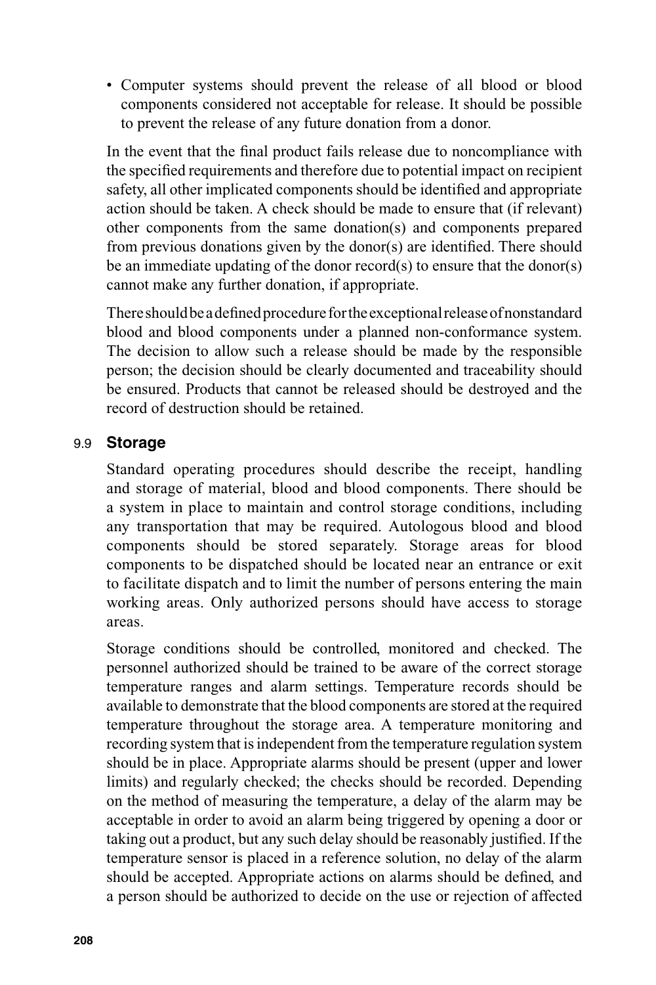• Computer systems should prevent the release of all blood or blood components considered not acceptable for release. It should be possible to prevent the release of any future donation from a donor.

In the event that the final product fails release due to noncompliance with the specified requirements and therefore due to potential impact on recipient safety, all other implicated components should be identified and appropriate action should be taken. A check should be made to ensure that (if relevant) other components from the same donation(s) and components prepared from previous donations given by the donor(s) are identified. There should be an immediate updating of the donor record(s) to ensure that the donor(s) cannot make any further donation, if appropriate.

There should be a defined procedure for the exceptional release of nonstandard blood and blood components under a planned non-conformance system. The decision to allow such a release should be made by the responsible person; the decision should be clearly documented and traceability should be ensured. Products that cannot be released should be destroyed and the record of destruction should be retained.

#### 9.9 **Storage**

Standard operating procedures should describe the receipt, handling and storage of material, blood and blood components. There should be a system in place to maintain and control storage conditions, including any transportation that may be required. Autologous blood and blood components should be stored separately. Storage areas for blood components to be dispatched should be located near an entrance or exit to facilitate dispatch and to limit the number of persons entering the main working areas. Only authorized persons should have access to storage areas.

Storage conditions should be controlled, monitored and checked. The personnel authorized should be trained to be aware of the correct storage temperature ranges and alarm settings. Temperature records should be available to demonstrate that the blood components are stored at the required temperature throughout the storage area. A temperature monitoring and recording system that is independent from the temperature regulation system should be in place. Appropriate alarms should be present (upper and lower limits) and regularly checked; the checks should be recorded. Depending on the method of measuring the temperature, a delay of the alarm may be acceptable in order to avoid an alarm being triggered by opening a door or taking out a product, but any such delay should be reasonably justified. If the temperature sensor is placed in a reference solution, no delay of the alarm should be accepted. Appropriate actions on alarms should be defined, and a person should be authorized to decide on the use or rejection of affected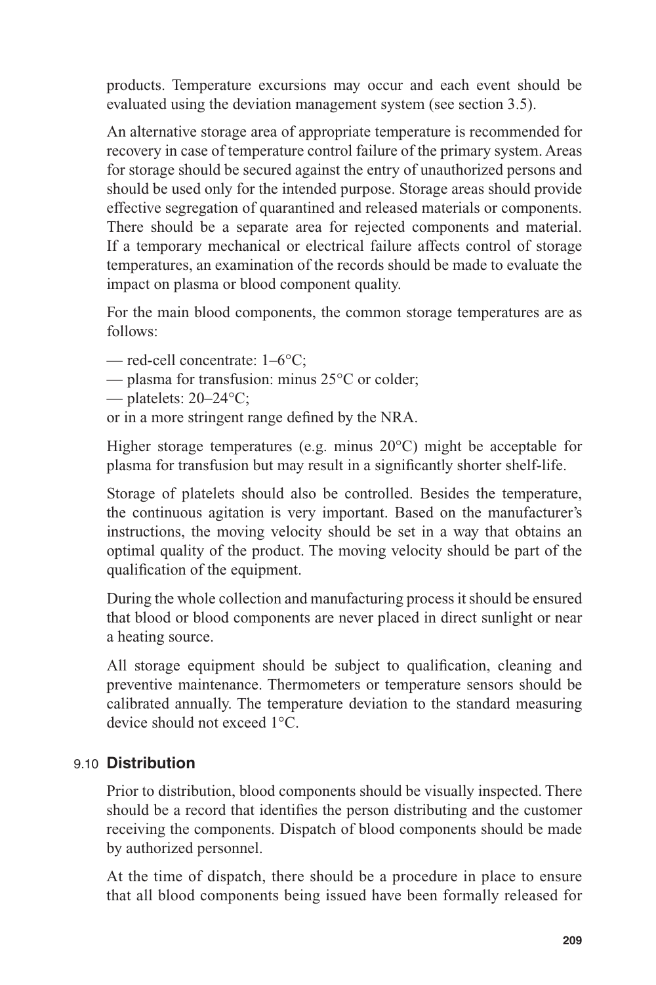products. Temperature excursions may occur and each event should be evaluated using the deviation management system (see section 3.5).

An alternative storage area of appropriate temperature is recommended for recovery in case of temperature control failure of the primary system. Areas for storage should be secured against the entry of unauthorized persons and should be used only for the intended purpose. Storage areas should provide effective segregation of quarantined and released materials or components. There should be a separate area for rejected components and material. If a temporary mechanical or electrical failure affects control of storage temperatures, an examination of the records should be made to evaluate the impact on plasma or blood component quality.

For the main blood components, the common storage temperatures are as follows:

- red-cell concentrate: 1–6°C;
- plasma for transfusion: minus 25°C or colder;
- platelets: 20–24°C;

or in a more stringent range defined by the NRA.

Higher storage temperatures (e.g. minus 20°C) might be acceptable for plasma for transfusion but may result in a significantly shorter shelf-life.

Storage of platelets should also be controlled. Besides the temperature, the continuous agitation is very important. Based on the manufacturer's instructions, the moving velocity should be set in a way that obtains an optimal quality of the product. The moving velocity should be part of the qualification of the equipment.

During the whole collection and manufacturing process it should be ensured that blood or blood components are never placed in direct sunlight or near a heating source.

All storage equipment should be subject to qualification, cleaning and preventive maintenance. Thermometers or temperature sensors should be calibrated annually. The temperature deviation to the standard measuring device should not exceed 1°C.

#### 9.10 **Distribution**

Prior to distribution, blood components should be visually inspected. There should be a record that identifies the person distributing and the customer receiving the components. Dispatch of blood components should be made by authorized personnel.

At the time of dispatch, there should be a procedure in place to ensure that all blood components being issued have been formally released for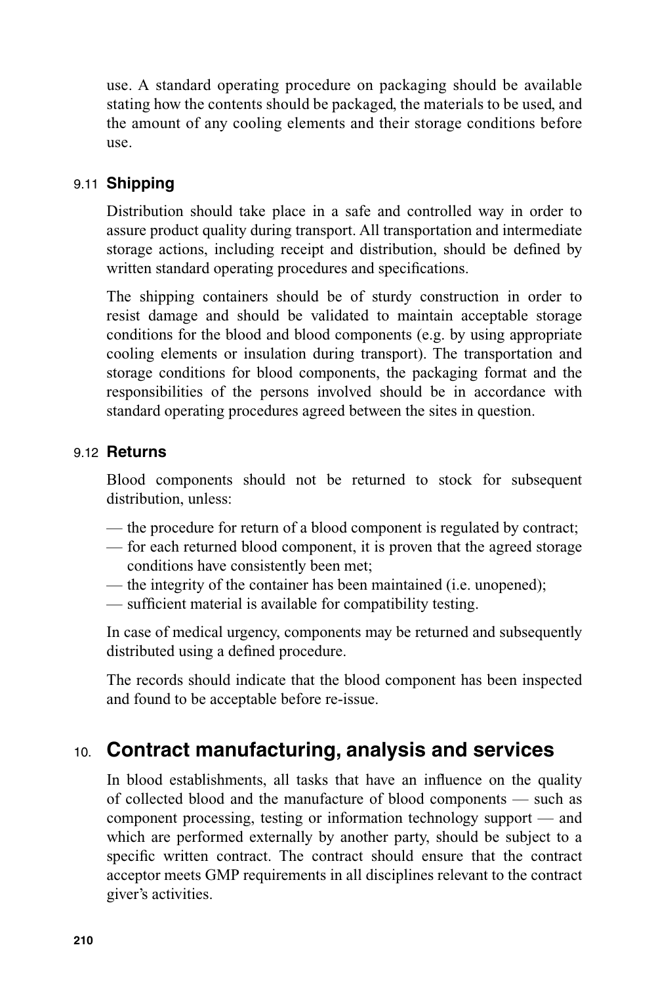use. A standard operating procedure on packaging should be available stating how the contents should be packaged, the materials to be used, and the amount of any cooling elements and their storage conditions before use.

## 9.11 **Shipping**

Distribution should take place in a safe and controlled way in order to assure product quality during transport. All transportation and intermediate storage actions, including receipt and distribution, should be defined by written standard operating procedures and specifications.

The shipping containers should be of sturdy construction in order to resist damage and should be validated to maintain acceptable storage conditions for the blood and blood components (e.g. by using appropriate cooling elements or insulation during transport). The transportation and storage conditions for blood components, the packaging format and the responsibilities of the persons involved should be in accordance with standard operating procedures agreed between the sites in question.

## 9.12 **Returns**

Blood components should not be returned to stock for subsequent distribution, unless:

- the procedure for return of a blood component is regulated by contract;
- for each returned blood component, it is proven that the agreed storage conditions have consistently been met;
- the integrity of the container has been maintained (i.e. unopened);
- $-$  sufficient material is available for compatibility testing.

In case of medical urgency, components may be returned and subsequently distributed using a defined procedure.

The records should indicate that the blood component has been inspected and found to be acceptable before re-issue.

# 10. **Contract manufacturing, analysis and services**

In blood establishments, all tasks that have an influence on the quality of collected blood and the manufacture of blood components — such as component processing, testing or information technology support — and which are performed externally by another party, should be subject to a specific written contract. The contract should ensure that the contract acceptor meets GMP requirements in all disciplines relevant to the contract giver's activities.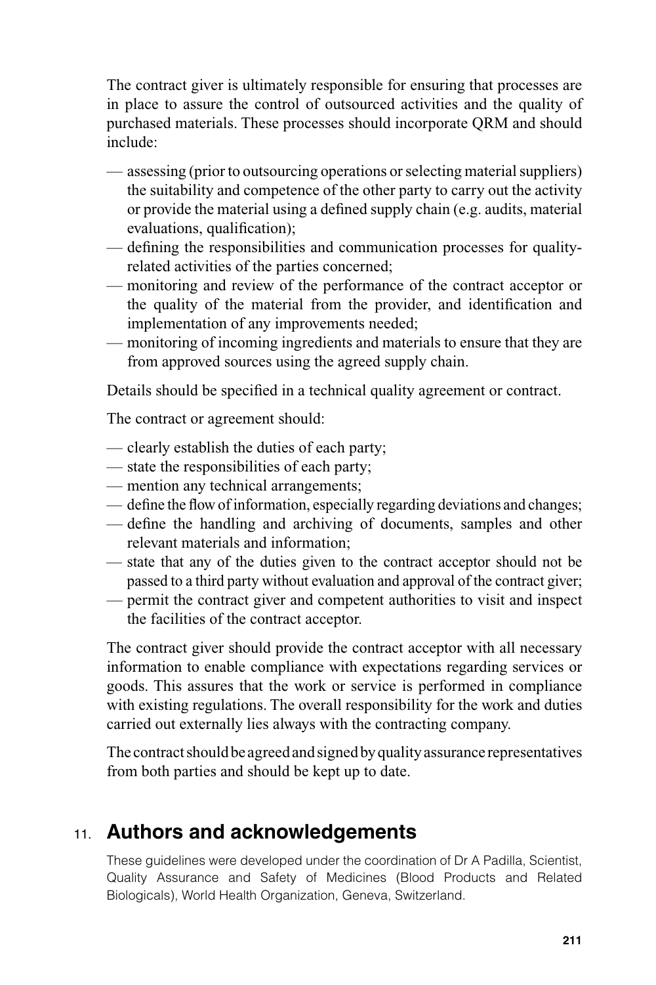The contract giver is ultimately responsible for ensuring that processes are in place to assure the control of outsourced activities and the quality of purchased materials. These processes should incorporate QRM and should include:

- assessing (prior to outsourcing operations or selecting material suppliers) the suitability and competence of the other party to carry out the activity or provide the material using a defined supply chain (e.g. audits, material evaluations, qualification);
- defining the responsibilities and communication processes for qualityrelated activities of the parties concerned;
- monitoring and review of the performance of the contract acceptor or the quality of the material from the provider, and identification and implementation of any improvements needed;
- monitoring of incoming ingredients and materials to ensure that they are from approved sources using the agreed supply chain.

Details should be specified in a technical quality agreement or contract.

The contract or agreement should:

- clearly establish the duties of each party;
- state the responsibilities of each party;
- mention any technical arrangements;
- $-\theta$  define the flow of information, especially regarding deviations and changes;
- define the handling and archiving of documents, samples and other relevant materials and information;
- state that any of the duties given to the contract acceptor should not be passed to a third party without evaluation and approval of the contract giver;
- permit the contract giver and competent authorities to visit and inspect the facilities of the contract acceptor.

The contract giver should provide the contract acceptor with all necessary information to enable compliance with expectations regarding services or goods. This assures that the work or service is performed in compliance with existing regulations. The overall responsibility for the work and duties carried out externally lies always with the contracting company.

The contract should be agreed and signed by quality assurance representatives from both parties and should be kept up to date.

# 11. **Authors and acknowledgements**

These guidelines were developed under the coordination of Dr A Padilla, Scientist, Quality Assurance and Safety of Medicines (Blood Products and Related Biologicals), World Health Organization, Geneva, Switzerland.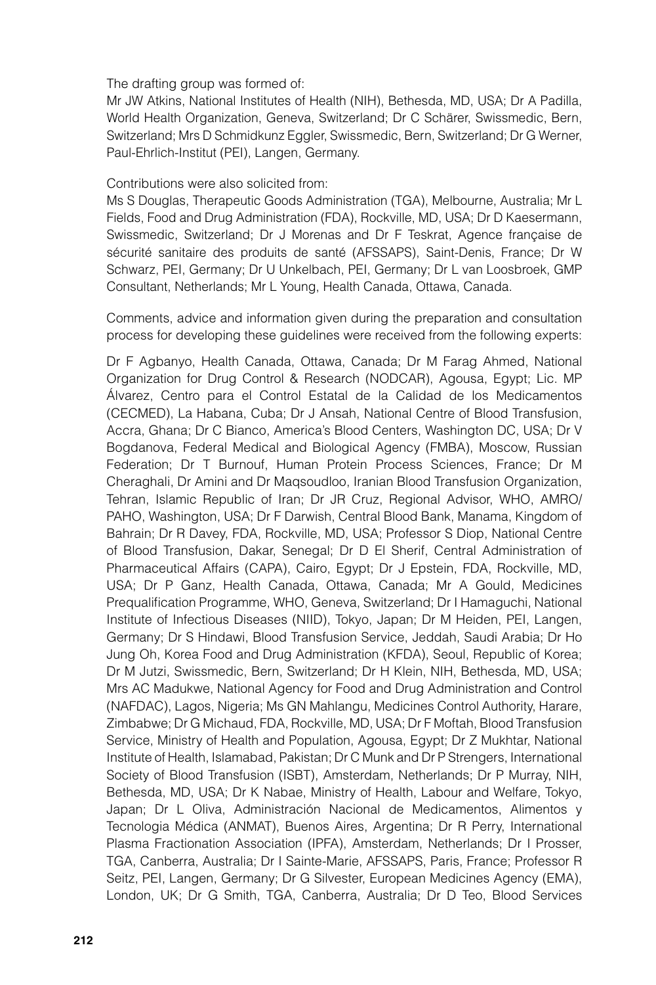The drafting group was formed of:

Mr JW Atkins, National Institutes of Health (NIH), Bethesda, MD, USA; Dr A Padilla, World Health Organization, Geneva, Switzerland; Dr C Schärer, Swissmedic, Bern, Switzerland; Mrs D Schmidkunz Eggler, Swissmedic, Bern, Switzerland; Dr G Werner, Paul-Ehrlich-Institut (PEI), Langen, Germany.

#### Contributions were also solicited from:

Ms S Douglas, Therapeutic Goods Administration (TGA), Melbourne, Australia; Mr L Fields, Food and Drug Administration (FDA), Rockville, MD, USA; Dr D Kaesermann, Swissmedic, Switzerland; Dr J Morenas and Dr F Teskrat, Agence française de sécurité sanitaire des produits de santé (AFSSAPS), Saint-Denis, France; Dr W Schwarz, PEI, Germany; Dr U Unkelbach, PEI, Germany; Dr L van Loosbroek, GMP Consultant, Netherlands; Mr L Young, Health Canada, Ottawa, Canada.

Comments, advice and information given during the preparation and consultation process for developing these guidelines were received from the following experts:

Dr F Agbanyo, Health Canada, Ottawa, Canada; Dr M Farag Ahmed, National Organization for Drug Control & Research (NODCAR), Agousa, Egypt; Lic. MP Álvarez, Centro para el Control Estatal de la Calidad de los Medicamentos (CECMED), La Habana, Cuba; Dr J Ansah, National Centre of Blood Transfusion, Accra, Ghana; Dr C Bianco, America's Blood Centers, Washington DC, USA; Dr V Bogdanova, Federal Medical and Biological Agency (FMBA), Moscow, Russian Federation; Dr T Burnouf, Human Protein Process Sciences, France; Dr M Cheraghali, Dr Amini and Dr Maqsoudloo, Iranian Blood Transfusion Organization, Tehran, Islamic Republic of Iran; Dr JR Cruz, Regional Advisor, WHO, AMRO/ PAHO, Washington, USA; Dr F Darwish, Central Blood Bank, Manama, Kingdom of Bahrain; Dr R Davey, FDA, Rockville, MD, USA; Professor S Diop, National Centre of Blood Transfusion, Dakar, Senegal; Dr D El Sherif, Central Administration of Pharmaceutical Affairs (CAPA), Cairo, Egypt; Dr J Epstein, FDA, Rockville, MD, USA; Dr P Ganz, Health Canada, Ottawa, Canada; Mr A Gould, Medicines Prequalification Programme, WHO, Geneva, Switzerland; Dr I Hamaguchi, National Institute of Infectious Diseases (NIID), Tokyo, Japan; Dr M Heiden, PEI, Langen, Germany; Dr S Hindawi, Blood Transfusion Service, Jeddah, Saudi Arabia; Dr Ho Jung Oh, Korea Food and Drug Administration (KFDA), Seoul, Republic of Korea; Dr M Jutzi, Swissmedic, Bern, Switzerland; Dr H Klein, NIH, Bethesda, MD, USA; Mrs AC Madukwe, National Agency for Food and Drug Administration and Control (NAFDAC), Lagos, Nigeria; Ms GN Mahlangu, Medicines Control Authority, Harare, Zimbabwe; Dr G Michaud, FDA, Rockville, MD, USA; Dr F Moftah, Blood Transfusion Service, Ministry of Health and Population, Agousa, Egypt; Dr Z Mukhtar, National Institute of Health, Islamabad, Pakistan; Dr C Munk and Dr P Strengers, International Society of Blood Transfusion (ISBT), Amsterdam, Netherlands; Dr P Murray, NIH, Bethesda, MD, USA; Dr K Nabae, Ministry of Health, Labour and Welfare, Tokyo, Japan; Dr L Oliva, Administración Nacional de Medicamentos, Alimentos y Tecnologia Médica (ANMAT), Buenos Aires, Argentina; Dr R Perry, International Plasma Fractionation Association (IPFA), Amsterdam, Netherlands; Dr I Prosser, TGA, Canberra, Australia; Dr I Sainte-Marie, AFSSAPS, Paris, France; Professor R Seitz, PEI, Langen, Germany; Dr G Silvester, European Medicines Agency (EMA), London, UK; Dr G Smith, TGA, Canberra, Australia; Dr D Teo, Blood Services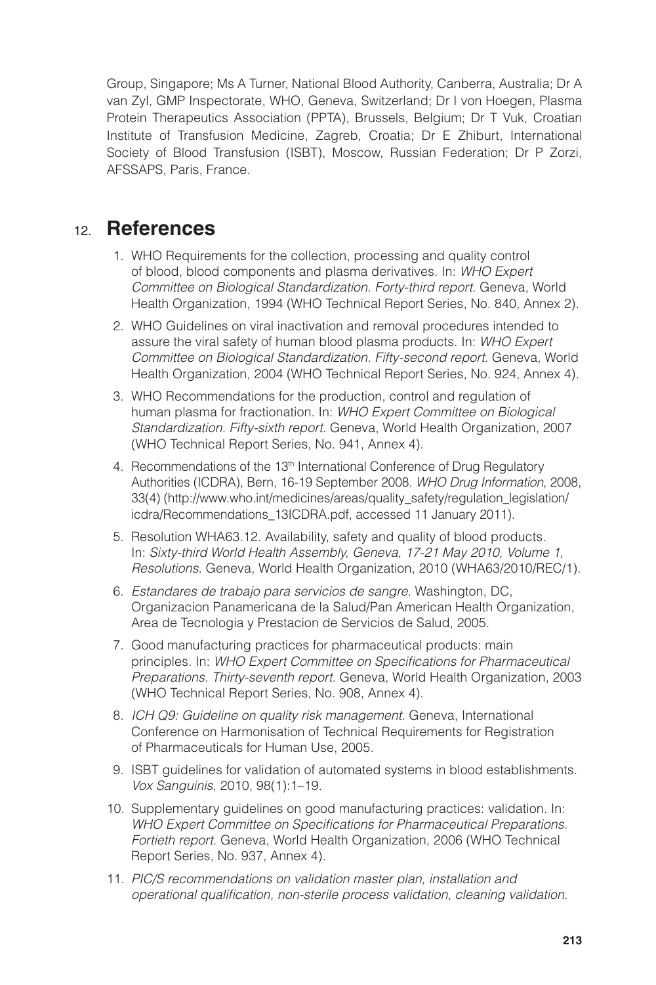Group, Singapore; Ms A Turner, National Blood Authority, Canberra, Australia; Dr A van Zyl, GMP Inspectorate, WHO, Geneva, Switzerland; Dr I von Hoegen, Plasma Protein Therapeutics Association (PPTA), Brussels, Belgium; Dr T Vuk, Croatian Institute of Transfusion Medicine, Zagreb, Croatia; Dr E Zhiburt, International Society of Blood Transfusion (ISBT), Moscow, Russian Federation; Dr P Zorzi, AFSSAPS, Paris, France.

## 12. **References**

- 1. WHO Requirements for the collection, processing and quality control of blood, blood components and plasma derivatives. In: *WHO Expert Committee on Biological Standardization. Forty-third report*. Geneva, World Health Organization, 1994 (WHO Technical Report Series, No. 840, Annex 2).
- 2. WHO Guidelines on viral inactivation and removal procedures intended to assure the viral safety of human blood plasma products. In: *WHO Expert Committee on Biological Standardization. Fifty-second report*. Geneva, World Health Organization, 2004 (WHO Technical Report Series, No. 924, Annex 4).
- 3. WHO Recommendations for the production, control and regulation of human plasma for fractionation. In: *WHO Expert Committee on Biological Standardization. Fifty-sixth report*. Geneva, World Health Organization, 2007 (WHO Technical Report Series, No. 941, Annex 4).
- 4. Recommendations of the 13<sup>th</sup> International Conference of Drug Regulatory Authorities (ICDRA), Bern, 16-19 September 2008. *WHO Drug Information*, 2008, 33(4) (http://www.who.int/medicines/areas/quality\_safety/regulation\_legislation/ icdra/Recommendations\_13ICDRA.pdf, accessed 11 January 2011).
- 5. Resolution WHA63.12. Availability, safety and quality of blood products. In: *Sixty-third World Health Assembly, Geneva, 17-21 May 2010, Volume 1, Resolutions*. Geneva, World Health Organization, 2010 (WHA63/2010/REC/1).
- 6. *Estandares de trabajo para servicios de sangre*. Washington, DC, Organizacion Panamericana de la Salud/Pan American Health Organization, Area de Tecnologia y Prestacion de Servicios de Salud, 2005.
- 7. Good manufacturing practices for pharmaceutical products: main principles. In: *WHO Expert Committee on Specifications for Pharmaceutical Preparations. Thirty-seventh report*. Geneva, World Health Organization, 2003 (WHO Technical Report Series, No. 908, Annex 4).
- 8. *ICH Q9: Guideline on quality risk management*. Geneva, International Conference on Harmonisation of Technical Requirements for Registration of Pharmaceuticals for Human Use, 2005.
- 9. ISBT guidelines for validation of automated systems in blood establishments. *Vox Sanguinis*, 2010, 98(1):1–19.
- 10. Supplementary guidelines on good manufacturing practices: validation. In: WHO Expert Committee on Specifications for Pharmaceutical Preparations. *Fortieth report*. Geneva, World Health Organization, 2006 (WHO Technical Report Series, No. 937, Annex 4).
- 11. *PIC/S recommendations on validation master plan, installation and operational qualifi cation, non-sterile process validation, cleaning validation*.